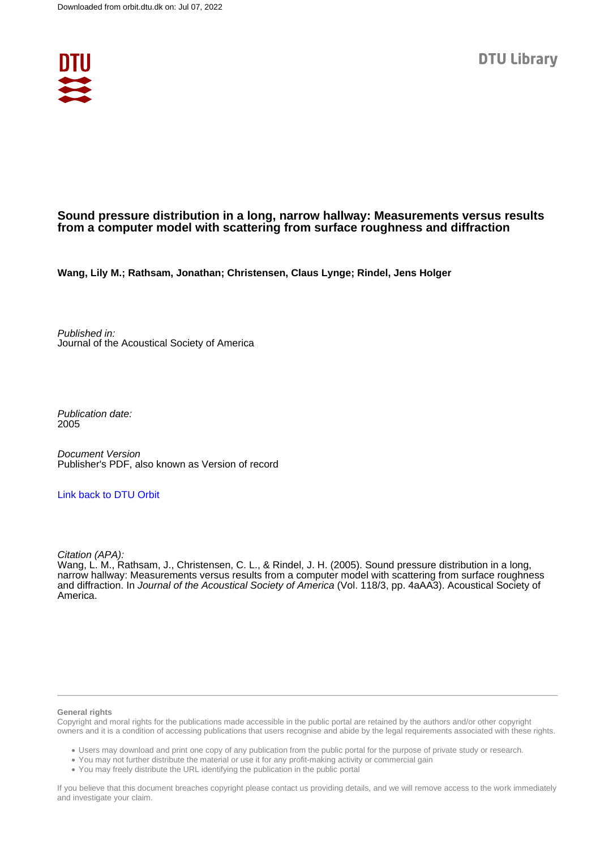

# **Sound pressure distribution in a long, narrow hallway: Measurements versus results from a computer model with scattering from surface roughness and diffraction**

**Wang, Lily M.; Rathsam, Jonathan; Christensen, Claus Lynge; Rindel, Jens Holger**

Published in: Journal of the Acoustical Society of America

Publication date: 2005

Document Version Publisher's PDF, also known as Version of record

# [Link back to DTU Orbit](https://orbit.dtu.dk/en/publications/5fc5273d-9ca2-4282-8752-f15668cef046)

Citation (APA):

Wang, L. M., Rathsam, J., Christensen, C. L., & Rindel, J. H. (2005). Sound pressure distribution in a long, narrow hallway: Measurements versus results from a computer model with scattering from surface roughness and diffraction. In Journal of the Acoustical Society of America (Vol. 118/3, pp. 4aAA3). Acoustical Society of America.

#### **General rights**

Copyright and moral rights for the publications made accessible in the public portal are retained by the authors and/or other copyright owners and it is a condition of accessing publications that users recognise and abide by the legal requirements associated with these rights.

Users may download and print one copy of any publication from the public portal for the purpose of private study or research.

- You may not further distribute the material or use it for any profit-making activity or commercial gain
- You may freely distribute the URL identifying the publication in the public portal

If you believe that this document breaches copyright please contact us providing details, and we will remove access to the work immediately and investigate your claim.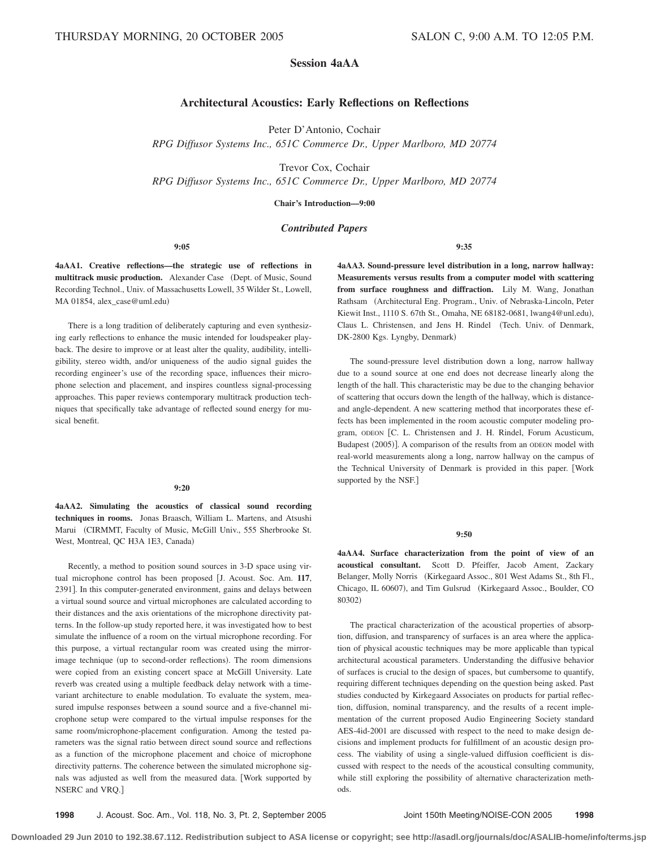# **Session 4aAA**

# **Architectural Acoustics: Early Reflections on Reflections**

Peter D'Antonio, Cochair

*RPG Diffusor Systems Inc., 651C Commerce Dr., Upper Marlboro, MD 20774*

Trevor Cox, Cochair

*RPG Diffusor Systems Inc., 651C Commerce Dr., Upper Marlboro, MD 20774*

**Chair's Introduction—9:00**

# *Contributed Papers*

# **9:05**

**4aAA1. Creative reflections—the strategic use of reflections in** multitrack music production. Alexander Case (Dept. of Music, Sound Recording Technol., Univ. of Massachusetts Lowell, 35 Wilder St., Lowell, MA 01854, alex\_case@uml.edu-

There is a long tradition of deliberately capturing and even synthesizing early reflections to enhance the music intended for loudspeaker playback. The desire to improve or at least alter the quality, audibility, intelligibility, stereo width, and/or uniqueness of the audio signal guides the recording engineer's use of the recording space, influences their microphone selection and placement, and inspires countless signal-processing approaches. This paper reviews contemporary multitrack production techniques that specifically take advantage of reflected sound energy for musical benefit.

#### **9:20**

**4aAA2. Simulating the acoustics of classical sound recording techniques in rooms.** Jonas Braasch, William L. Martens, and Atsushi Marui CIRMMT, Faculty of Music, McGill Univ., 555 Sherbrooke St. West, Montreal, QC H3A 1E3, Canada)

Recently, a method to position sound sources in 3-D space using virtual microphone control has been proposed [J. Acoust. Soc. Am. 117, 2391]. In this computer-generated environment, gains and delays between a virtual sound source and virtual microphones are calculated according to their distances and the axis orientations of the microphone directivity patterns. In the follow-up study reported here, it was investigated how to best simulate the influence of a room on the virtual microphone recording. For this purpose, a virtual rectangular room was created using the mirrorimage technique (up to second-order reflections). The room dimensions were copied from an existing concert space at McGill University. Late reverb was created using a multiple feedback delay network with a timevariant architecture to enable modulation. To evaluate the system, measured impulse responses between a sound source and a five-channel microphone setup were compared to the virtual impulse responses for the same room/microphone-placement configuration. Among the tested parameters was the signal ratio between direct sound source and reflections as a function of the microphone placement and choice of microphone directivity patterns. The coherence between the simulated microphone signals was adjusted as well from the measured data. [Work supported by NSERC and VRQ.

**9:35**

**4aAA3. Sound-pressure level distribution in a long, narrow hallway: Measurements versus results from a computer model with scattering from surface roughness and diffraction.** Lily M. Wang, Jonathan Rathsam (Architectural Eng. Program., Univ. of Nebraska-Lincoln, Peter Kiewit Inst., 1110 S. 67th St., Omaha, NE 68182-0681, lwang4@unl.edu), Claus L. Christensen, and Jens H. Rindel Tech. Univ. of Denmark, DK-2800 Kgs. Lyngby, Denmark)

The sound-pressure level distribution down a long, narrow hallway due to a sound source at one end does not decrease linearly along the length of the hall. This characteristic may be due to the changing behavior of scattering that occurs down the length of the hallway, which is distanceand angle-dependent. A new scattering method that incorporates these effects has been implemented in the room acoustic computer modeling program, ODEON [C. L. Christensen and J. H. Rindel, Forum Acusticum, Budapest (2005)]. A comparison of the results from an ODEON model with real-world measurements along a long, narrow hallway on the campus of the Technical University of Denmark is provided in this paper. Work supported by the NSF.

#### **9:50**

**4aAA4. Surface characterization from the point of view of an acoustical consultant.** Scott D. Pfeiffer, Jacob Ament, Zackary Belanger, Molly Norris (Kirkegaard Assoc., 801 West Adams St., 8th Fl., Chicago, IL 60607), and Tim Gulsrud (Kirkegaard Assoc., Boulder, CO 80302)

The practical characterization of the acoustical properties of absorption, diffusion, and transparency of surfaces is an area where the application of physical acoustic techniques may be more applicable than typical architectural acoustical parameters. Understanding the diffusive behavior of surfaces is crucial to the design of spaces, but cumbersome to quantify, requiring different techniques depending on the question being asked. Past studies conducted by Kirkegaard Associates on products for partial reflection, diffusion, nominal transparency, and the results of a recent implementation of the current proposed Audio Engineering Society standard AES-4id-2001 are discussed with respect to the need to make design decisions and implement products for fulfillment of an acoustic design process. The viability of using a single-valued diffusion coefficient is discussed with respect to the needs of the acoustical consulting community, while still exploring the possibility of alternative characterization methods.

**1998** J. Acoust. Soc. Am., Vol. 118, No. 3, Pt. 2, September 2005 Joint 150th Meeting/NOISE-CON 2005 **1998**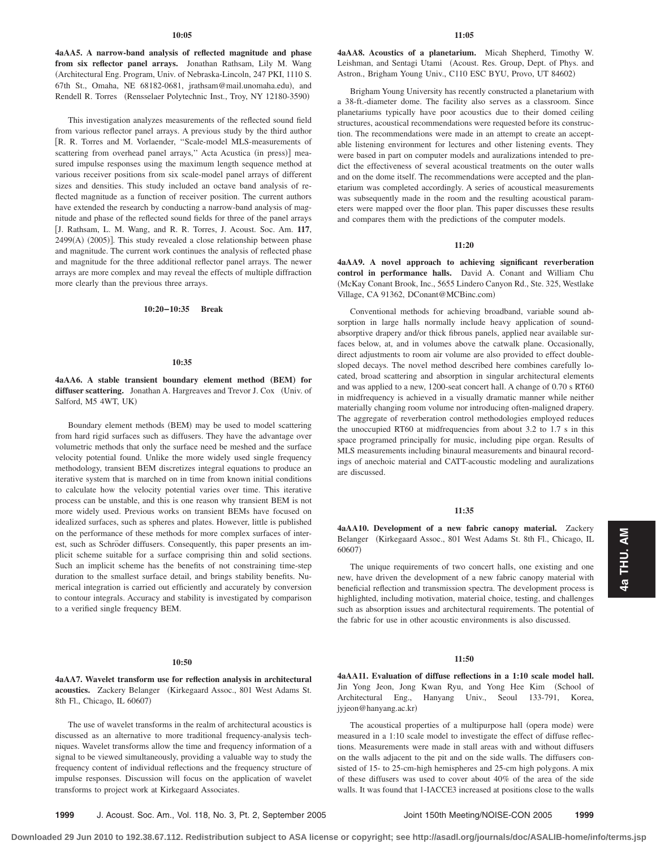**4aAA5. A narrow-band analysis of reflected magnitude and phase from six reflector panel arrays.** Jonathan Rathsam, Lily M. Wang Architectural Eng. Program, Univ. of Nebraska-Lincoln, 247 PKI, 1110 S. 67th St., Omaha, NE 68182-0681, jrathsam@mail.unomaha.edu), and Rendell R. Torres (Rensselaer Polytechnic Inst., Troy, NY 12180-3590)

This investigation analyzes measurements of the reflected sound field from various reflector panel arrays. A previous study by the third author R. R. Torres and M. Vorlaender, ''Scale-model MLS-measurements of scattering from overhead panel arrays," Acta Acustica (in press)] measured impulse responses using the maximum length sequence method at various receiver positions from six scale-model panel arrays of different sizes and densities. This study included an octave band analysis of reflected magnitude as a function of receiver position. The current authors have extended the research by conducting a narrow-band analysis of magnitude and phase of the reflected sound fields for three of the panel arrays J. Rathsam, L. M. Wang, and R. R. Torres, J. Acoust. Soc. Am. **117**,  $2499(A)$  (2005)]. This study revealed a close relationship between phase and magnitude. The current work continues the analysis of reflected phase and magnitude for the three additional reflector panel arrays. The newer arrays are more complex and may reveal the effects of multiple diffraction more clearly than the previous three arrays.

#### **10:20–10:35 Break**

#### **10:35**

**4aAA6.** A stable transient boundary element method (BEM) for diffuser scattering. Jonathan A. Hargreaves and Trevor J. Cox (Univ. of Salford, M5 4WT, UK-

Boundary element methods (BEM) may be used to model scattering from hard rigid surfaces such as diffusers. They have the advantage over volumetric methods that only the surface need be meshed and the surface velocity potential found. Unlike the more widely used single frequency methodology, transient BEM discretizes integral equations to produce an iterative system that is marched on in time from known initial conditions to calculate how the velocity potential varies over time. This iterative process can be unstable, and this is one reason why transient BEM is not more widely used. Previous works on transient BEMs have focused on idealized surfaces, such as spheres and plates. However, little is published on the performance of these methods for more complex surfaces of interest, such as Schröder diffusers. Consequently, this paper presents an implicit scheme suitable for a surface comprising thin and solid sections. Such an implicit scheme has the benefits of not constraining time-step duration to the smallest surface detail, and brings stability benefits. Numerical integration is carried out efficiently and accurately by conversion to contour integrals. Accuracy and stability is investigated by comparison to a verified single frequency BEM.

#### **10:50**

# **4aAA7. Wavelet transform use for reflection analysis in architectural** acoustics. Zackery Belanger (Kirkegaard Assoc., 801 West Adams St. 8th Fl., Chicago, IL 60607)

The use of wavelet transforms in the realm of architectural acoustics is discussed as an alternative to more traditional frequency-analysis techniques. Wavelet transforms allow the time and frequency information of a signal to be viewed simultaneously, providing a valuable way to study the frequency content of individual reflections and the frequency structure of impulse responses. Discussion will focus on the application of wavelet transforms to project work at Kirkegaard Associates.

**4aAA8. Acoustics of a planetarium.** Micah Shepherd, Timothy W. Leishman, and Sentagi Utami (Acoust. Res. Group, Dept. of Phys. and Astron., Brigham Young Univ., C110 ESC BYU, Provo, UT 84602)

Brigham Young University has recently constructed a planetarium with a 38-ft.-diameter dome. The facility also serves as a classroom. Since planetariums typically have poor acoustics due to their domed ceiling structures, acoustical recommendations were requested before its construction. The recommendations were made in an attempt to create an acceptable listening environment for lectures and other listening events. They were based in part on computer models and auralizations intended to predict the effectiveness of several acoustical treatments on the outer walls and on the dome itself. The recommendations were accepted and the planetarium was completed accordingly. A series of acoustical measurements was subsequently made in the room and the resulting acoustical parameters were mapped over the floor plan. This paper discusses these results and compares them with the predictions of the computer models.

#### **11:20**

**4aAA9. A novel approach to achieving significant reverberation control in performance halls.** David A. Conant and William Chu McKay Conant Brook, Inc., 5655 Lindero Canyon Rd., Ste. 325, Westlake Village, CA 91362, DConant@MCBinc.com)

Conventional methods for achieving broadband, variable sound absorption in large halls normally include heavy application of soundabsorptive drapery and/or thick fibrous panels, applied near available surfaces below, at, and in volumes above the catwalk plane. Occasionally, direct adjustments to room air volume are also provided to effect doublesloped decays. The novel method described here combines carefully located, broad scattering and absorption in singular architectural elements and was applied to a new, 1200-seat concert hall. A change of 0.70 s RT60 in midfrequency is achieved in a visually dramatic manner while neither materially changing room volume nor introducing often-maligned drapery. The aggregate of reverberation control methodologies employed reduces the unoccupied RT60 at midfrequencies from about 3.2 to 1.7 s in this space programed principally for music, including pipe organ. Results of MLS measurements including binaural measurements and binaural recordings of anechoic material and CATT-acoustic modeling and auralizations are discussed.

#### **11:35**

**4aAA10. Development of a new fabric canopy material.** Zackery Belanger (Kirkegaard Assoc., 801 West Adams St. 8th Fl., Chicago, IL 60607)

The unique requirements of two concert halls, one existing and one new, have driven the development of a new fabric canopy material with beneficial reflection and transmission spectra. The development process is highlighted, including motivation, material choice, testing, and challenges such as absorption issues and architectural requirements. The potential of the fabric for use in other acoustic environments is also discussed.

#### **11:50**

**4aAA11. Evaluation of diffuse reflections in a 1:10 scale model hall.** Jin Yong Jeon, Jong Kwan Ryu, and Yong Hee Kim (School of Architectural Eng., Hanyang Univ., Seoul 133-791, Korea, jyjeon@hanyang.ac.kr)

The acoustical properties of a multipurpose hall (opera mode) were measured in a 1:10 scale model to investigate the effect of diffuse reflections. Measurements were made in stall areas with and without diffusers on the walls adjacent to the pit and on the side walls. The diffusers consisted of 15- to 25-cm-high hemispheres and 25-cm high polygons. A mix of these diffusers was used to cover about 40% of the area of the side walls. It was found that 1-IACCE3 increased at positions close to the walls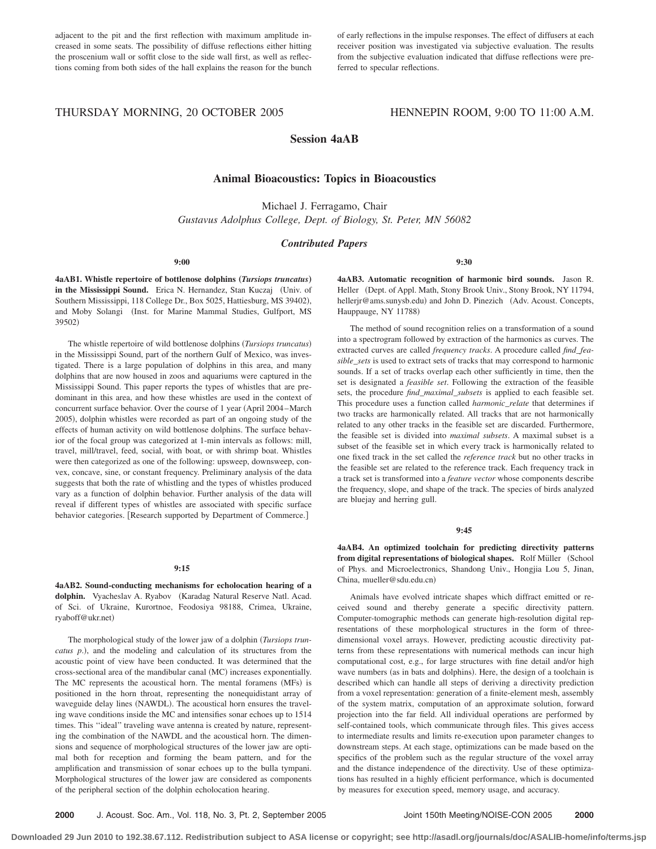adjacent to the pit and the first reflection with maximum amplitude increased in some seats. The possibility of diffuse reflections either hitting the proscenium wall or soffit close to the side wall first, as well as reflections coming from both sides of the hall explains the reason for the bunch

of early reflections in the impulse responses. The effect of diffusers at each receiver position was investigated via subjective evaluation. The results from the subjective evaluation indicated that diffuse reflections were preferred to specular reflections.

# THURSDAY MORNING, 20 OCTOBER 2005 HENNEPIN ROOM, 9:00 TO 11:00 A.M.

# **Session 4aAB**

# **Animal Bioacoustics: Topics in Bioacoustics**

Michael J. Ferragamo, Chair *Gustavus Adolphus College, Dept. of Biology, St. Peter, MN 56082*

## *Contributed Papers*

**9:00**

**4aAB1.** Whistle repertoire of bottlenose dolphins (*Tursiops truncatus*) in the Mississippi Sound. Erica N. Hernandez, Stan Kuczaj (Univ. of Southern Mississippi, 118 College Dr., Box 5025, Hattiesburg, MS 39402), and Moby Solangi (Inst. for Marine Mammal Studies, Gulfport, MS 39502)

The whistle repertoire of wild bottlenose dolphins *Tursiops truncatus* in the Mississippi Sound, part of the northern Gulf of Mexico, was investigated. There is a large population of dolphins in this area, and many dolphins that are now housed in zoos and aquariums were captured in the Mississippi Sound. This paper reports the types of whistles that are predominant in this area, and how these whistles are used in the context of concurrent surface behavior. Over the course of 1 year (April 2004–March 2005), dolphin whistles were recorded as part of an ongoing study of the effects of human activity on wild bottlenose dolphins. The surface behavior of the focal group was categorized at 1-min intervals as follows: mill, travel, mill/travel, feed, social, with boat, or with shrimp boat. Whistles were then categorized as one of the following: upsweep, downsweep, convex, concave, sine, or constant frequency. Preliminary analysis of the data suggests that both the rate of whistling and the types of whistles produced vary as a function of dolphin behavior. Further analysis of the data will reveal if different types of whistles are associated with specific surface behavior categories. [Research supported by Department of Commerce.]

#### **9:15**

**4aAB2. Sound-conducting mechanisms for echolocation hearing of a** dolphin. Vyacheslav A. Ryabov (Karadag Natural Reserve Natl. Acad. of Sci. of Ukraine, Kurortnoe, Feodosiya 98188, Crimea, Ukraine, ryaboff@ukr.net-

The morphological study of the lower jaw of a dolphin *Tursiops trun*catus p.), and the modeling and calculation of its structures from the acoustic point of view have been conducted. It was determined that the cross-sectional area of the mandibular canal (MC) increases exponentially. The MC represents the acoustical horn. The mental foramens (MFs) is positioned in the horn throat, representing the nonequidistant array of waveguide delay lines (NAWDL). The acoustical horn ensures the traveling wave conditions inside the MC and intensifies sonar echoes up to 1514 times. This "ideal" traveling wave antenna is created by nature, representing the combination of the NAWDL and the acoustical horn. The dimensions and sequence of morphological structures of the lower jaw are optimal both for reception and forming the beam pattern, and for the amplification and transmission of sonar echoes up to the bulla tympani. Morphological structures of the lower jaw are considered as components of the peripheral section of the dolphin echolocation hearing.

**9:30**

**4aAB3. Automatic recognition of harmonic bird sounds.** Jason R. Heller (Dept. of Appl. Math, Stony Brook Univ., Stony Brook, NY 11794, hellerjr@ams.sunysb.edu) and John D. Pinezich (Adv. Acoust. Concepts, Hauppauge, NY 11788)

The method of sound recognition relies on a transformation of a sound into a spectrogram followed by extraction of the harmonics as curves. The extracted curves are called *frequency tracks*. A procedure called *find\_feasible\_sets* is used to extract sets of tracks that may correspond to harmonic sounds. If a set of tracks overlap each other sufficiently in time, then the set is designated a *feasible set*. Following the extraction of the feasible sets, the procedure *find\_maximal\_subsets* is applied to each feasible set. This procedure uses a function called *harmonic\_relate* that determines if two tracks are harmonically related. All tracks that are not harmonically related to any other tracks in the feasible set are discarded. Furthermore, the feasible set is divided into *maximal subsets*. A maximal subset is a subset of the feasible set in which every track is harmonically related to one fixed track in the set called the *reference track* but no other tracks in the feasible set are related to the reference track. Each frequency track in a track set is transformed into a *feature vector* whose components describe the frequency, slope, and shape of the track. The species of birds analyzed are bluejay and herring gull.

#### **9:45**

**4aAB4. An optimized toolchain for predicting directivity patterns** from digital representations of biological shapes. Rolf Müller (School of Phys. and Microelectronics, Shandong Univ., Hongjia Lou 5, Jinan, China, mueller@sdu.edu.cn-

Animals have evolved intricate shapes which diffract emitted or received sound and thereby generate a specific directivity pattern. Computer-tomographic methods can generate high-resolution digital representations of these morphological structures in the form of threedimensional voxel arrays. However, predicting acoustic directivity patterns from these representations with numerical methods can incur high computational cost, e.g., for large structures with fine detail and/or high wave numbers (as in bats and dolphins). Here, the design of a toolchain is described which can handle all steps of deriving a directivity prediction from a voxel representation: generation of a finite-element mesh, assembly of the system matrix, computation of an approximate solution, forward projection into the far field. All individual operations are performed by self-contained tools, which communicate through files. This gives access to intermediate results and limits re-execution upon parameter changes to downstream steps. At each stage, optimizations can be made based on the specifics of the problem such as the regular structure of the voxel array and the distance independence of the directivity. Use of these optimizations has resulted in a highly efficient performance, which is documented by measures for execution speed, memory usage, and accuracy.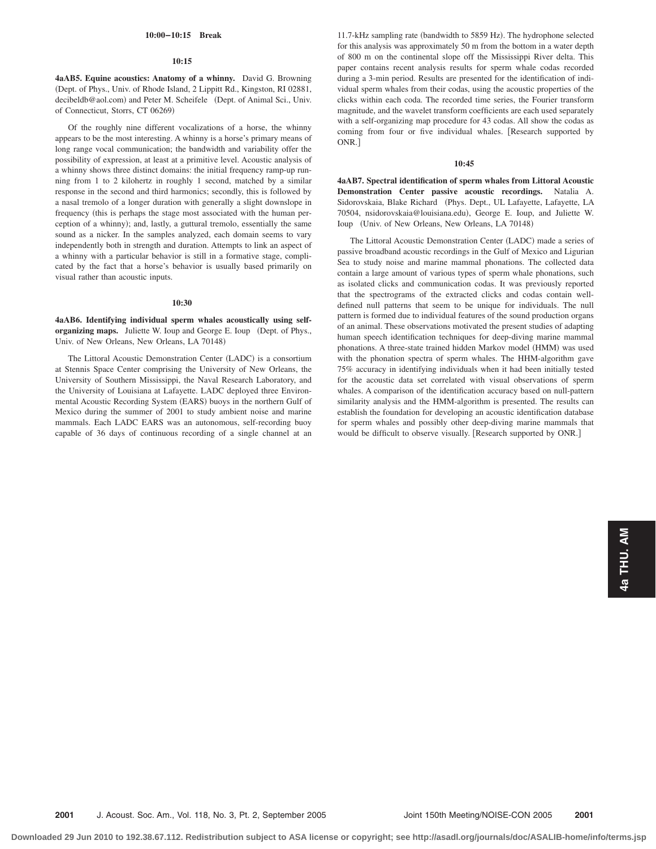#### **10:00–10:15 Break**

#### **10:15**

**4aAB5. Equine acoustics: Anatomy of a whinny.** David G. Browning Dept. of Phys., Univ. of Rhode Island, 2 Lippitt Rd., Kingston, RI 02881, decibeldb@aol.com) and Peter M. Scheifele (Dept. of Animal Sci., Univ. of Connecticut, Storrs, CT 06269)

Of the roughly nine different vocalizations of a horse, the whinny appears to be the most interesting. A whinny is a horse's primary means of long range vocal communication; the bandwidth and variability offer the possibility of expression, at least at a primitive level. Acoustic analysis of a whinny shows three distinct domains: the initial frequency ramp-up running from 1 to 2 kilohertz in roughly 1 second, matched by a similar response in the second and third harmonics; secondly, this is followed by a nasal tremolo of a longer duration with generally a slight downslope in frequency (this is perhaps the stage most associated with the human perception of a whinny); and, lastly, a guttural tremolo, essentially the same sound as a nicker. In the samples analyzed, each domain seems to vary independently both in strength and duration. Attempts to link an aspect of a whinny with a particular behavior is still in a formative stage, complicated by the fact that a horse's behavior is usually based primarily on visual rather than acoustic inputs.

#### **10:30**

**4aAB6. Identifying individual sperm whales acoustically using self**organizing maps. Juliette W. Ioup and George E. Ioup (Dept. of Phys., Univ. of New Orleans, New Orleans, LA 70148)

The Littoral Acoustic Demonstration Center (LADC) is a consortium at Stennis Space Center comprising the University of New Orleans, the University of Southern Mississippi, the Naval Research Laboratory, and the University of Louisiana at Lafayette. LADC deployed three Environmental Acoustic Recording System (EARS) buoys in the northern Gulf of Mexico during the summer of 2001 to study ambient noise and marine mammals. Each LADC EARS was an autonomous, self-recording buoy capable of 36 days of continuous recording of a single channel at an

11.7-kHz sampling rate (bandwidth to 5859 Hz). The hydrophone selected for this analysis was approximately 50 m from the bottom in a water depth of 800 m on the continental slope off the Mississippi River delta. This paper contains recent analysis results for sperm whale codas recorded during a 3-min period. Results are presented for the identification of individual sperm whales from their codas, using the acoustic properties of the clicks within each coda. The recorded time series, the Fourier transform magnitude, and the wavelet transform coefficients are each used separately with a self-organizing map procedure for 43 codas. All show the codas as coming from four or five individual whales. Research supported by ONR.

#### **10:45**

**4aAB7. Spectral identification of sperm whales from Littoral Acoustic Demonstration Center passive acoustic recordings.** Natalia A. Sidorovskaia, Blake Richard (Phys. Dept., UL Lafayette, Lafayette, LA 70504, nsidorovskaia@louisiana.edu), George E. Ioup, and Juliette W. Ioup (Univ. of New Orleans, New Orleans, LA 70148)

The Littoral Acoustic Demonstration Center (LADC) made a series of passive broadband acoustic recordings in the Gulf of Mexico and Ligurian Sea to study noise and marine mammal phonations. The collected data contain a large amount of various types of sperm whale phonations, such as isolated clicks and communication codas. It was previously reported that the spectrograms of the extracted clicks and codas contain welldefined null patterns that seem to be unique for individuals. The null pattern is formed due to individual features of the sound production organs of an animal. These observations motivated the present studies of adapting human speech identification techniques for deep-diving marine mammal phonations. A three-state trained hidden Markov model (HMM) was used with the phonation spectra of sperm whales. The HHM-algorithm gave 75% accuracy in identifying individuals when it had been initially tested for the acoustic data set correlated with visual observations of sperm whales. A comparison of the identification accuracy based on null-pattern similarity analysis and the HMM-algorithm is presented. The results can establish the foundation for developing an acoustic identification database for sperm whales and possibly other deep-diving marine mammals that would be difficult to observe visually. [Research supported by ONR.]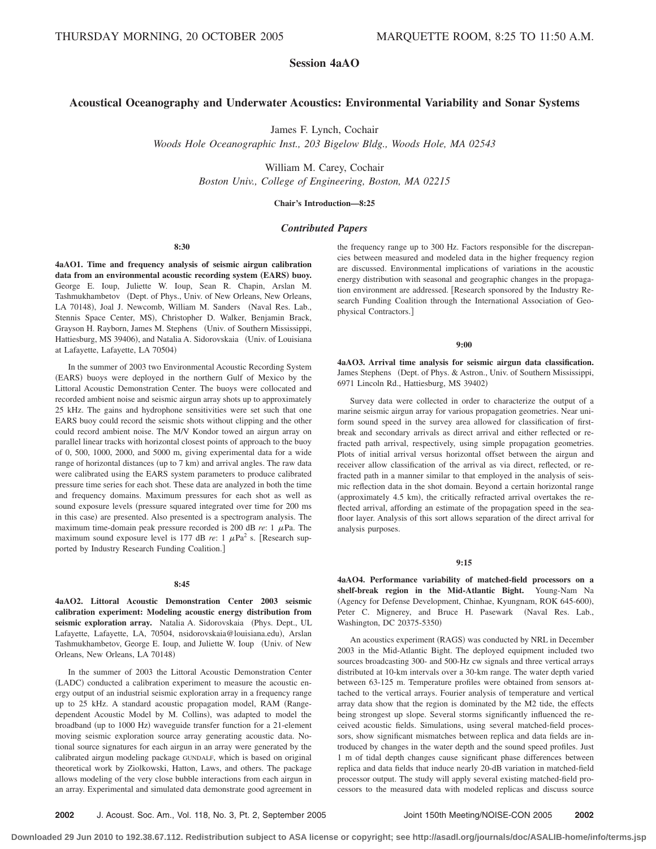# **Session 4aAO**

# **Acoustical Oceanography and Underwater Acoustics: Environmental Variability and Sonar Systems**

James F. Lynch, Cochair

*Woods Hole Oceanographic Inst., 203 Bigelow Bldg., Woods Hole, MA 02543*

William M. Carey, Cochair

*Boston Univ., College of Engineering, Boston, MA 02215*

**Chair's Introduction—8:25**

# *Contributed Papers*

#### **8:30**

**4aAO1. Time and frequency analysis of seismic airgun calibration** data from an environmental acoustic recording system (EARS) buoy. George E. Ioup, Juliette W. Ioup, Sean R. Chapin, Arslan M. Tashmukhambetov (Dept. of Phys., Univ. of New Orleans, New Orleans, LA 70148), Joal J. Newcomb, William M. Sanders (Naval Res. Lab., Stennis Space Center, MS), Christopher D. Walker, Benjamin Brack, Grayson H. Rayborn, James M. Stephens (Univ. of Southern Mississippi, Hattiesburg, MS 39406), and Natalia A. Sidorovskaia (Univ. of Louisiana at Lafayette, Lafayette, LA 70504)

In the summer of 2003 two Environmental Acoustic Recording System (EARS) buoys were deployed in the northern Gulf of Mexico by the Littoral Acoustic Demonstration Center. The buoys were collocated and recorded ambient noise and seismic airgun array shots up to approximately 25 kHz. The gains and hydrophone sensitivities were set such that one EARS buoy could record the seismic shots without clipping and the other could record ambient noise. The M/V Kondor towed an airgun array on parallel linear tracks with horizontal closest points of approach to the buoy of 0, 500, 1000, 2000, and 5000 m, giving experimental data for a wide range of horizontal distances (up to 7 km) and arrival angles. The raw data were calibrated using the EARS system parameters to produce calibrated pressure time series for each shot. These data are analyzed in both the time and frequency domains. Maximum pressures for each shot as well as sound exposure levels (pressure squared integrated over time for 200 ms in this case) are presented. Also presented is a spectrogram analysis. The maximum time-domain peak pressure recorded is 200 dB  $re: 1$   $\mu$ Pa. The maximum sound exposure level is 177 dB  $re: 1 \mu Pa^2$  s. [Research supported by Industry Research Funding Coalition.

### **8:45**

**4aAO2. Littoral Acoustic Demonstration Center 2003 seismic calibration experiment: Modeling acoustic energy distribution from** seismic exploration array. Natalia A. Sidorovskaia (Phys. Dept., UL Lafayette, Lafayette, LA, 70504, nsidorovskaia@louisiana.edu), Arslan Tashmukhambetov, George E. Ioup, and Juliette W. Ioup (Univ. of New Orleans, New Orleans, LA 70148)

In the summer of 2003 the Littoral Acoustic Demonstration Center (LADC) conducted a calibration experiment to measure the acoustic energy output of an industrial seismic exploration array in a frequency range up to 25 kHz. A standard acoustic propagation model, RAM (Rangedependent Acoustic Model by M. Collins), was adapted to model the broadband (up to 1000 Hz) waveguide transfer function for a 21-element moving seismic exploration source array generating acoustic data. Notional source signatures for each airgun in an array were generated by the calibrated airgun modeling package GUNDALF, which is based on original theoretical work by Ziolkowski, Hatton, Laws, and others. The package allows modeling of the very close bubble interactions from each airgun in an array. Experimental and simulated data demonstrate good agreement in

the frequency range up to 300 Hz. Factors responsible for the discrepancies between measured and modeled data in the higher frequency region are discussed. Environmental implications of variations in the acoustic energy distribution with seasonal and geographic changes in the propagation environment are addressed. [Research sponsored by the Industry Research Funding Coalition through the International Association of Geophysical Contractors.

#### **9:00**

**4aAO3. Arrival time analysis for seismic airgun data classification.** James Stephens (Dept. of Phys. & Astron., Univ. of Southern Mississippi, 6971 Lincoln Rd., Hattiesburg, MS 39402)

Survey data were collected in order to characterize the output of a marine seismic airgun array for various propagation geometries. Near uniform sound speed in the survey area allowed for classification of firstbreak and secondary arrivals as direct arrival and either reflected or refracted path arrival, respectively, using simple propagation geometries. Plots of initial arrival versus horizontal offset between the airgun and receiver allow classification of the arrival as via direct, reflected, or refracted path in a manner similar to that employed in the analysis of seismic reflection data in the shot domain. Beyond a certain horizontal range (approximately 4.5 km), the critically refracted arrival overtakes the reflected arrival, affording an estimate of the propagation speed in the seafloor layer. Analysis of this sort allows separation of the direct arrival for analysis purposes.

#### **9:15**

**4aAO4. Performance variability of matched-field processors on a shelf-break region in the Mid-Atlantic Bight.** Young-Nam Na (Agency for Defense Development, Chinhae, Kyungnam, ROK 645-600), Peter C. Mignerey, and Bruce H. Pasewark (Naval Res. Lab., Washington, DC 20375-5350)

An acoustics experiment (RAGS) was conducted by NRL in December 2003 in the Mid-Atlantic Bight. The deployed equipment included two sources broadcasting 300- and 500-Hz cw signals and three vertical arrays distributed at 10-km intervals over a 30-km range. The water depth varied between 63-125 m. Temperature profiles were obtained from sensors attached to the vertical arrays. Fourier analysis of temperature and vertical array data show that the region is dominated by the M2 tide, the effects being strongest up slope. Several storms significantly influenced the received acoustic fields. Simulations, using several matched-field processors, show significant mismatches between replica and data fields are introduced by changes in the water depth and the sound speed profiles. Just 1 m of tidal depth changes cause significant phase differences between replica and data fields that induce nearly 20-dB variation in matched-field processor output. The study will apply several existing matched-field processors to the measured data with modeled replicas and discuss source

**2002** J. Acoust. Soc. Am., Vol. 118, No. 3, Pt. 2, September 2005 Joint 150th Meeting/NOISE-CON 2005 **2002**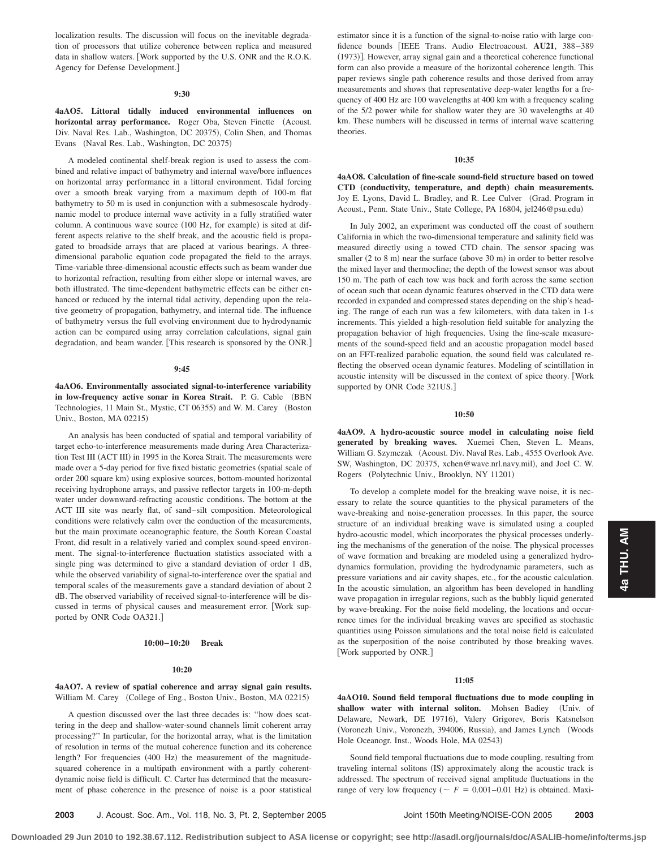localization results. The discussion will focus on the inevitable degradation of processors that utilize coherence between replica and measured data in shallow waters. Work supported by the U.S. ONR and the R.O.K. Agency for Defense Development.

### **9:30**

# **4aAO5. Littoral tidally induced environmental influences on horizontal array performance.** Roger Oba, Steven Finette (Acoust. Div. Naval Res. Lab., Washington, DC 20375), Colin Shen, and Thomas Evans (Naval Res. Lab., Washington, DC 20375)

A modeled continental shelf-break region is used to assess the combined and relative impact of bathymetry and internal wave/bore influences on horizontal array performance in a littoral environment. Tidal forcing over a smooth break varying from a maximum depth of 100-m flat bathymetry to 50 m is used in conjunction with a submesoscale hydrodynamic model to produce internal wave activity in a fully stratified water column. A continuous wave source (100 Hz, for example) is sited at different aspects relative to the shelf break, and the acoustic field is propagated to broadside arrays that are placed at various bearings. A threedimensional parabolic equation code propagated the field to the arrays. Time-variable three-dimensional acoustic effects such as beam wander due to horizontal refraction, resulting from either slope or internal waves, are both illustrated. The time-dependent bathymetric effects can be either enhanced or reduced by the internal tidal activity, depending upon the relative geometry of propagation, bathymetry, and internal tide. The influence of bathymetry versus the full evolving environment due to hydrodynamic action can be compared using array correlation calculations, signal gain degradation, and beam wander. [This research is sponsored by the ONR.]

#### **9:45**

**4aAO6. Environmentally associated signal-to-interference variability** in low-frequency active sonar in Korea Strait. P. G. Cable (BBN Technologies, 11 Main St., Mystic, CT 06355) and W. M. Carey (Boston Univ., Boston, MA 02215)

An analysis has been conducted of spatial and temporal variability of target echo-to-interference measurements made during Area Characterization Test III (ACT III) in 1995 in the Korea Strait. The measurements were made over a 5-day period for five fixed bistatic geometries (spatial scale of order 200 square km) using explosive sources, bottom-mounted horizontal receiving hydrophone arrays, and passive reflector targets in 100-m-depth water under downward-refracting acoustic conditions. The bottom at the ACT III site was nearly flat, of sand–silt composition. Meteorological conditions were relatively calm over the conduction of the measurements, but the main proximate oceanographic feature, the South Korean Coastal Front, did result in a relatively varied and complex sound-speed environment. The signal-to-interference fluctuation statistics associated with a single ping was determined to give a standard deviation of order 1 dB, while the observed variability of signal-to-interference over the spatial and temporal scales of the measurements gave a standard deviation of about 2 dB. The observed variability of received signal-to-interference will be discussed in terms of physical causes and measurement error. Work supported by ONR Code OA321.

#### **10:00–10:20 Break**

#### **10:20**

### **4aAO7. A review of spatial coherence and array signal gain results.** William M. Carey (College of Eng., Boston Univ., Boston, MA 02215)

A question discussed over the last three decades is: ''how does scattering in the deep and shallow-water-sound channels limit coherent array processing?'' In particular, for the horizontal array, what is the limitation of resolution in terms of the mutual coherence function and its coherence length? For frequencies (400 Hz) the measurement of the magnitudesquared coherence in a multipath environment with a partly coherentdynamic noise field is difficult. C. Carter has determined that the measurement of phase coherence in the presence of noise is a poor statistical

estimator since it is a function of the signal-to-noise ratio with large confidence bounds IEEE Trans. Audio Electroacoust. **AU21**, 388–389 (1973)]. However, array signal gain and a theoretical coherence functional form can also provide a measure of the horizontal coherence length. This paper reviews single path coherence results and those derived from array measurements and shows that representative deep-water lengths for a frequency of 400 Hz are 100 wavelengths at 400 km with a frequency scaling of the 5/2 power while for shallow water they are 30 wavelengths at 40 km. These numbers will be discussed in terms of internal wave scattering theories.

#### **10:35**

**4aAO8. Calculation of fine-scale sound-field structure based on towed CTD** "**conductivity, temperature, and depth**… **chain measurements.** Joy E. Lyons, David L. Bradley, and R. Lee Culver (Grad. Program in Acoust., Penn. State Univ., State College, PA 16804, jel246@psu.edu)

In July 2002, an experiment was conducted off the coast of southern California in which the two-dimensional temperature and salinity field was measured directly using a towed CTD chain. The sensor spacing was smaller  $(2 \text{ to } 8 \text{ m})$  near the surface  $(above 30 \text{ m})$  in order to better resolve the mixed layer and thermocline; the depth of the lowest sensor was about 150 m. The path of each tow was back and forth across the same section of ocean such that ocean dynamic features observed in the CTD data were recorded in expanded and compressed states depending on the ship's heading. The range of each run was a few kilometers, with data taken in 1-s increments. This yielded a high-resolution field suitable for analyzing the propagation behavior of high frequencies. Using the fine-scale measurements of the sound-speed field and an acoustic propagation model based on an FFT-realized parabolic equation, the sound field was calculated reflecting the observed ocean dynamic features. Modeling of scintillation in acoustic intensity will be discussed in the context of spice theory. Work supported by ONR Code 321US.

#### **10:50**

**4aAO9. A hydro-acoustic source model in calculating noise field generated by breaking waves.** Xuemei Chen, Steven L. Means, William G. Szymczak (Acoust. Div. Naval Res. Lab., 4555 Overlook Ave. SW, Washington, DC 20375, xchen@wave.nrl.navy.mil), and Joel C. W. Rogers (Polytechnic Univ., Brooklyn, NY 11201)

To develop a complete model for the breaking wave noise, it is necessary to relate the source quantities to the physical parameters of the wave-breaking and noise-generation processes. In this paper, the source structure of an individual breaking wave is simulated using a coupled hydro-acoustic model, which incorporates the physical processes underlying the mechanisms of the generation of the noise. The physical processes of wave formation and breaking are modeled using a generalized hydrodynamics formulation, providing the hydrodynamic parameters, such as pressure variations and air cavity shapes, etc., for the acoustic calculation. In the acoustic simulation, an algorithm has been developed in handling wave propagation in irregular regions, such as the bubbly liquid generated by wave-breaking. For the noise field modeling, the locations and occurrence times for the individual breaking waves are specified as stochastic quantities using Poisson simulations and the total noise field is calculated as the superposition of the noise contributed by those breaking waves. [Work supported by ONR.]

#### **11:05**

**4aAO10. Sound field temporal fluctuations due to mode coupling in shallow water with internal soliton.** Mohsen Badiey Univ. of Delaware, Newark, DE 19716), Valery Grigorev, Boris Katsnelson (Voronezh Univ., Voronezh, 394006, Russia), and James Lynch (Woods Hole Oceanogr. Inst., Woods Hole, MA 02543)

Sound field temporal fluctuations due to mode coupling, resulting from traveling internal solitons (IS) approximately along the acoustic track is addressed. The spectrum of received signal amplitude fluctuations in the range of very low frequency ( $\sim F = 0.001 - 0.01$  Hz) is obtained. Maxi**4a THU. AM**

4a THU. AM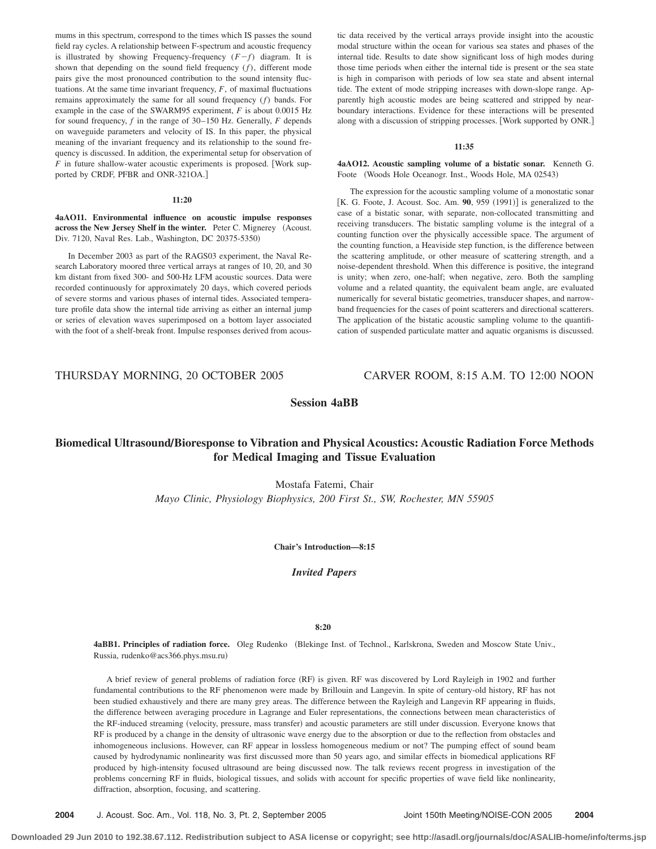mums in this spectrum, correspond to the times which IS passes the sound field ray cycles. A relationship between F-spectrum and acoustic frequency is illustrated by showing Frequency-frequency  $(F - f)$  diagram. It is shown that depending on the sound field frequency (*f*), different mode pairs give the most pronounced contribution to the sound intensity fluctuations. At the same time invariant frequency, *F*, of maximal fluctuations remains approximately the same for all sound frequency (*f*) bands. For example in the case of the SWARM95 experiment, *F* is about 0.0015 Hz for sound frequency, *f* in the range of 30–150 Hz. Generally, *F* depends on waveguide parameters and velocity of IS. In this paper, the physical meaning of the invariant frequency and its relationship to the sound frequency is discussed. In addition, the experimental setup for observation of  $F$  in future shallow-water acoustic experiments is proposed. [Work supported by CRDF, PFBR and ONR-321OA.

#### **11:20**

**4aAO11. Environmental influence on acoustic impulse responses across the New Jersey Shelf in the winter.** Peter C. Mignerey (Acoust. Div. 7120, Naval Res. Lab., Washington, DC 20375-5350-

In December 2003 as part of the RAGS03 experiment, the Naval Research Laboratory moored three vertical arrays at ranges of 10, 20, and 30 km distant from fixed 300- and 500-Hz LFM acoustic sources. Data were recorded continuously for approximately 20 days, which covered periods of severe storms and various phases of internal tides. Associated temperature profile data show the internal tide arriving as either an internal jump or series of elevation waves superimposed on a bottom layer associated with the foot of a shelf-break front. Impulse responses derived from acoustic data received by the vertical arrays provide insight into the acoustic modal structure within the ocean for various sea states and phases of the internal tide. Results to date show significant loss of high modes during those time periods when either the internal tide is present or the sea state is high in comparison with periods of low sea state and absent internal tide. The extent of mode stripping increases with down-slope range. Apparently high acoustic modes are being scattered and stripped by nearboundary interactions. Evidence for these interactions will be presented along with a discussion of stripping processes. Work supported by ONR.

#### **11:35**

**4aAO12. Acoustic sampling volume of a bistatic sonar.** Kenneth G. Foote (Woods Hole Oceanogr. Inst., Woods Hole, MA 02543)

The expression for the acoustic sampling volume of a monostatic sonar [K. G. Foote, J. Acoust. Soc. Am. 90, 959 (1991)] is generalized to the case of a bistatic sonar, with separate, non-collocated transmitting and receiving transducers. The bistatic sampling volume is the integral of a counting function over the physically accessible space. The argument of the counting function, a Heaviside step function, is the difference between the scattering amplitude, or other measure of scattering strength, and a noise-dependent threshold. When this difference is positive, the integrand is unity; when zero, one-half; when negative, zero. Both the sampling volume and a related quantity, the equivalent beam angle, are evaluated numerically for several bistatic geometries, transducer shapes, and narrowband frequencies for the cases of point scatterers and directional scatterers. The application of the bistatic acoustic sampling volume to the quantification of suspended particulate matter and aquatic organisms is discussed.

# THURSDAY MORNING, 20 OCTOBER 2005 CARVER ROOM, 8:15 A.M. TO 12:00 NOON

# **Session 4aBB**

# **Biomedical UltrasoundÕBioresponse to Vibration and Physical Acoustics: Acoustic Radiation Force Methods for Medical Imaging and Tissue Evaluation**

Mostafa Fatemi, Chair *Mayo Clinic, Physiology Biophysics, 200 First St., SW, Rochester, MN 55905*

**Chair's Introduction—8:15**

*Invited Papers*

#### **8:20**

4aBB1. Principles of radiation force. Oleg Rudenko (Blekinge Inst. of Technol., Karlskrona, Sweden and Moscow State Univ., Russia, rudenko@acs366.phys.msu.ru-

A brief review of general problems of radiation force (RF) is given. RF was discovered by Lord Rayleigh in 1902 and further fundamental contributions to the RF phenomenon were made by Brillouin and Langevin. In spite of century-old history, RF has not been studied exhaustively and there are many grey areas. The difference between the Rayleigh and Langevin RF appearing in fluids, the difference between averaging procedure in Lagrange and Euler representations, the connections between mean characteristics of the RF-induced streaming (velocity, pressure, mass transfer) and acoustic parameters are still under discussion. Everyone knows that RF is produced by a change in the density of ultrasonic wave energy due to the absorption or due to the reflection from obstacles and inhomogeneous inclusions. However, can RF appear in lossless homogeneous medium or not? The pumping effect of sound beam caused by hydrodynamic nonlinearity was first discussed more than 50 years ago, and similar effects in biomedical applications RF produced by high-intensity focused ultrasound are being discussed now. The talk reviews recent progress in investigation of the problems concerning RF in fluids, biological tissues, and solids with account for specific properties of wave field like nonlinearity, diffraction, absorption, focusing, and scattering.

**2004** J. Acoust. Soc. Am., Vol. 118, No. 3, Pt. 2, September 2005 Joint 150th Meeting/NOISE-CON 2005 **2004**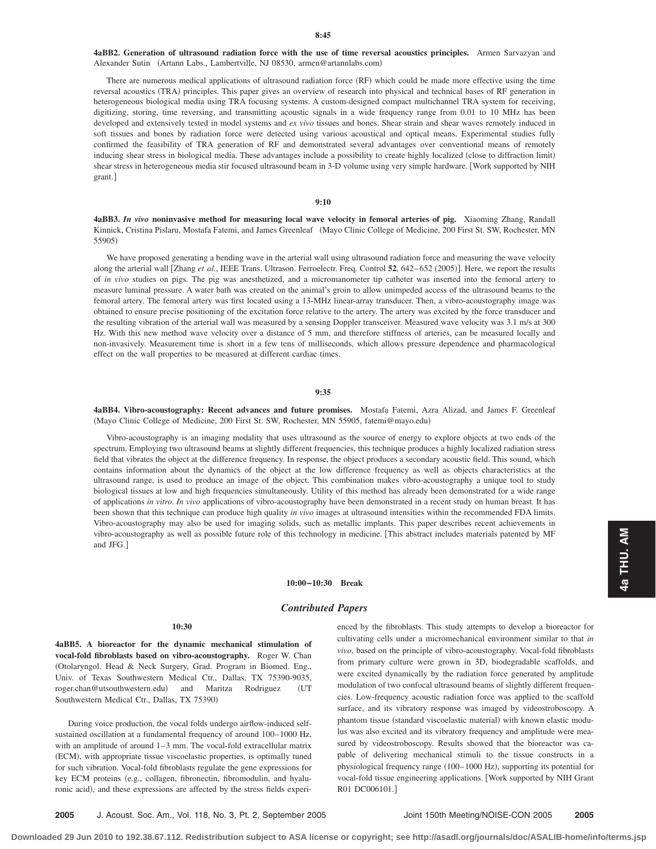# **4aBB2. Generation of ultrasound radiation force with the use of time reversal acoustics principles.** Armen Sarvazyan and Alexander Sutin (Artann Labs., Lambertville, NJ 08530, armen@artannlabs.com)

There are numerous medical applications of ultrasound radiation force (RF) which could be made more effective using the time reversal acoustics (TRA) principles. This paper gives an overview of research into physical and technical bases of RF generation in heterogeneous biological media using TRA focusing systems. A custom-designed compact multichannel TRA system for receiving, digitizing, storing, time reversing, and transmitting acoustic signals in a wide frequency range from 0.01 to 10 MHz has been developed and extensively tested in model systems and *ex vivo* tissues and bones. Shear strain and shear waves remotely induced in soft tissues and bones by radiation force were detected using various acoustical and optical means. Experimental studies fully confirmed the feasibility of TRA generation of RF and demonstrated several advantages over conventional means of remotely inducing shear stress in biological media. These advantages include a possibility to create highly localized (close to diffraction limit) shear stress in heterogeneous media stir focused ultrasound beam in 3-D volume using very simple hardware. Work supported by NIH grant.

# **9:10**

**4aBB3.** *In vivo* **noninvasive method for measuring local wave velocity in femoral arteries of pig.** Xiaoming Zhang, Randall Kinnick, Cristina Pislaru, Mostafa Fatemi, and James Greenleaf (Mayo Clinic College of Medicine, 200 First St. SW, Rochester, MN 55905)

We have proposed generating a bending wave in the arterial wall using ultrasound radiation force and measuring the wave velocity along the arterial wall [Zhang *et al.*, IEEE Trans. Ultrason. Ferroelectr. Freq. Control 52, 642–652 (2005)]. Here, we report the results of *in vivo* studies on pigs. The pig was anesthetized, and a micromanometer tip catheter was inserted into the femoral artery to measure luminal pressure. A water bath was created on the animal's groin to allow unimpeded access of the ultrasound beams to the femoral artery. The femoral artery was first located using a 13-MHz linear-array transducer. Then, a vibro-acoustography image was obtained to ensure precise positioning of the excitation force relative to the artery. The artery was excited by the force transducer and the resulting vibration of the arterial wall was measured by a sensing Doppler transceiver. Measured wave velocity was 3.1 m/s at 300 Hz. With this new method wave velocity over a distance of 5 mm, and therefore stiffness of arteries, can be measured locally and non-invasively. Measurement time is short in a few tens of milliseconds, which allows pressure dependence and pharmacological effect on the wall properties to be measured at different cardiac times.

#### **9:35**

**4aBB4. Vibro-acoustography: Recent advances and future promises.** Mostafa Fatemi, Azra Alizad, and James F. Greenleaf (Mayo Clinic College of Medicine, 200 First St. SW, Rochester, MN 55905, fatemi@mayo.edu)

Vibro-acoustography is an imaging modality that uses ultrasound as the source of energy to explore objects at two ends of the spectrum. Employing two ultrasound beams at slightly different frequencies, this technique produces a highly localized radiation stress field that vibrates the object at the difference frequency. In response, the object produces a secondary acoustic field. This sound, which contains information about the dynamics of the object at the low difference frequency as well as objects characteristics at the ultrasound range, is used to produce an image of the object. This combination makes vibro-acoustography a unique tool to study biological tissues at low and high frequencies simultaneously. Utility of this method has already been demonstrated for a wide range of applications *in vitro*. *In vivo* applications of vibro-acoustography have been demonstrated in a recent study on human breast. It has been shown that this technique can produce high quality *in vivo* images at ultrasound intensities within the recommended FDA limits. Vibro-acoustography may also be used for imaging solids, such as metallic implants. This paper describes recent achievements in vibro-acoustography as well as possible future role of this technology in medicine. This abstract includes materials patented by MF and JFG.

#### **10:00–10:30 Break**

# *Contributed Papers*

# **10:30**

**4aBB5. A bioreactor for the dynamic mechanical stimulation of vocal-fold fibroblasts based on vibro-acoustography.** Roger W. Chan Otolaryngol. Head & Neck Surgery, Grad. Program in Biomed. Eng., Univ. of Texas Southwestern Medical Ctr., Dallas, TX 75390-9035, roger.chan@utsouthwestern.edu) and Maritza Rodriguez (UT Southwestern Medical Ctr., Dallas, TX 75390)

During voice production, the vocal folds undergo airflow-induced selfsustained oscillation at a fundamental frequency of around 100–1000 Hz, with an amplitude of around 1–3 mm. The vocal-fold extracellular matrix (ECM), with appropriate tissue viscoelastic properties, is optimally tuned for such vibration. Vocal-fold fibroblasts regulate the gene expressions for key ECM proteins (e.g., collagen, fibronectin, fibromodulin, and hyaluronic acid), and these expressions are affected by the stress fields experienced by the fibroblasts. This study attempts to develop a bioreactor for cultivating cells under a micromechanical environment similar to that *in vivo*, based on the principle of vibro-acoustography. Vocal-fold fibroblasts from primary culture were grown in 3D, biodegradable scaffolds, and were excited dynamically by the radiation force generated by amplitude modulation of two confocal ultrasound beams of slightly different frequencies. Low-frequency acoustic radiation force was applied to the scaffold surface, and its vibratory response was imaged by videostroboscopy. A phantom tissue (standard viscoelastic material) with known elastic modulus was also excited and its vibratory frequency and amplitude were measured by videostroboscopy. Results showed that the bioreactor was capable of delivering mechanical stimuli to the tissue constructs in a physiological frequency range (100–1000 Hz), supporting its potential for vocal-fold tissue engineering applications. Work supported by NIH Grant R01 DC006101.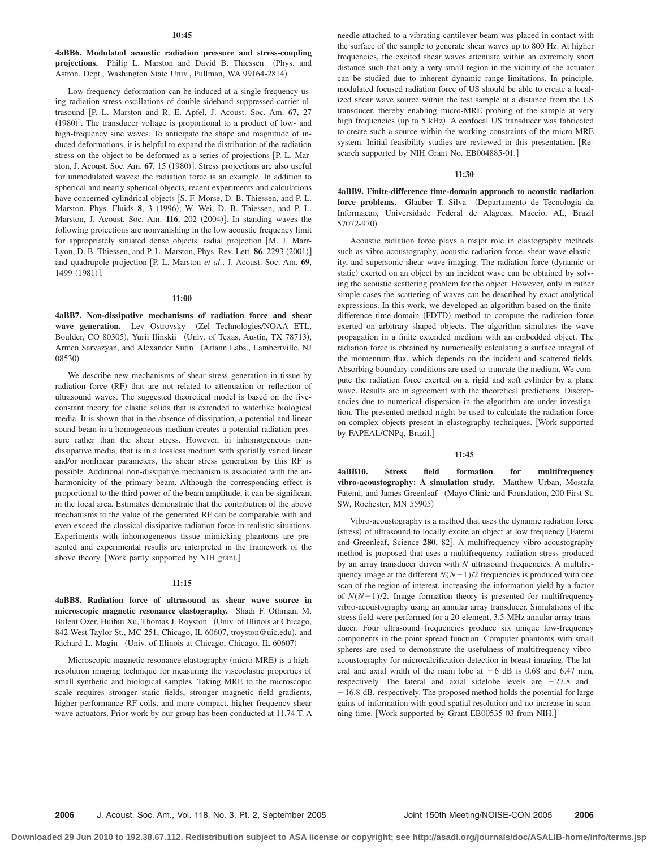#### **10:45**

**4aBB6. Modulated acoustic radiation pressure and stress-coupling** projections. Philip L. Marston and David B. Thiessen (Phys. and Astron. Dept., Washington State Univ., Pullman, WA 99164-2814)

Low-frequency deformation can be induced at a single frequency using radiation stress oscillations of double-sideband suppressed-carrier ultrasound [P. L. Marston and R. E. Apfel, J. Acoust. Soc. Am. 67, 27 (1980)]. The transducer voltage is proportional to a product of low- and high-frequency sine waves. To anticipate the shape and magnitude of induced deformations, it is helpful to expand the distribution of the radiation stress on the object to be deformed as a series of projections [P. L. Marston, J. Acoust. Soc. Am. 67, 15 (1980)]. Stress projections are also useful for unmodulated waves: the radiation force is an example. In addition to spherical and nearly spherical objects, recent experiments and calculations have concerned cylindrical objects [S. F. Morse, D. B. Thiessen, and P. L. Marston, Phys. Fluids 8, 3 (1996); W. Wei, D. B. Thiessen, and P. L. Marston, J. Acoust. Soc. Am. 116, 202 (2004)]. In standing waves the following projections are nonvanishing in the low acoustic frequency limit for appropriately situated dense objects: radial projection [M. J. Marr-Lyon, D. B. Thiessen, and P. L. Marston, Phys. Rev. Lett. **86**, 2293 (2001)] and quadrupole projection [P. L. Marston *et al.*, J. Acoust. Soc. Am. 69, 1499 (1981)].

#### **11:00**

**4aBB7. Non-dissipative mechanisms of radiation force and shear** wave generation. Lev Ostrovsky (Zel Technologies/NOAA ETL, Boulder, CO 80305), Yurii Ilinskii (Univ. of Texas, Austin, TX 78713), Armen Sarvazyan, and Alexander Sutin (Artann Labs., Lambertville, NJ 08530)

We describe new mechanisms of shear stress generation in tissue by radiation force (RF) that are not related to attenuation or reflection of ultrasound waves. The suggested theoretical model is based on the fiveconstant theory for elastic solids that is extended to waterlike biological media. It is shown that in the absence of dissipation, a potential and linear sound beam in a homogeneous medium creates a potential radiation pressure rather than the shear stress. However, in inhomogeneous nondissipative media, that is in a lossless medium with spatially varied linear and/or nonlinear parameters, the shear stress generation by this RF is possible. Additional non-dissipative mechanism is associated with the anharmonicity of the primary beam. Although the corresponding effect is proportional to the third power of the beam amplitude, it can be significant in the focal area. Estimates demonstrate that the contribution of the above mechanisms to the value of the generated RF can be comparable with and even exceed the classical dissipative radiation force in realistic situations. Experiments with inhomogeneous tissue mimicking phantoms are presented and experimental results are interpreted in the framework of the above theory. [Work partly supported by NIH grant.]

#### **11:15**

# **4aBB8. Radiation force of ultrasound as shear wave source in microscopic magnetic resonance elastography.** Shadi F. Othman, M. Bulent Ozer, Huihui Xu, Thomas J. Royston (Univ. of Illinois at Chicago, 842 West Taylor St., MC 251, Chicago, IL 60607, troyston@uic.edu), and Richard L. Magin (Univ. of Illinois at Chicago, Chicago, IL 60607)

Microscopic magnetic resonance elastography (micro-MRE) is a highresolution imaging technique for measuring the viscoelastic properties of small synthetic and biological samples. Taking MRE to the microscopic scale requires stronger static fields, stronger magnetic field gradients, higher performance RF coils, and more compact, higher frequency shear wave actuators. Prior work by our group has been conducted at 11.74 T. A

needle attached to a vibrating cantilever beam was placed in contact with the surface of the sample to generate shear waves up to 800 Hz. At higher frequencies, the excited shear waves attenuate within an extremely short distance such that only a very small region in the vicinity of the actuator can be studied due to inherent dynamic range limitations. In principle, modulated focused radiation force of US should be able to create a localized shear wave source within the test sample at a distance from the US transducer, thereby enabling micro-MRE probing of the sample at very high frequencies (up to 5 kHz). A confocal US transducer was fabricated to create such a source within the working constraints of the micro-MRE system. Initial feasibility studies are reviewed in this presentation. Research supported by NIH Grant No. EB004885-01.]

### **11:30**

**4aBB9. Finite-difference time-domain approach to acoustic radiation** force problems. Glauber T. Silva (Departamento de Tecnologia da Informacao, Universidade Federal de Alagoas, Maceio, AL, Brazil 57072-970)

Acoustic radiation force plays a major role in elastography methods such as vibro-acoustography, acoustic radiation force, shear wave elasticity, and supersonic shear wave imaging. The radiation force (dynamic or static) exerted on an object by an incident wave can be obtained by solving the acoustic scattering problem for the object. However, only in rather simple cases the scattering of waves can be described by exact analytical expressions. In this work, we developed an algorithm based on the finitedifference time-domain (FDTD) method to compute the radiation force exerted on arbitrary shaped objects. The algorithm simulates the wave propagation in a finite extended medium with an embedded object. The radiation force is obtained by numerically calculating a surface integral of the momentum flux, which depends on the incident and scattered fields. Absorbing boundary conditions are used to truncate the medium. We compute the radiation force exerted on a rigid and soft cylinder by a plane wave. Results are in agreement with the theoretical predictions. Discrepancies due to numerical dispersion in the algorithm are under investigation. The presented method might be used to calculate the radiation force on complex objects present in elastography techniques. [Work supported by FAPEAL/CNPq, Brazil.

#### **11:45**

**4aBB10. Stress field formation for multifrequency vibro-acoustography: A simulation study.** Matthew Urban, Mostafa Fatemi, and James Greenleaf (Mayo Clinic and Foundation, 200 First St. SW, Rochester, MN 55905)

Vibro-acoustography is a method that uses the dynamic radiation force (stress) of ultrasound to locally excite an object at low frequency [Fatemi and Greenleaf, Science 280, 82]. A multifrequency vibro-acoustography method is proposed that uses a multifrequency radiation stress produced by an array transducer driven with *N* ultrasound frequencies. A multifrequency image at the different  $N(N-1)/2$  frequencies is produced with one scan of the region of interest, increasing the information yield by a factor of  $N(N-1)/2$ . Image formation theory is presented for multifrequency vibro-acoustography using an annular array transducer. Simulations of the stress field were performed for a 20-element, 3.5-MHz annular array transducer. Four ultrasound frequencies produce six unique low-frequency components in the point spread function. Computer phantoms with small spheres are used to demonstrate the usefulness of multifrequency vibroacoustography for microcalcification detection in breast imaging. The lateral and axial width of the main lobe at  $-6$  dB is 0.68 and 6.47 mm, respectively. The lateral and axial sidelobe levels are  $-27.8$  and -16.8 dB, respectively. The proposed method holds the potential for large gains of information with good spatial resolution and no increase in scanning time. [Work supported by Grant EB00535-03 from NIH.]

**2006** J. Acoust. Soc. Am., Vol. 118, No. 3, Pt. 2, September 2005 Joint 150th Meeting/NOISE-CON 2005 **2006**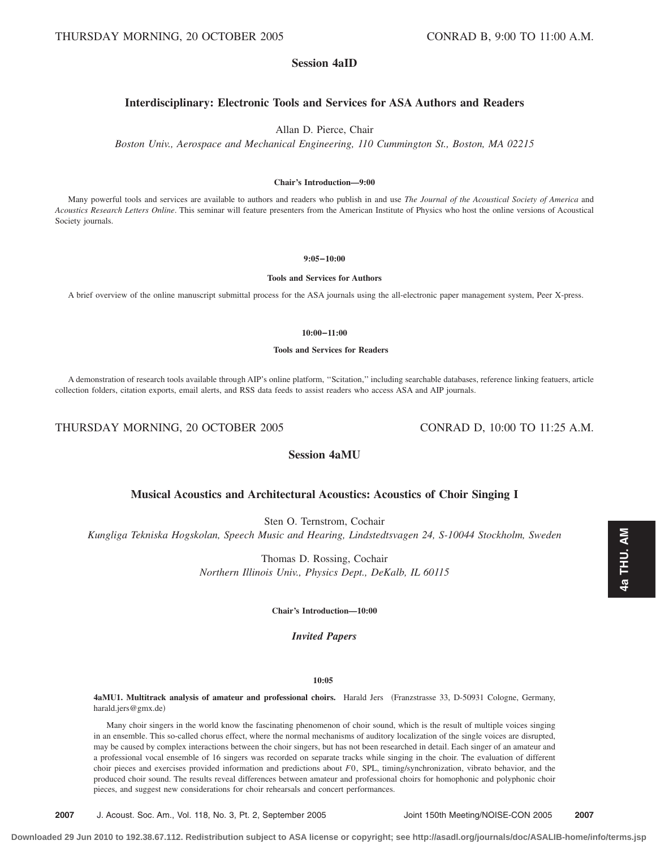# **Session 4aID**

# **Interdisciplinary: Electronic Tools and Services for ASA Authors and Readers**

Allan D. Pierce, Chair

*Boston Univ., Aerospace and Mechanical Engineering, 110 Cummington St., Boston, MA 02215*

### **Chair's Introduction—9:00**

Many powerful tools and services are available to authors and readers who publish in and use *The Journal of the Acoustical Society of America* and *Acoustics Research Letters Online*. This seminar will feature presenters from the American Institute of Physics who host the online versions of Acoustical Society journals.

**9:05–10:00**

**Tools and Services for Authors**

A brief overview of the online manuscript submittal process for the ASA journals using the all-electronic paper management system, Peer X-press.

**10:00–11:00**

#### **Tools and Services for Readers**

A demonstration of research tools available through AIP's online platform, ''Scitation,'' including searchable databases, reference linking featuers, article collection folders, citation exports, email alerts, and RSS data feeds to assist readers who access ASA and AIP journals.

THURSDAY MORNING, 20 OCTOBER 2005 CONRAD D, 10:00 TO 11:25 A.M.

# **Session 4aMU**

# **Musical Acoustics and Architectural Acoustics: Acoustics of Choir Singing I**

Sten O. Ternstrom, Cochair

*Kungliga Tekniska Hogskolan, Speech Music and Hearing, Lindstedtsvagen 24, S-10044 Stockholm, Sweden*

Thomas D. Rossing, Cochair *Northern Illinois Univ., Physics Dept., DeKalb, IL 60115*

**Chair's Introduction—10:00**

# *Invited Papers*

### **10:05**

4aMU1. Multitrack analysis of amateur and professional choirs. Harald Jers (Franzstrasse 33, D-50931 Cologne, Germany, harald.jers@gmx.de)

Many choir singers in the world know the fascinating phenomenon of choir sound, which is the result of multiple voices singing in an ensemble. This so-called chorus effect, where the normal mechanisms of auditory localization of the single voices are disrupted, may be caused by complex interactions between the choir singers, but has not been researched in detail. Each singer of an amateur and a professional vocal ensemble of 16 singers was recorded on separate tracks while singing in the choir. The evaluation of different choir pieces and exercises provided information and predictions about *F*0, SPL, timing/synchronization, vibrato behavior, and the produced choir sound. The results reveal differences between amateur and professional choirs for homophonic and polyphonic choir pieces, and suggest new considerations for choir rehearsals and concert performances.

**2007** J. Acoust. Soc. Am., Vol. 118, No. 3, Pt. 2, September 2005 Joint 150th Meeting/NOISE-CON 2005 **2007**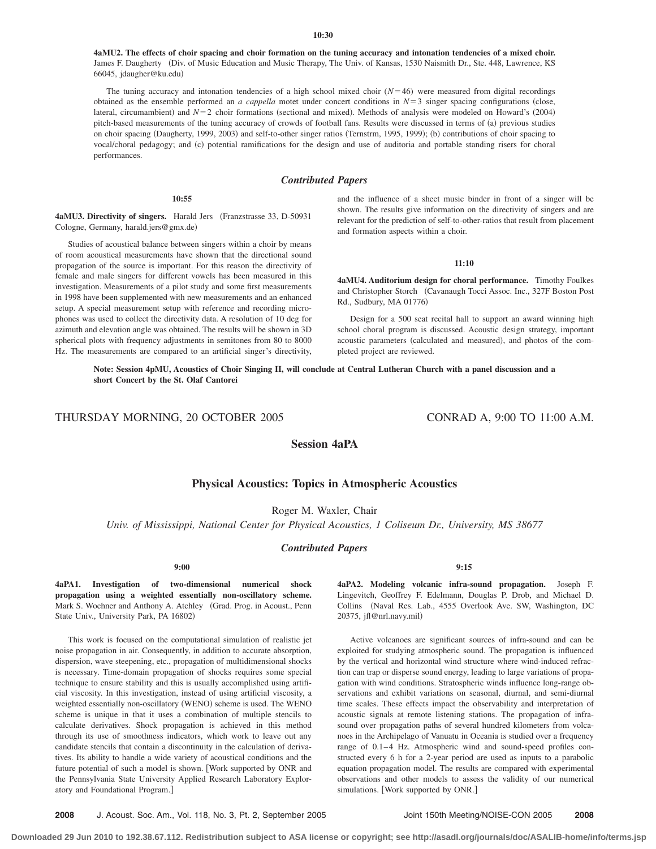**4aMU2. The effects of choir spacing and choir formation on the tuning accuracy and intonation tendencies of a mixed choir.** James F. Daugherty (Div. of Music Education and Music Therapy, The Univ. of Kansas, 1530 Naismith Dr., Ste. 448, Lawrence, KS 66045, jdaugher@ku.edu-

The tuning accuracy and intonation tendencies of a high school mixed choir  $(N=46)$  were measured from digital recordings obtained as the ensemble performed an *a cappella* motet under concert conditions in  $N=3$  singer spacing configurations (close, lateral, circumambient) and *N*=2 choir formations (sectional and mixed). Methods of analysis were modeled on Howard's (2004) pitch-based measurements of the tuning accuracy of crowds of football fans. Results were discussed in terms of (a) previous studies on choir spacing (Daugherty, 1999, 2003) and self-to-other singer ratios (Ternstrm, 1995, 1999); (b) contributions of choir spacing to vocal/choral pedagogy; and (c) potential ramifications for the design and use of auditoria and portable standing risers for choral performances.

### *Contributed Papers*

#### **10:55**

4aMU3. Directivity of singers. Harald Jers (Franzstrasse 33, D-50931 Cologne, Germany, harald.jers@gmx.de-

Studies of acoustical balance between singers within a choir by means of room acoustical measurements have shown that the directional sound propagation of the source is important. For this reason the directivity of female and male singers for different vowels has been measured in this investigation. Measurements of a pilot study and some first measurements in 1998 have been supplemented with new measurements and an enhanced setup. A special measurement setup with reference and recording microphones was used to collect the directivity data. A resolution of 10 deg for azimuth and elevation angle was obtained. The results will be shown in 3D spherical plots with frequency adjustments in semitones from 80 to 8000 Hz. The measurements are compared to an artificial singer's directivity,

and the influence of a sheet music binder in front of a singer will be shown. The results give information on the directivity of singers and are relevant for the prediction of self-to-other-ratios that result from placement and formation aspects within a choir.

### **11:10**

**4aMU4. Auditorium design for choral performance.** Timothy Foulkes and Christopher Storch Cavanaugh Tocci Assoc. Inc., 327F Boston Post Rd., Sudbury, MA 01776-

Design for a 500 seat recital hall to support an award winning high school choral program is discussed. Acoustic design strategy, important acoustic parameters (calculated and measured), and photos of the completed project are reviewed.

**Note: Session 4pMU, Acoustics of Choir Singing II, will conclude at Central Lutheran Church with a panel discussion and a short Concert by the St. Olaf Cantorei**

# THURSDAY MORNING, 20 OCTOBER 2005 CONRAD A, 9:00 TO 11:00 A.M.

# **Physical Acoustics: Topics in Atmospheric Acoustics**

**Session 4aPA**

Roger M. Waxler, Chair

*Univ. of Mississippi, National Center for Physical Acoustics, 1 Coliseum Dr., University, MS 38677*

## *Contributed Papers*

#### **9:00**

**4aPA1. Investigation of two-dimensional numerical shock propagation using a weighted essentially non-oscillatory scheme.** Mark S. Wochner and Anthony A. Atchley Grad. Prog. in Acoust., Penn State Univ., University Park, PA 16802)

This work is focused on the computational simulation of realistic jet noise propagation in air. Consequently, in addition to accurate absorption, dispersion, wave steepening, etc., propagation of multidimensional shocks is necessary. Time-domain propagation of shocks requires some special technique to ensure stability and this is usually accomplished using artificial viscosity. In this investigation, instead of using artificial viscosity, a weighted essentially non-oscillatory (WENO) scheme is used. The WENO scheme is unique in that it uses a combination of multiple stencils to calculate derivatives. Shock propagation is achieved in this method through its use of smoothness indicators, which work to leave out any candidate stencils that contain a discontinuity in the calculation of derivatives. Its ability to handle a wide variety of acoustical conditions and the future potential of such a model is shown. [Work supported by ONR and the Pennsylvania State University Applied Research Laboratory Exploratory and Foundational Program.

**9:15**

**4aPA2. Modeling volcanic infra-sound propagation.** Joseph F. Lingevitch, Geoffrey F. Edelmann, Douglas P. Drob, and Michael D. Collins (Naval Res. Lab., 4555 Overlook Ave. SW, Washington, DC 20375, jfl@nrl.navy.mil-

Active volcanoes are significant sources of infra-sound and can be exploited for studying atmospheric sound. The propagation is influenced by the vertical and horizontal wind structure where wind-induced refraction can trap or disperse sound energy, leading to large variations of propagation with wind conditions. Stratospheric winds influence long-range observations and exhibit variations on seasonal, diurnal, and semi-diurnal time scales. These effects impact the observability and interpretation of acoustic signals at remote listening stations. The propagation of infrasound over propagation paths of several hundred kilometers from volcanoes in the Archipelago of Vanuatu in Oceania is studied over a frequency range of 0.1–4 Hz. Atmospheric wind and sound-speed profiles constructed every 6 h for a 2-year period are used as inputs to a parabolic equation propagation model. The results are compared with experimental observations and other models to assess the validity of our numerical simulations. [Work supported by ONR.]

**2008** J. Acoust. Soc. Am., Vol. 118, No. 3, Pt. 2, September 2005 Joint 150th Meeting/NOISE-CON 2005 **2008**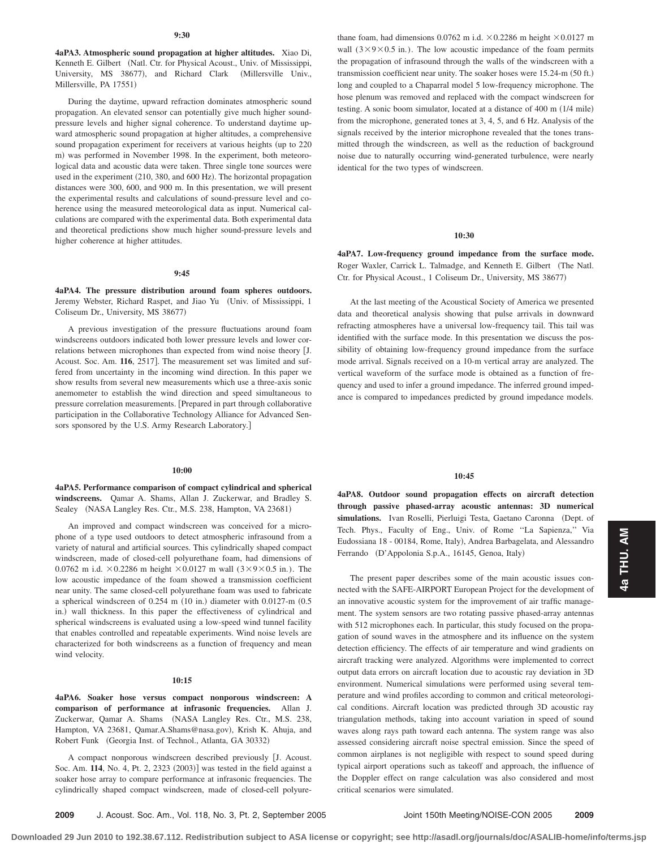**4aPA3. Atmospheric sound propagation at higher altitudes.** Xiao Di, Kenneth E. Gilbert (Natl. Ctr. for Physical Acoust., Univ. of Mississippi, University, MS 38677), and Richard Clark (Millersville Univ., Millersville, PA 17551)

During the daytime, upward refraction dominates atmospheric sound propagation. An elevated sensor can potentially give much higher soundpressure levels and higher signal coherence. To understand daytime upward atmospheric sound propagation at higher altitudes, a comprehensive sound propagation experiment for receivers at various heights (up to 220) m) was performed in November 1998. In the experiment, both meteorological data and acoustic data were taken. Three single tone sources were used in the experiment (210, 380, and 600 Hz). The horizontal propagation distances were 300, 600, and 900 m. In this presentation, we will present the experimental results and calculations of sound-pressure level and coherence using the measured meteorological data as input. Numerical calculations are compared with the experimental data. Both experimental data and theoretical predictions show much higher sound-pressure levels and higher coherence at higher attitudes.

#### **9:45**

**4aPA4. The pressure distribution around foam spheres outdoors.** Jeremy Webster, Richard Raspet, and Jiao Yu Univ. of Mississippi, 1 Coliseum Dr., University, MS 38677)

A previous investigation of the pressure fluctuations around foam windscreens outdoors indicated both lower pressure levels and lower correlations between microphones than expected from wind noise theory [J. Acoust. Soc. Am. 116, 2517]. The measurement set was limited and suffered from uncertainty in the incoming wind direction. In this paper we show results from several new measurements which use a three-axis sonic anemometer to establish the wind direction and speed simultaneous to pressure correlation measurements. [Prepared in part through collaborative participation in the Collaborative Technology Alliance for Advanced Sensors sponsored by the U.S. Army Research Laboratory.]

# **10:00**

**4aPA5. Performance comparison of compact cylindrical and spherical windscreens.** Qamar A. Shams, Allan J. Zuckerwar, and Bradley S. Sealey (NASA Langley Res. Ctr., M.S. 238, Hampton, VA 23681)

An improved and compact windscreen was conceived for a microphone of a type used outdoors to detect atmospheric infrasound from a variety of natural and artificial sources. This cylindrically shaped compact windscreen, made of closed-cell polyurethane foam, had dimensions of 0.0762 m i.d.  $\times$  0.2286 m height  $\times$  0.0127 m wall (3 $\times$ 9 $\times$ 0.5 in.). The low acoustic impedance of the foam showed a transmission coefficient near unity. The same closed-cell polyurethane foam was used to fabricate a spherical windscreen of 0.254 m (10 in.) diameter with 0.0127-m (0.5 in.) wall thickness. In this paper the effectiveness of cylindrical and spherical windscreens is evaluated using a low-speed wind tunnel facility that enables controlled and repeatable experiments. Wind noise levels are characterized for both windscreens as a function of frequency and mean wind velocity.

#### **10:15**

**4aPA6. Soaker hose versus compact nonporous windscreen: A comparison of performance at infrasonic frequencies.** Allan J. Zuckerwar, Qamar A. Shams (NASA Langley Res. Ctr., M.S. 238, Hampton, VA 23681, Qamar.A.Shams@nasa.gov), Krish K. Ahuja, and Robert Funk (Georgia Inst. of Technol., Atlanta, GA 30332)

A compact nonporous windscreen described previously [J. Acoust. Soc. Am. 114, No. 4, Pt. 2, 2323 (2003)] was tested in the field against a soaker hose array to compare performance at infrasonic frequencies. The cylindrically shaped compact windscreen, made of closed-cell polyurethane foam, had dimensions 0.0762 m i.d.  $\times$  0.2286 m height  $\times$  0.0127 m wall  $(3\times9\times0.5$  in.). The low acoustic impedance of the foam permits the propagation of infrasound through the walls of the windscreen with a transmission coefficient near unity. The soaker hoses were 15.24-m (50 ft.) long and coupled to a Chaparral model 5 low-frequency microphone. The hose plenum was removed and replaced with the compact windscreen for testing. A sonic boom simulator, located at a distance of 400 m (1/4 mile) from the microphone, generated tones at 3, 4, 5, and 6 Hz. Analysis of the signals received by the interior microphone revealed that the tones transmitted through the windscreen, as well as the reduction of background noise due to naturally occurring wind-generated turbulence, were nearly identical for the two types of windscreen.

### **10:30**

**4aPA7. Low-frequency ground impedance from the surface mode.** Roger Waxler, Carrick L. Talmadge, and Kenneth E. Gilbert (The Natl. Ctr. for Physical Acoust., 1 Coliseum Dr., University, MS 38677-

At the last meeting of the Acoustical Society of America we presented data and theoretical analysis showing that pulse arrivals in downward refracting atmospheres have a universal low-frequency tail. This tail was identified with the surface mode. In this presentation we discuss the possibility of obtaining low-frequency ground impedance from the surface mode arrival. Signals received on a 10-m vertical array are analyzed. The vertical waveform of the surface mode is obtained as a function of frequency and used to infer a ground impedance. The inferred ground impedance is compared to impedances predicted by ground impedance models.

#### **10:45**

**4aPA8. Outdoor sound propagation effects on aircraft detection through passive phased-array acoustic antennas: 3D numerical** simulations. Ivan Roselli, Pierluigi Testa, Gaetano Caronna (Dept. of Tech. Phys., Faculty of Eng., Univ. of Rome ''La Sapienza,'' Via Eudossiana 18 - 00184, Rome, Italy), Andrea Barbagelata, and Alessandro Ferrando (D'Appolonia S.p.A., 16145, Genoa, Italy)

The present paper describes some of the main acoustic issues connected with the SAFE-AIRPORT European Project for the development of an innovative acoustic system for the improvement of air traffic management. The system sensors are two rotating passive phased-array antennas with 512 microphones each. In particular, this study focused on the propagation of sound waves in the atmosphere and its influence on the system detection efficiency. The effects of air temperature and wind gradients on aircraft tracking were analyzed. Algorithms were implemented to correct output data errors on aircraft location due to acoustic ray deviation in 3D environment. Numerical simulations were performed using several temperature and wind profiles according to common and critical meteorological conditions. Aircraft location was predicted through 3D acoustic ray triangulation methods, taking into account variation in speed of sound waves along rays path toward each antenna. The system range was also assessed considering aircraft noise spectral emission. Since the speed of common airplanes is not negligible with respect to sound speed during typical airport operations such as takeoff and approach, the influence of the Doppler effect on range calculation was also considered and most critical scenarios were simulated.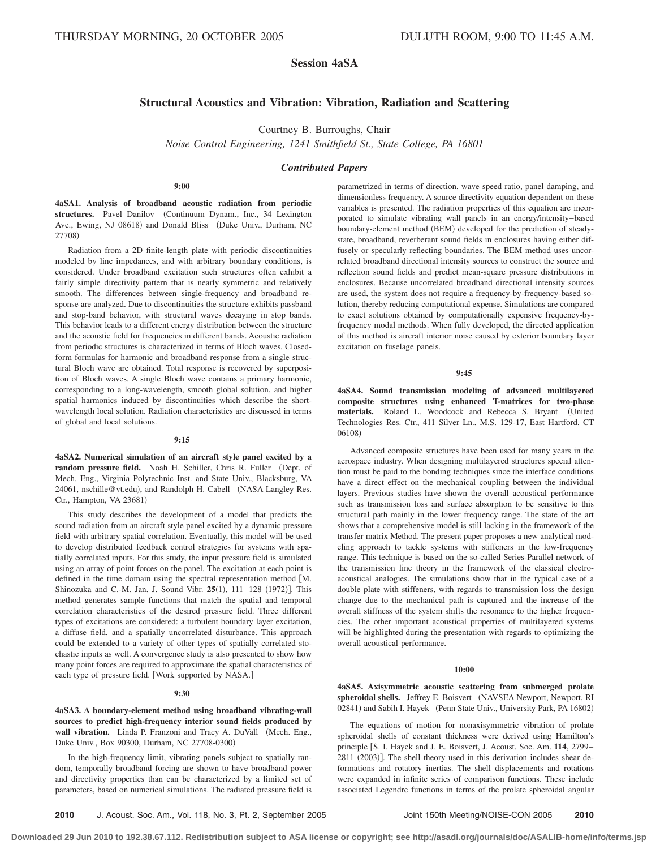# **Session 4aSA**

# **Structural Acoustics and Vibration: Vibration, Radiation and Scattering**

Courtney B. Burroughs, Chair

*Noise Control Engineering, 1241 Smithfield St., State College, PA 16801*

*Contributed Papers*

#### **9:00**

**4aSA1. Analysis of broadband acoustic radiation from periodic** structures. Pavel Danilov (Continuum Dynam., Inc., 34 Lexington Ave., Ewing, NJ 08618) and Donald Bliss (Duke Univ., Durham, NC 27708)

Radiation from a 2D finite-length plate with periodic discontinuities modeled by line impedances, and with arbitrary boundary conditions, is considered. Under broadband excitation such structures often exhibit a fairly simple directivity pattern that is nearly symmetric and relatively smooth. The differences between single-frequency and broadband response are analyzed. Due to discontinuities the structure exhibits passband and stop-band behavior, with structural waves decaying in stop bands. This behavior leads to a different energy distribution between the structure and the acoustic field for frequencies in different bands. Acoustic radiation from periodic structures is characterized in terms of Bloch waves. Closedform formulas for harmonic and broadband response from a single structural Bloch wave are obtained. Total response is recovered by superposition of Bloch waves. A single Bloch wave contains a primary harmonic, corresponding to a long-wavelength, smooth global solution, and higher spatial harmonics induced by discontinuities which describe the shortwavelength local solution. Radiation characteristics are discussed in terms of global and local solutions.

#### **9:15**

**4aSA2. Numerical simulation of an aircraft style panel excited by a** random pressure field. Noah H. Schiller, Chris R. Fuller (Dept. of Mech. Eng., Virginia Polytechnic Inst. and State Univ., Blacksburg, VA 24061, nschille@vt.edu), and Randolph H. Cabell (NASA Langley Res. Ctr., Hampton, VA 23681)

This study describes the development of a model that predicts the sound radiation from an aircraft style panel excited by a dynamic pressure field with arbitrary spatial correlation. Eventually, this model will be used to develop distributed feedback control strategies for systems with spatially correlated inputs. For this study, the input pressure field is simulated using an array of point forces on the panel. The excitation at each point is defined in the time domain using the spectral representation method [M. Shinozuka and C.-M. Jan, J. Sound Vibr. 25(1), 111–128 (1972)]. This method generates sample functions that match the spatial and temporal correlation characteristics of the desired pressure field. Three different types of excitations are considered: a turbulent boundary layer excitation, a diffuse field, and a spatially uncorrelated disturbance. This approach could be extended to a variety of other types of spatially correlated stochastic inputs as well. A convergence study is also presented to show how many point forces are required to approximate the spatial characteristics of each type of pressure field. Work supported by NASA.

#### **9:30**

**4aSA3. A boundary-element method using broadband vibrating-wall sources to predict high-frequency interior sound fields produced by** wall vibration. Linda P. Franzoni and Tracy A. DuVall (Mech. Eng., Duke Univ., Box 90300, Durham, NC 27708-0300-

In the high-frequency limit, vibrating panels subject to spatially random, temporally broadband forcing are shown to have broadband power and directivity properties than can be characterized by a limited set of parameters, based on numerical simulations. The radiated pressure field is

parametrized in terms of direction, wave speed ratio, panel damping, and dimensionless frequency. A source directivity equation dependent on these variables is presented. The radiation properties of this equation are incorporated to simulate vibrating wall panels in an energy/intensity–based boundary-element method (BEM) developed for the prediction of steadystate, broadband, reverberant sound fields in enclosures having either diffusely or specularly reflecting boundaries. The BEM method uses uncorrelated broadband directional intensity sources to construct the source and reflection sound fields and predict mean-square pressure distributions in enclosures. Because uncorrelated broadband directional intensity sources are used, the system does not require a frequency-by-frequency-based solution, thereby reducing computational expense. Simulations are compared to exact solutions obtained by computationally expensive frequency-byfrequency modal methods. When fully developed, the directed application of this method is aircraft interior noise caused by exterior boundary layer excitation on fuselage panels.

#### **9:45**

**4aSA4. Sound transmission modeling of advanced multilayered composite structures using enhanced T-matrices for two-phase materials.** Roland L. Woodcock and Rebecca S. Bryant United Technologies Res. Ctr., 411 Silver Ln., M.S. 129-17, East Hartford, CT 06108)

Advanced composite structures have been used for many years in the aerospace industry. When designing multilayered structures special attention must be paid to the bonding techniques since the interface conditions have a direct effect on the mechanical coupling between the individual layers. Previous studies have shown the overall acoustical performance such as transmission loss and surface absorption to be sensitive to this structural path mainly in the lower frequency range. The state of the art shows that a comprehensive model is still lacking in the framework of the transfer matrix Method. The present paper proposes a new analytical modeling approach to tackle systems with stiffeners in the low-frequency range. This technique is based on the so-called Series-Parallel network of the transmission line theory in the framework of the classical electroacoustical analogies. The simulations show that in the typical case of a double plate with stiffeners, with regards to transmission loss the design change due to the mechanical path is captured and the increase of the overall stiffness of the system shifts the resonance to the higher frequencies. The other important acoustical properties of multilayered systems will be highlighted during the presentation with regards to optimizing the overall acoustical performance.

#### **10:00**

**4aSA5. Axisymmetric acoustic scattering from submerged prolate** spheroidal shells. Jeffrey E. Boisvert (NAVSEA Newport, Newport, RI 02841) and Sabih I. Hayek (Penn State Univ., University Park, PA 16802)

The equations of motion for nonaxisymmetric vibration of prolate spheroidal shells of constant thickness were derived using Hamilton's principle [S. I. Hayek and J. E. Boisvert, J. Acoust. Soc. Am. 114, 2799– 2811 (2003)]. The shell theory used in this derivation includes shear deformations and rotatory inertias. The shell displacements and rotations were expanded in infinite series of comparison functions. These include associated Legendre functions in terms of the prolate spheroidal angular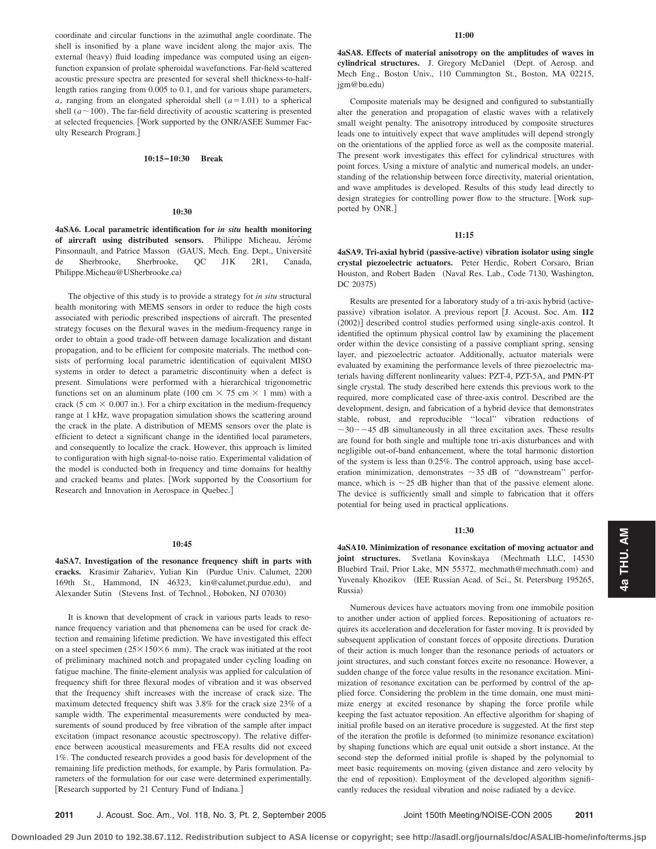coordinate and circular functions in the azimuthal angle coordinate. The shell is insonified by a plane wave incident along the major axis. The external (heavy) fluid loading impedance was computed using an eigenfunction expansion of prolate spheroidal wavefunctions. Far-field scattered acoustic pressure spectra are presented for several shell thickness-to-halflength ratios ranging from 0.005 to 0.1, and for various shape parameters, *a*, ranging from an elongated spheroidal shell  $(a=1.01)$  to a spherical shell  $(a \sim 100)$ . The far-field directivity of acoustic scattering is presented at selected frequencies. Work supported by the ONR/ASEE Summer Faculty Research Program.

### **10:15–10:30 Break**

#### **10:30**

**4aSA6. Local parametric identification for** *in situ* **health monitoring** of aircraft using distributed sensors. Philippe Micheau, Jérôme Pinsonnault, and Patrice Masson (GAUS, Mech. Eng. Dept., Université de Sherbrooke, Sherbrooke, QC J1K 2R1, Canada, Philippe.Micheau@USherbrooke.ca)

The objective of this study is to provide a strategy for *in situ* structural health monitoring with MEMS sensors in order to reduce the high costs associated with periodic prescribed inspections of aircraft. The presented strategy focuses on the flexural waves in the medium-frequency range in order to obtain a good trade-off between damage localization and distant propagation, and to be efficient for composite materials. The method consists of performing local parametric identification of equivalent MISO systems in order to detect a parametric discontinuity when a defect is present. Simulations were performed with a hierarchical trigonometric functions set on an aluminum plate (100 cm  $\times$  75 cm  $\times$  1 mm) with a crack (5 cm  $\times$  0.007 in.). For a chirp excitation in the medium-frequency range at 1 kHz, wave propagation simulation shows the scattering around the crack in the plate. A distribution of MEMS sensors over the plate is efficient to detect a significant change in the identified local parameters, and consequently to localize the crack. However, this approach is limited to configuration with high signal-to-noise ratio. Experimental validation of the model is conducted both in frequency and time domains for healthy and cracked beams and plates. Work supported by the Consortium for Research and Innovation in Aerospace in Quebec.

#### **10:45**

**4aSA7. Investigation of the resonance frequency shift in parts with** cracks. Krasimir Zahariev, Yulian Kin (Purdue Univ. Calumet, 2200 169th St., Hammond, IN 46323, kin@calumet.purdue.edu), and Alexander Sutin (Stevens Inst. of Technol., Hoboken, NJ 07030)

It is known that development of crack in various parts leads to resonance frequency variation and that phenomena can be used for crack detection and remaining lifetime prediction. We have investigated this effect on a steel specimen  $(25 \times 150 \times 6 \text{ mm})$ . The crack was initiated at the root of preliminary machined notch and propagated under cycling loading on fatigue machine. The finite-element analysis was applied for calculation of frequency shift for three flexural modes of vibration and it was observed that the frequency shift increases with the increase of crack size. The maximum detected frequency shift was 3.8% for the crack size 23% of a sample width. The experimental measurements were conducted by measurements of sound produced by free vibration of the sample after impact excitation (impact resonance acoustic spectroscopy). The relative difference between acoustical measurements and FEA results did not exceed 1%. The conducted research provides a good basis for development of the remaining life prediction methods, for example, by Paris formulation. Parameters of the formulation for our case were determined experimentally. Research supported by 21 Century Fund of Indiana.

**4aSA8. Effects of material anisotropy on the amplitudes of waves in** cylindrical structures. J. Gregory McDaniel (Dept. of Aerosp. and Mech Eng., Boston Univ., 110 Cummington St., Boston, MA 02215, jgm@bu.edu)

Composite materials may be designed and configured to substantially alter the generation and propagation of elastic waves with a relatively small weight penalty. The anisotropy introduced by composite structures leads one to intuitively expect that wave amplitudes will depend strongly on the orientations of the applied force as well as the composite material. The present work investigates this effect for cylindrical structures with point forces. Using a mixture of analytic and numerical models, an understanding of the relationship between force directivity, material orientation, and wave amplitudes is developed. Results of this study lead directly to design strategies for controlling power flow to the structure. Work supported by ONR.

#### **11:15**

**4aSA9.** Tri-axial hybrid (passive-active) vibration isolator using single **crystal piezoelectric actuators.** Peter Herdic, Robert Corsaro, Brian Houston, and Robert Baden (Naval Res. Lab., Code 7130, Washington, DC 20375)

Results are presented for a laboratory study of a tri-axis hybrid (activepassive) vibration isolator. A previous report [J. Acoust. Soc. Am. 112 (2002)] described control studies performed using single-axis control. It identified the optimum physical control law by examining the placement order within the device consisting of a passive compliant spring, sensing layer, and piezoelectric actuator. Additionally, actuator materials were evaluated by examining the performance levels of three piezoelectric materials having different nonlinearity values: PZT-4, PZT-5A, and PMN-PT single crystal. The study described here extends this previous work to the required, more complicated case of three-axis control. Described are the development, design, and fabrication of a hybrid device that demonstrates stable, robust, and reproducible ''local'' vibration reductions of  $\sim$  30 $-$  -45 dB simultaneously in all three excitation axes. These results are found for both single and multiple tone tri-axis disturbances and with negligible out-of-band enhancement, where the total harmonic distortion of the system is less than 0.25%. The control approach, using base acceleration minimization, demonstrates  $\sim$  35 dB of "downstream" performance, which is  $\sim$  25 dB higher than that of the passive element alone. The device is sufficiently small and simple to fabrication that it offers potential for being used in practical applications.

#### **11:30**

**4aSA10. Minimization of resonance excitation of moving actuator and joint structures.** Svetlana Kovinskaya (Mechmath LLC, 14530) Bluebird Trail, Prior Lake, MN 55372, mechmath@mechmath.com) and Yuvenaly Khozikov (IEE Russian Acad. of Sci., St. Petersburg 195265, Russia)

Numerous devices have actuators moving from one immobile position to another under action of applied forces. Repositioning of actuators requires its acceleration and deceleration for faster moving. It is provided by subsequent application of constant forces of opposite directions. Duration of their action is much longer than the resonance periods of actuators or joint structures, and such constant forces excite no resonance. However, a sudden change of the force value results in the resonance excitation. Minimization of resonance excitation can be performed by control of the applied force. Considering the problem in the time domain, one must minimize energy at excited resonance by shaping the force profile while keeping the fast actuator reposition. An effective algorithm for shaping of initial profile based on an iterative procedure is suggested. At the first step of the iteration the profile is deformed (to minimize resonance excitation) by shaping functions which are equal unit outside a short instance. At the second step the deformed initial profile is shaped by the polynomial to meet basic requirements on moving (given distance and zero velocity by the end of reposition). Employment of the developed algorithm significantly reduces the residual vibration and noise radiated by a device.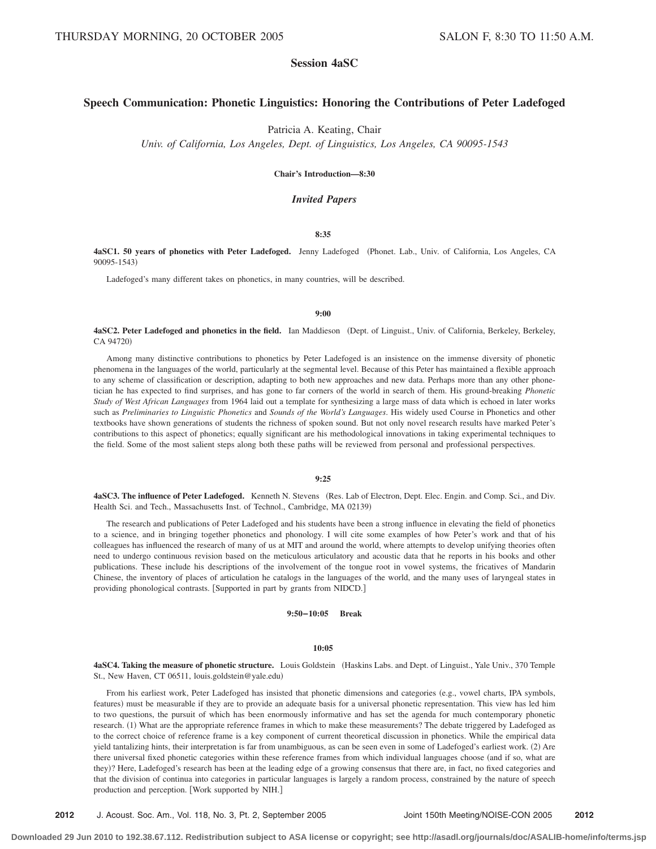# **Session 4aSC**

# **Speech Communication: Phonetic Linguistics: Honoring the Contributions of Peter Ladefoged**

Patricia A. Keating, Chair

*Univ. of California, Los Angeles, Dept. of Linguistics, Los Angeles, CA 90095-1543*

#### **Chair's Introduction—8:30**

# *Invited Papers*

### **8:35**

**4aSC1. 50 years of phonetics with Peter Ladefoged.** Jenny Ladefoged Phonet. Lab., Univ. of California, Los Angeles, CA 90095-1543)

Ladefoged's many different takes on phonetics, in many countries, will be described.

#### **9:00**

### 4aSC2. Peter Ladefoged and phonetics in the field. Ian Maddieson (Dept. of Linguist., Univ. of California, Berkeley, Berkeley, CA 94720)

Among many distinctive contributions to phonetics by Peter Ladefoged is an insistence on the immense diversity of phonetic phenomena in the languages of the world, particularly at the segmental level. Because of this Peter has maintained a flexible approach to any scheme of classification or description, adapting to both new approaches and new data. Perhaps more than any other phonetician he has expected to find surprises, and has gone to far corners of the world in search of them. His ground-breaking *Phonetic Study of West African Languages* from 1964 laid out a template for synthesizing a large mass of data which is echoed in later works such as *Preliminaries to Linguistic Phonetics* and *Sounds of the World's Languages*. His widely used Course in Phonetics and other textbooks have shown generations of students the richness of spoken sound. But not only novel research results have marked Peter's contributions to this aspect of phonetics; equally significant are his methodological innovations in taking experimental techniques to the field. Some of the most salient steps along both these paths will be reviewed from personal and professional perspectives.

#### **9:25**

4aSC3. The influence of Peter Ladefoged. Kenneth N. Stevens (Res. Lab of Electron, Dept. Elec. Engin. and Comp. Sci., and Div. Health Sci. and Tech., Massachusetts Inst. of Technol., Cambridge, MA 02139)

The research and publications of Peter Ladefoged and his students have been a strong influence in elevating the field of phonetics to a science, and in bringing together phonetics and phonology. I will cite some examples of how Peter's work and that of his colleagues has influenced the research of many of us at MIT and around the world, where attempts to develop unifying theories often need to undergo continuous revision based on the meticulous articulatory and acoustic data that he reports in his books and other publications. These include his descriptions of the involvement of the tongue root in vowel systems, the fricatives of Mandarin Chinese, the inventory of places of articulation he catalogs in the languages of the world, and the many uses of laryngeal states in providing phonological contrasts. [Supported in part by grants from NIDCD.]

**9:50–10:05 Break**

#### **10:05**

4aSC4. Taking the measure of phonetic structure. Louis Goldstein (Haskins Labs. and Dept. of Linguist., Yale Univ., 370 Temple St., New Haven, CT 06511, louis.goldstein@yale.edu-

From his earliest work, Peter Ladefoged has insisted that phonetic dimensions and categories (e.g., vowel charts, IPA symbols, features) must be measurable if they are to provide an adequate basis for a universal phonetic representation. This view has led him to two questions, the pursuit of which has been enormously informative and has set the agenda for much contemporary phonetic research. (1) What are the appropriate reference frames in which to make these measurements? The debate triggered by Ladefoged as to the correct choice of reference frame is a key component of current theoretical discussion in phonetics. While the empirical data yield tantalizing hints, their interpretation is far from unambiguous, as can be seen even in some of Ladefoged's earliest work. (2) Are there universal fixed phonetic categories within these reference frames from which individual languages choose (and if so, what are they)? Here, Ladefoged's research has been at the leading edge of a growing consensus that there are, in fact, no fixed categories and that the division of continua into categories in particular languages is largely a random process, constrained by the nature of speech production and perception. [Work supported by NIH.]

**2012** J. Acoust. Soc. Am., Vol. 118, No. 3, Pt. 2, September 2005 Joint 150th Meeting/NOISE-CON 2005 **2012**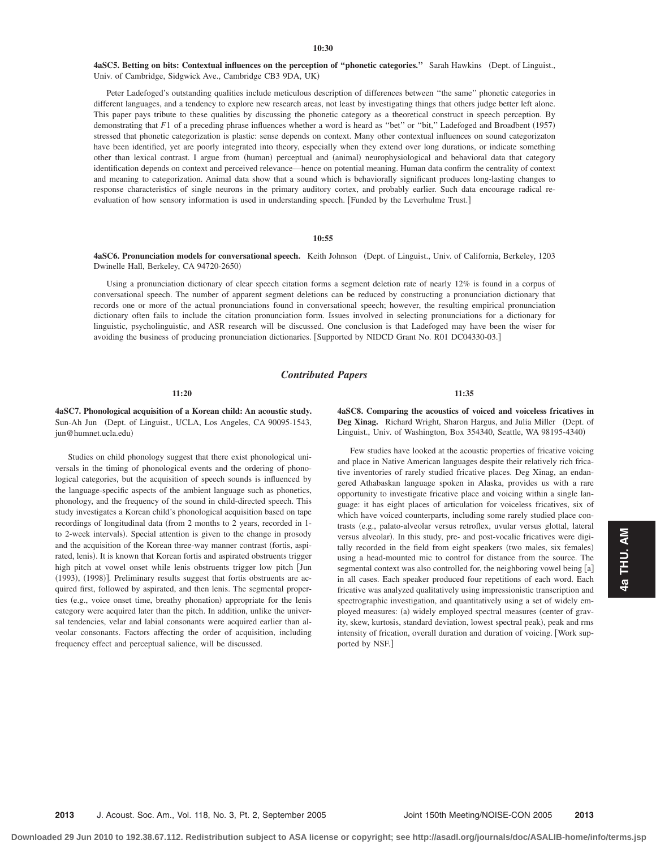4aSC5. Betting on bits: Contextual influences on the perception of "phonetic categories." Sarah Hawkins (Dept. of Linguist., Univ. of Cambridge, Sidgwick Ave., Cambridge CB3 9DA, UK-

Peter Ladefoged's outstanding qualities include meticulous description of differences between ''the same'' phonetic categories in different languages, and a tendency to explore new research areas, not least by investigating things that others judge better left alone. This paper pays tribute to these qualities by discussing the phonetic category as a theoretical construct in speech perception. By demonstrating that *F*1 of a preceding phrase influences whether a word is heard as "bet" or "bit," Ladefoged and Broadbent (1957) stressed that phonetic categorization is plastic: sense depends on context. Many other contextual influences on sound categorizaton have been identified, yet are poorly integrated into theory, especially when they extend over long durations, or indicate something other than lexical contrast. I argue from (human) perceptual and (animal) neurophysiological and behavioral data that category identification depends on context and perceived relevance—hence on potential meaning. Human data confirm the centrality of context and meaning to categorization. Animal data show that a sound which is behaviorally significant produces long-lasting changes to response characteristics of single neurons in the primary auditory cortex, and probably earlier. Such data encourage radical reevaluation of how sensory information is used in understanding speech. [Funded by the Leverhulme Trust.]

#### **10:55**

4aSC6. Pronunciation models for conversational speech. Keith Johnson (Dept. of Linguist., Univ. of California, Berkeley, 1203 Dwinelle Hall, Berkeley, CA 94720-2650)

Using a pronunciation dictionary of clear speech citation forms a segment deletion rate of nearly 12% is found in a corpus of conversational speech. The number of apparent segment deletions can be reduced by constructing a pronunciation dictionary that records one or more of the actual pronunciations found in conversational speech; however, the resulting empirical pronunciation dictionary often fails to include the citation pronunciation form. Issues involved in selecting pronunciations for a dictionary for linguistic, psycholinguistic, and ASR research will be discussed. One conclusion is that Ladefoged may have been the wiser for avoiding the business of producing pronunciation dictionaries. [Supported by NIDCD Grant No. R01 DC04330-03.]

#### *Contributed Papers*

**11:20**

**4aSC7. Phonological acquisition of a Korean child: An acoustic study.** Sun-Ah Jun (Dept. of Linguist., UCLA, Los Angeles, CA 90095-1543, jun@humnet.ucla.edu-

Studies on child phonology suggest that there exist phonological universals in the timing of phonological events and the ordering of phonological categories, but the acquisition of speech sounds is influenced by the language-specific aspects of the ambient language such as phonetics, phonology, and the frequency of the sound in child-directed speech. This study investigates a Korean child's phonological acquisition based on tape recordings of longitudinal data from 2 months to 2 years, recorded in 1 to 2-week intervals). Special attention is given to the change in prosody and the acquisition of the Korean three-way manner contrast fortis, aspirated, lenis). It is known that Korean fortis and aspirated obstruents trigger high pitch at vowel onset while lenis obstruents trigger low pitch [Jun (1993), (1998)]. Preliminary results suggest that fortis obstruents are acquired first, followed by aspirated, and then lenis. The segmental properties (e.g., voice onset time, breathy phonation) appropriate for the lenis category were acquired later than the pitch. In addition, unlike the universal tendencies, velar and labial consonants were acquired earlier than alveolar consonants. Factors affecting the order of acquisition, including frequency effect and perceptual salience, will be discussed.

**11:35**

**4aSC8. Comparing the acoustics of voiced and voiceless fricatives in** Deg Xinag. Richard Wright, Sharon Hargus, and Julia Miller (Dept. of Linguist., Univ. of Washington, Box 354340, Seattle, WA 98195-4340)

Few studies have looked at the acoustic properties of fricative voicing and place in Native American languages despite their relatively rich fricative inventories of rarely studied fricative places. Deg Xinag, an endangered Athabaskan language spoken in Alaska, provides us with a rare opportunity to investigate fricative place and voicing within a single language: it has eight places of articulation for voiceless fricatives, six of which have voiced counterparts, including some rarely studied place contrasts (e.g., palato-alveolar versus retroflex, uvular versus glottal, lateral versus alveolar). In this study, pre- and post-vocalic fricatives were digitally recorded in the field from eight speakers (two males, six females) using a head-mounted mic to control for distance from the source. The segmental context was also controlled for, the neighboring vowel being  $[a]$ in all cases. Each speaker produced four repetitions of each word. Each fricative was analyzed qualitatively using impressionistic transcription and spectrographic investigation, and quantitatively using a set of widely employed measures: (a) widely employed spectral measures (center of gravity, skew, kurtosis, standard deviation, lowest spectral peak), peak and rms intensity of frication, overall duration and duration of voicing. [Work supported by NSF.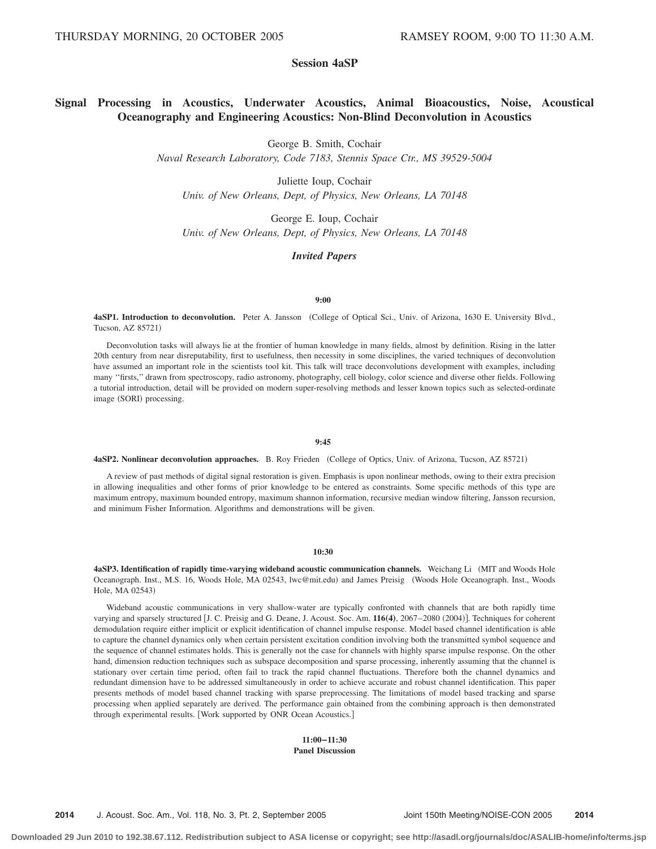# **Session 4aSP**

# **Signal Processing in Acoustics, Underwater Acoustics, Animal Bioacoustics, Noise, Acoustical Oceanography and Engineering Acoustics: Non-Blind Deconvolution in Acoustics**

George B. Smith, Cochair

*Naval Research Laboratory, Code 7183, Stennis Space Ctr., MS 39529-5004*

Juliette Ioup, Cochair *Univ. of New Orleans, Dept, of Physics, New Orleans, LA 70148*

George E. Ioup, Cochair *Univ. of New Orleans, Dept, of Physics, New Orleans, LA 70148*

#### *Invited Papers*

#### **9:00**

**4aSP1. Introduction to deconvolution.** Peter A. Jansson College of Optical Sci., Univ. of Arizona, 1630 E. University Blvd., Tucson, AZ 85721)

Deconvolution tasks will always lie at the frontier of human knowledge in many fields, almost by definition. Rising in the latter 20th century from near disreputability, first to usefulness, then necessity in some disciplines, the varied techniques of deconvolution have assumed an important role in the scientists tool kit. This talk will trace deconvolutions development with examples, including many ''firsts,'' drawn from spectroscopy, radio astronomy, photography, cell biology, color science and diverse other fields. Following a tutorial introduction, detail will be provided on modern super-resolving methods and lesser known topics such as selected-ordinate image (SORI) processing.

#### **9:45**

**4aSP2. Nonlinear deconvolution approaches.** B. Roy Frieden (College of Optics, Univ. of Arizona, Tucson, AZ 85721)

A review of past methods of digital signal restoration is given. Emphasis is upon nonlinear methods, owing to their extra precision in allowing inequalities and other forms of prior knowledge to be entered as constraints. Some specific methods of this type are maximum entropy, maximum bounded entropy, maximum shannon information, recursive median window filtering, Jansson recursion, and minimum Fisher Information. Algorithms and demonstrations will be given.

#### **10:30**

**4aSP3. Identification of rapidly time-varying wideband acoustic communication channels.** Weichang Li MIT and Woods Hole Oceanograph. Inst., M.S. 16, Woods Hole, MA 02543, lwc@mit.edu) and James Preisig (Woods Hole Oceanograph. Inst., Woods Hole, MA 02543)

Wideband acoustic communications in very shallow-water are typically confronted with channels that are both rapidly time varying and sparsely structured [J. C. Preisig and G. Deane, J. Acoust. Soc. Am.  $116(4)$ , 2067–2080 (2004)]. Techniques for coherent demodulation require either implicit or explicit identification of channel impulse response. Model based channel identification is able to capture the channel dynamics only when certain persistent excitation condition involving both the transmitted symbol sequence and the sequence of channel estimates holds. This is generally not the case for channels with highly sparse impulse response. On the other hand, dimension reduction techniques such as subspace decomposition and sparse processing, inherently assuming that the channel is stationary over certain time period, often fail to track the rapid channel fluctuations. Therefore both the channel dynamics and redundant dimension have to be addressed simultaneously in order to achieve accurate and robust channel identification. This paper presents methods of model based channel tracking with sparse preprocessing. The limitations of model based tracking and sparse processing when applied separately are derived. The performance gain obtained from the combining approach is then demonstrated through experimental results. Work supported by ONR Ocean Acoustics.

> **11:00–11:30 Panel Discussion**

**2014** J. Acoust. Soc. Am., Vol. 118, No. 3, Pt. 2, September 2005 Joint 150th Meeting/NOISE-CON 2005 **2014**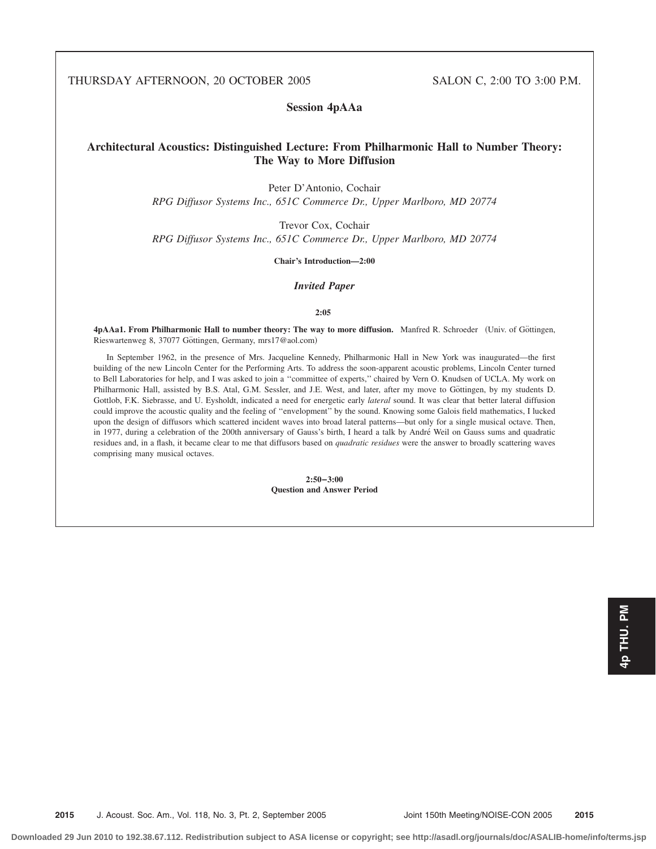THURSDAY AFTERNOON, 20 OCTOBER 2005 SALON C, 2:00 TO 3:00 P.M.

**Session 4pAAa**

# **Architectural Acoustics: Distinguished Lecture: From Philharmonic Hall to Number Theory: The Way to More Diffusion**

Peter D'Antonio, Cochair

*RPG Diffusor Systems Inc., 651C Commerce Dr., Upper Marlboro, MD 20774*

Trevor Cox, Cochair

*RPG Diffusor Systems Inc., 651C Commerce Dr., Upper Marlboro, MD 20774*

**Chair's Introduction—2:00**

# *Invited Paper*

**2:05**

4pAAa1. From Philharmonic Hall to number theory: The way to more diffusion. Manfred R. Schroeder (Univ. of Göttingen, Rieswartenweg 8, 37077 Göttingen, Germany, mrs17@aol.com)

In September 1962, in the presence of Mrs. Jacqueline Kennedy, Philharmonic Hall in New York was inaugurated—the first building of the new Lincoln Center for the Performing Arts. To address the soon-apparent acoustic problems, Lincoln Center turned to Bell Laboratories for help, and I was asked to join a ''committee of experts,'' chaired by Vern O. Knudsen of UCLA. My work on Philharmonic Hall, assisted by B.S. Atal, G.M. Sessler, and J.E. West, and later, after my move to Göttingen, by my students D. Gottlob, F.K. Siebrasse, and U. Eysholdt, indicated a need for energetic early *lateral* sound. It was clear that better lateral diffusion could improve the acoustic quality and the feeling of ''envelopment'' by the sound. Knowing some Galois field mathematics, I lucked upon the design of diffusors which scattered incident waves into broad lateral patterns—but only for a single musical octave. Then, in 1977, during a celebration of the 200th anniversary of Gauss's birth, I heard a talk by Andre´ Weil on Gauss sums and quadratic residues and, in a flash, it became clear to me that diffusors based on *quadratic residues* were the answer to broadly scattering waves comprising many musical octaves.

> **2:50–3:00 Question and Answer Period**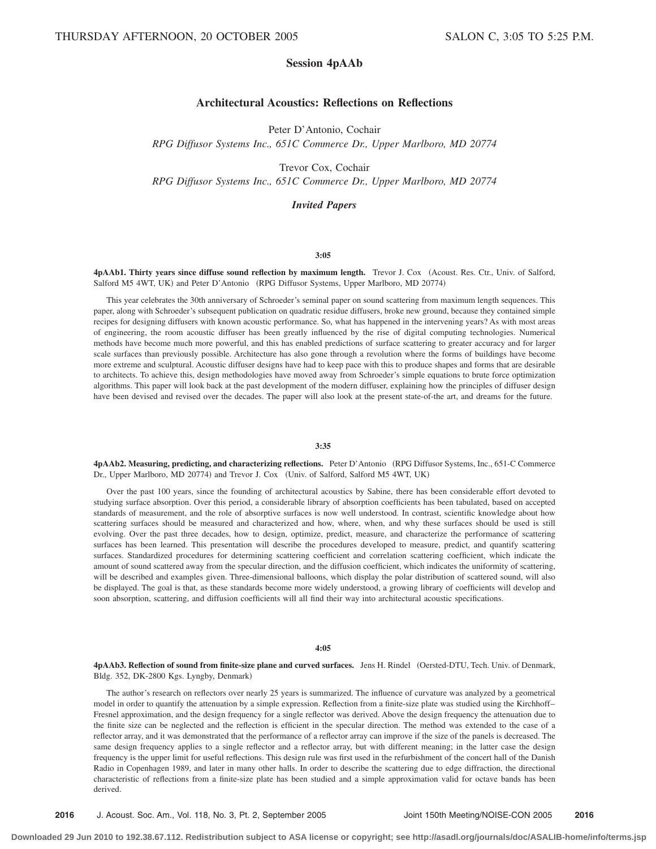# **Session 4pAAb**

# **Architectural Acoustics: Reflections on Reflections**

Peter D'Antonio, Cochair

*RPG Diffusor Systems Inc., 651C Commerce Dr., Upper Marlboro, MD 20774*

Trevor Cox, Cochair

*RPG Diffusor Systems Inc., 651C Commerce Dr., Upper Marlboro, MD 20774*

# *Invited Papers*

## **3:05**

4pAAb1. Thirty years since diffuse sound reflection by maximum length. Trevor J. Cox (Acoust. Res. Ctr., Univ. of Salford, Salford M5 4WT, UK) and Peter D'Antonio (RPG Diffusor Systems, Upper Marlboro, MD 20774)

This year celebrates the 30th anniversary of Schroeder's seminal paper on sound scattering from maximum length sequences. This paper, along with Schroeder's subsequent publication on quadratic residue diffusers, broke new ground, because they contained simple recipes for designing diffusers with known acoustic performance. So, what has happened in the intervening years? As with most areas of engineering, the room acoustic diffuser has been greatly influenced by the rise of digital computing technologies. Numerical methods have become much more powerful, and this has enabled predictions of surface scattering to greater accuracy and for larger scale surfaces than previously possible. Architecture has also gone through a revolution where the forms of buildings have become more extreme and sculptural. Acoustic diffuser designs have had to keep pace with this to produce shapes and forms that are desirable to architects. To achieve this, design methodologies have moved away from Schroeder's simple equations to brute force optimization algorithms. This paper will look back at the past development of the modern diffuser, explaining how the principles of diffuser design have been devised and revised over the decades. The paper will also look at the present state-of-the art, and dreams for the future.

#### **3:35**

**4pAAb2. Measuring, predicting, and characterizing reflections.** Peter D'Antonio RPG Diffusor Systems, Inc., 651-C Commerce Dr., Upper Marlboro, MD 20774) and Trevor J. Cox (Univ. of Salford, Salford M5 4WT, UK)

Over the past 100 years, since the founding of architectural acoustics by Sabine, there has been considerable effort devoted to studying surface absorption. Over this period, a considerable library of absorption coefficients has been tabulated, based on accepted standards of measurement, and the role of absorptive surfaces is now well understood. In contrast, scientific knowledge about how scattering surfaces should be measured and characterized and how, where, when, and why these surfaces should be used is still evolving. Over the past three decades, how to design, optimize, predict, measure, and characterize the performance of scattering surfaces has been learned. This presentation will describe the procedures developed to measure, predict, and quantify scattering surfaces. Standardized procedures for determining scattering coefficient and correlation scattering coefficient, which indicate the amount of sound scattered away from the specular direction, and the diffusion coefficient, which indicates the uniformity of scattering, will be described and examples given. Three-dimensional balloons, which display the polar distribution of scattered sound, will also be displayed. The goal is that, as these standards become more widely understood, a growing library of coefficients will develop and soon absorption, scattering, and diffusion coefficients will all find their way into architectural acoustic specifications.

#### **4:05**

**4pAAb3. Reflection of sound from finite-size plane and curved surfaces.** Jens H. Rindel Oersted-DTU, Tech. Univ. of Denmark, Bldg. 352, DK-2800 Kgs. Lyngby, Denmark)

The author's research on reflectors over nearly 25 years is summarized. The influence of curvature was analyzed by a geometrical model in order to quantify the attenuation by a simple expression. Reflection from a finite-size plate was studied using the Kirchhoff– Fresnel approximation, and the design frequency for a single reflector was derived. Above the design frequency the attenuation due to the finite size can be neglected and the reflection is efficient in the specular direction. The method was extended to the case of a reflector array, and it was demonstrated that the performance of a reflector array can improve if the size of the panels is decreased. The same design frequency applies to a single reflector and a reflector array, but with different meaning; in the latter case the design frequency is the upper limit for useful reflections. This design rule was first used in the refurbishment of the concert hall of the Danish Radio in Copenhagen 1989, and later in many other halls. In order to describe the scattering due to edge diffraction, the directional characteristic of reflections from a finite-size plate has been studied and a simple approximation valid for octave bands has been derived.

**2016** J. Acoust. Soc. Am., Vol. 118, No. 3, Pt. 2, September 2005 Joint 150th Meeting/NOISE-CON 2005 **2016**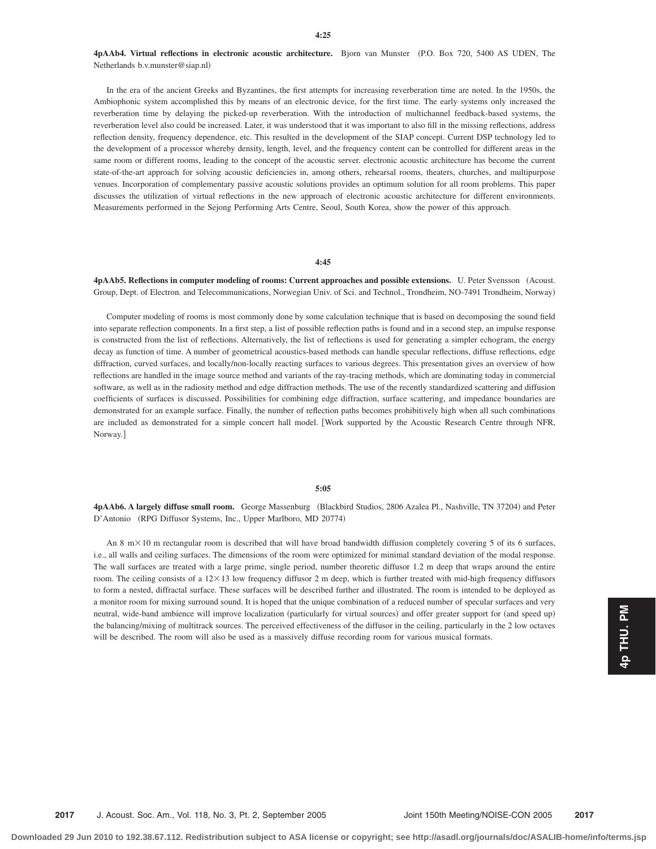**4pAAb4. Virtual reflections in electronic acoustic architecture.** Bjorn van Munster P.O. Box 720, 5400 AS UDEN, The Netherlands b.v.munster@siap.nl-

In the era of the ancient Greeks and Byzantines, the first attempts for increasing reverberation time are noted. In the 1950s, the Ambiophonic system accomplished this by means of an electronic device, for the first time. The early systems only increased the reverberation time by delaying the picked-up reverberation. With the introduction of multichannel feedback-based systems, the reverberation level also could be increased. Later, it was understood that it was important to also fill in the missing reflections, address reflection density, frequency dependence, etc. This resulted in the development of the SIAP concept. Current DSP technology led to the development of a processor whereby density, length, level, and the frequency content can be controlled for different areas in the same room or different rooms, leading to the concept of the acoustic server. electronic acoustic architecture has become the current state-of-the-art approach for solving acoustic deficiencies in, among others, rehearsal rooms, theaters, churches, and multipurpose venues. Incorporation of complementary passive acoustic solutions provides an optimum solution for all room problems. This paper discusses the utilization of virtual reflections in the new approach of electronic acoustic architecture for different environments. Measurements performed in the Sejong Performing Arts Centre, Seoul, South Korea, show the power of this approach.

#### **4:45**

**4pAAb5. Reflections in computer modeling of rooms: Current approaches and possible extensions.** U. Peter Svensson Acoust. Group, Dept. of Electron. and Telecommunications, Norwegian Univ. of Sci. and Technol., Trondheim, NO-7491 Trondheim, Norway-

Computer modeling of rooms is most commonly done by some calculation technique that is based on decomposing the sound field into separate reflection components. In a first step, a list of possible reflection paths is found and in a second step, an impulse response is constructed from the list of reflections. Alternatively, the list of reflections is used for generating a simpler echogram, the energy decay as function of time. A number of geometrical acoustics-based methods can handle specular reflections, diffuse reflections, edge diffraction, curved surfaces, and locally/non-locally reacting surfaces to various degrees. This presentation gives an overview of how reflections are handled in the image source method and variants of the ray-tracing methods, which are dominating today in commercial software, as well as in the radiosity method and edge diffraction methods. The use of the recently standardized scattering and diffusion coefficients of surfaces is discussed. Possibilities for combining edge diffraction, surface scattering, and impedance boundaries are demonstrated for an example surface. Finally, the number of reflection paths becomes prohibitively high when all such combinations are included as demonstrated for a simple concert hall model. Work supported by the Acoustic Research Centre through NFR, Norway.

#### **5:05**

4pAAb6. A largely diffuse small room. George Massenburg (Blackbird Studios, 2806 Azalea Pl., Nashville, TN 37204) and Peter D'Antonio (RPG Diffusor Systems, Inc., Upper Marlboro, MD 20774)

An 8 m $\times$  10 m rectangular room is described that will have broad bandwidth diffusion completely covering 5 of its 6 surfaces, i.e., all walls and ceiling surfaces. The dimensions of the room were optimized for minimal standard deviation of the modal response. The wall surfaces are treated with a large prime, single period, number theoretic diffusor 1.2 m deep that wraps around the entire room. The ceiling consists of a  $12\times13$  low frequency diffusor 2 m deep, which is further treated with mid-high frequency diffusors to form a nested, diffractal surface. These surfaces will be described further and illustrated. The room is intended to be deployed as a monitor room for mixing surround sound. It is hoped that the unique combination of a reduced number of specular surfaces and very neutral, wide-band ambience will improve localization (particularly for virtual sources) and offer greater support for (and speed up) the balancing/mixing of multitrack sources. The perceived effectiveness of the diffusor in the ceiling, particularly in the 2 low octaves will be described. The room will also be used as a massively diffuse recording room for various musical formats.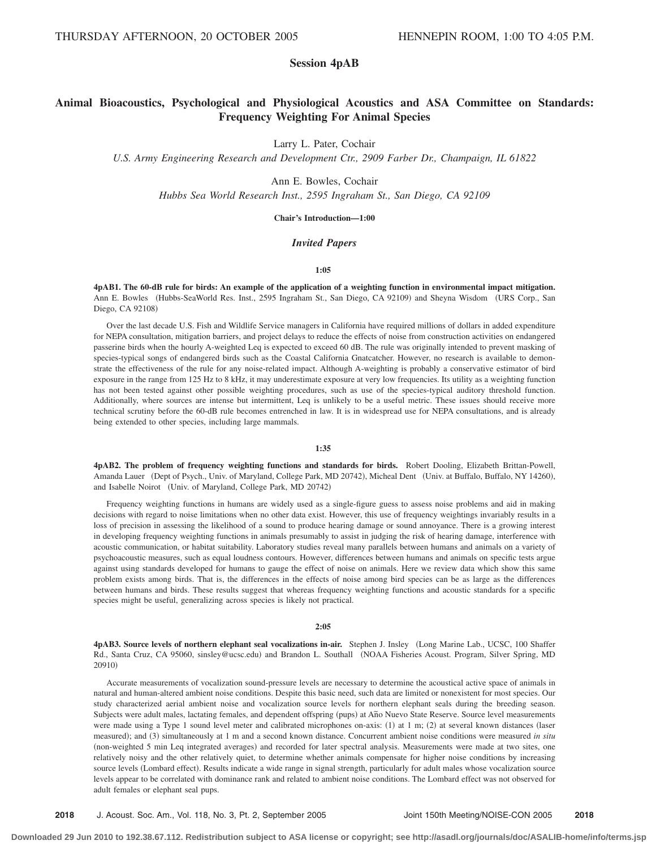# **Session 4pAB**

# **Animal Bioacoustics, Psychological and Physiological Acoustics and ASA Committee on Standards: Frequency Weighting For Animal Species**

Larry L. Pater, Cochair

*U.S. Army Engineering Research and Development Ctr., 2909 Farber Dr., Champaign, IL 61822*

Ann E. Bowles, Cochair

*Hubbs Sea World Research Inst., 2595 Ingraham St., San Diego, CA 92109*

### **Chair's Introduction—1:00**

### *Invited Papers*

#### **1:05**

**4pAB1. The 60-dB rule for birds: An example of the application of a weighting function in environmental impact mitigation.** Ann E. Bowles (Hubbs-SeaWorld Res. Inst., 2595 Ingraham St., San Diego, CA 92109) and Sheyna Wisdom (URS Corp., San Diego, CA 92108)

Over the last decade U.S. Fish and Wildlife Service managers in California have required millions of dollars in added expenditure for NEPA consultation, mitigation barriers, and project delays to reduce the effects of noise from construction activities on endangered passerine birds when the hourly A-weighted Leq is expected to exceed 60 dB. The rule was originally intended to prevent masking of species-typical songs of endangered birds such as the Coastal California Gnatcatcher. However, no research is available to demonstrate the effectiveness of the rule for any noise-related impact. Although A-weighting is probably a conservative estimator of bird exposure in the range from 125 Hz to 8 kHz, it may underestimate exposure at very low frequencies. Its utility as a weighting function has not been tested against other possible weighting procedures, such as use of the species-typical auditory threshold function. Additionally, where sources are intense but intermittent, Leq is unlikely to be a useful metric. These issues should receive more technical scrutiny before the 60-dB rule becomes entrenched in law. It is in widespread use for NEPA consultations, and is already being extended to other species, including large mammals.

#### **1:35**

**4pAB2. The problem of frequency weighting functions and standards for birds.** Robert Dooling, Elizabeth Brittan-Powell, Amanda Lauer (Dept of Psych., Univ. of Maryland, College Park, MD 20742), Micheal Dent (Univ. at Buffalo, Buffalo, NY 14260), and Isabelle Noirot (Univ. of Maryland, College Park, MD 20742)

Frequency weighting functions in humans are widely used as a single-figure guess to assess noise problems and aid in making decisions with regard to noise limitations when no other data exist. However, this use of frequency weightings invariably results in a loss of precision in assessing the likelihood of a sound to produce hearing damage or sound annoyance. There is a growing interest in developing frequency weighting functions in animals presumably to assist in judging the risk of hearing damage, interference with acoustic communication, or habitat suitability. Laboratory studies reveal many parallels between humans and animals on a variety of psychoacoustic measures, such as equal loudness contours. However, differences between humans and animals on specific tests argue against using standards developed for humans to gauge the effect of noise on animals. Here we review data which show this same problem exists among birds. That is, the differences in the effects of noise among bird species can be as large as the differences between humans and birds. These results suggest that whereas frequency weighting functions and acoustic standards for a specific species might be useful, generalizing across species is likely not practical.

#### **2:05**

**4pAB3. Source levels of northern elephant seal vocalizations in-air.** Stephen J. Insley Long Marine Lab., UCSC, 100 Shaffer Rd., Santa Cruz, CA 95060, sinsley@ucsc.edu) and Brandon L. Southall (NOAA Fisheries Acoust. Program, Silver Spring, MD 20910)

Accurate measurements of vocalization sound-pressure levels are necessary to determine the acoustical active space of animals in natural and human-altered ambient noise conditions. Despite this basic need, such data are limited or nonexistent for most species. Our study characterized aerial ambient noise and vocalization source levels for northern elephant seals during the breeding season. Subjects were adult males, lactating females, and dependent offspring (pups) at Año Nuevo State Reserve. Source level measurements were made using a Type 1 sound level meter and calibrated microphones on-axis: (1) at 1 m; (2) at several known distances (laser measured); and (3) simultaneously at 1 m and a second known distance. Concurrent ambient noise conditions were measured *in situ* (non-weighted 5 min Leq integrated averages) and recorded for later spectral analysis. Measurements were made at two sites, one relatively noisy and the other relatively quiet, to determine whether animals compensate for higher noise conditions by increasing source levels (Lombard effect). Results indicate a wide range in signal strength, particularly for adult males whose vocalization source levels appear to be correlated with dominance rank and related to ambient noise conditions. The Lombard effect was not observed for adult females or elephant seal pups.

**2018** J. Acoust. Soc. Am., Vol. 118, No. 3, Pt. 2, September 2005 Joint 150th Meeting/NOISE-CON 2005 **2018**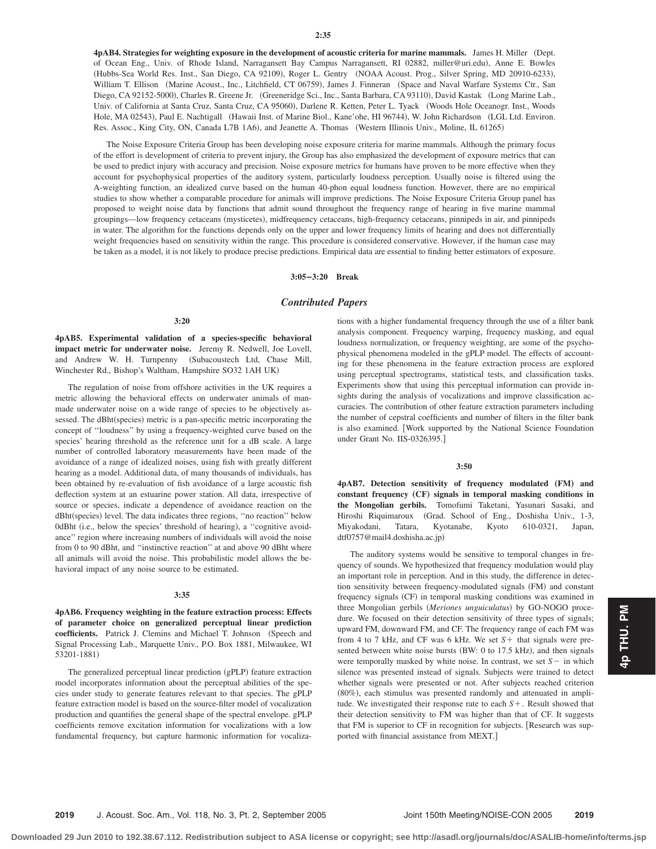4pAB4. Strategies for weighting exposure in the development of acoustic criteria for marine mammals. James H. Miller (Dept. of Ocean Eng., Univ. of Rhode Island, Narragansett Bay Campus Narragansett, RI 02882, miller@uri.edu), Anne E. Bowles (Hubbs-Sea World Res. Inst., San Diego, CA 92109), Roger L. Gentry (NOAA Acoust. Prog., Silver Spring, MD 20910-6233), William T. Ellison (Marine Acoust., Inc., Litchfield, CT 06759), James J. Finneran (Space and Naval Warfare Systems Ctr., San Diego, CA 92152-5000), Charles R. Greene Jr. (Greeneridge Sci., Inc., Santa Barbara, CA 93110), David Kastak (Long Marine Lab., Univ. of California at Santa Cruz, Santa Cruz, CA 95060), Darlene R. Ketten, Peter L. Tyack (Woods Hole Oceanogr. Inst., Woods Hole, MA 02543), Paul E. Nachtigall (Hawaii Inst. of Marine Biol., Kane'ohe, HI 96744), W. John Richardson (LGL Ltd. Environ. Res. Assoc., King City, ON, Canada L7B 1A6), and Jeanette A. Thomas (Western Illinois Univ., Moline, IL 61265)

The Noise Exposure Criteria Group has been developing noise exposure criteria for marine mammals. Although the primary focus of the effort is development of criteria to prevent injury, the Group has also emphasized the development of exposure metrics that can be used to predict injury with accuracy and precision. Noise exposure metrics for humans have proven to be more effective when they account for psychophysical properties of the auditory system, particularly loudness perception. Usually noise is filtered using the A-weighting function, an idealized curve based on the human 40-phon equal loudness function. However, there are no empirical studies to show whether a comparable procedure for animals will improve predictions. The Noise Exposure Criteria Group panel has proposed to weight noise data by functions that admit sound throughout the frequency range of hearing in five marine mammal groupings—low frequency cetaceans (mysticetes), midfrequency cetaceans, high-frequency cetaceans, pinnipeds in air, and pinnipeds in water. The algorithm for the functions depends only on the upper and lower frequency limits of hearing and does not differentially weight frequencies based on sensitivity within the range. This procedure is considered conservative. However, if the human case may be taken as a model, it is not likely to produce precise predictions. Empirical data are essential to finding better estimators of exposure.

#### **3:05–3:20 Break**

#### *Contributed Papers*

#### **3:20**

**4pAB5. Experimental validation of a species-specific behavioral impact metric for underwater noise.** Jeremy R. Nedwell, Joe Lovell, and Andrew W. H. Turnpenny (Subacoustech Ltd, Chase Mill, Winchester Rd., Bishop's Waltham, Hampshire SO32 1AH UK-

The regulation of noise from offshore activities in the UK requires a metric allowing the behavioral effects on underwater animals of manmade underwater noise on a wide range of species to be objectively assessed. The dBht(species) metric is a pan-specific metric incorporating the concept of ''loudness'' by using a frequency-weighted curve based on the species' hearing threshold as the reference unit for a dB scale. A large number of controlled laboratory measurements have been made of the avoidance of a range of idealized noises, using fish with greatly different hearing as a model. Additional data, of many thousands of individuals, has been obtained by re-evaluation of fish avoidance of a large acoustic fish deflection system at an estuarine power station. All data, irrespective of source or species, indicate a dependence of avoidance reaction on the dBht(species) level. The data indicates three regions, "no reaction" below 0dBht (i.e., below the species' threshold of hearing), a "cognitive avoidance'' region where increasing numbers of individuals will avoid the noise from 0 to 90 dBht, and ''instinctive reaction'' at and above 90 dBht where all animals will avoid the noise. This probabilistic model allows the behavioral impact of any noise source to be estimated.

#### **3:35**

**4pAB6. Frequency weighting in the feature extraction process: Effects of parameter choice on generalized perceptual linear prediction coefficients.** Patrick J. Clemins and Michael T. Johnson (Speech and Signal Processing Lab., Marquette Univ., P.O. Box 1881, Milwaukee, WI 53201-1881)

The generalized perceptual linear prediction (gPLP) feature extraction model incorporates information about the perceptual abilities of the species under study to generate features relevant to that species. The gPLP feature extraction model is based on the source-filter model of vocalization production and quantifies the general shape of the spectral envelope. gPLP coefficients remove excitation information for vocalizations with a low fundamental frequency, but capture harmonic information for vocalizations with a higher fundamental frequency through the use of a filter bank analysis component. Frequency warping, frequency masking, and equal loudness normalization, or frequency weighting, are some of the psychophysical phenomena modeled in the gPLP model. The effects of accounting for these phenomena in the feature extraction process are explored using perceptual spectrograms, statistical tests, and classification tasks. Experiments show that using this perceptual information can provide insights during the analysis of vocalizations and improve classification accuracies. The contribution of other feature extraction parameters including the number of cepstral coefficients and number of filters in the filter bank is also examined. Work supported by the National Science Foundation under Grant No. IIS-0326395.

#### **3:50**

**4pAB7.** Detection sensitivity of frequency modulated (FM) and constant frequency (CF) signals in temporal masking conditions in **the Mongolian gerbils.** Tomofumi Taketani, Yasunari Sasaki, and Hiroshi Riquimaroux Grad. School of Eng., Doshisha Univ., 1-3, Miyakodani, Tatara, Kyotanabe, Kyoto 610-0321, Japan, dtf0757@mail4.doshisha.ac.jp)

The auditory systems would be sensitive to temporal changes in frequency of sounds. We hypothesized that frequency modulation would play an important role in perception. And in this study, the difference in detection sensitivity between frequency-modulated signals (FM) and constant frequency signals (CF) in temporal masking conditions was examined in three Mongolian gerbils (Meriones unguiculatus) by GO-NOGO procedure. We focused on their detection sensitivity of three types of signals; upward FM, downward FM, and CF. The frequency range of each FM was from 4 to 7 kHz, and CF was 6 kHz. We set  $S$  + that signals were presented between white noise bursts (BW: 0 to 17.5 kHz), and then signals were temporally masked by white noise. In contrast, we set  $S$  – in which silence was presented instead of signals. Subjects were trained to detect whether signals were presented or not. After subjects reached criterion (80%), each stimulus was presented randomly and attenuated in amplitude. We investigated their response rate to each  $S+$ . Result showed that their detection sensitivity to FM was higher than that of CF. It suggests that FM is superior to CF in recognition for subjects. [Research was supported with financial assistance from MEXT.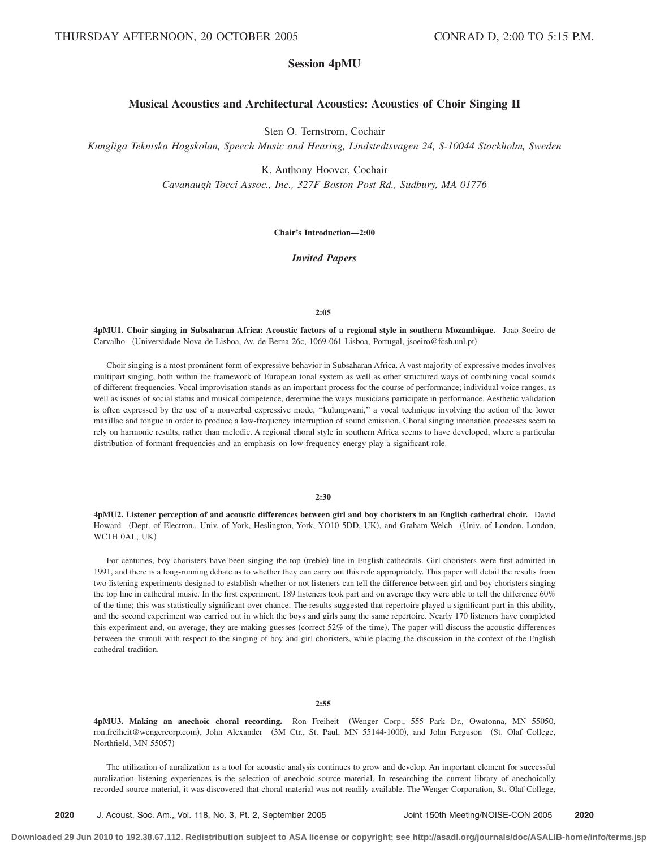# **Session 4pMU**

# **Musical Acoustics and Architectural Acoustics: Acoustics of Choir Singing II**

Sten O. Ternstrom, Cochair

*Kungliga Tekniska Hogskolan, Speech Music and Hearing, Lindstedtsvagen 24, S-10044 Stockholm, Sweden*

K. Anthony Hoover, Cochair

*Cavanaugh Tocci Assoc., Inc., 327F Boston Post Rd., Sudbury, MA 01776*

**Chair's Introduction—2:00**

*Invited Papers*

#### **2:05**

**4pMU1. Choir singing in Subsaharan Africa: Acoustic factors of a regional style in southern Mozambique.** Joao Soeiro de Carvalho (Universidade Nova de Lisboa, Av. de Berna 26c, 1069-061 Lisboa, Portugal, jsoeiro@fcsh.unl.pt)

Choir singing is a most prominent form of expressive behavior in Subsaharan Africa. A vast majority of expressive modes involves multipart singing, both within the framework of European tonal system as well as other structured ways of combining vocal sounds of different frequencies. Vocal improvisation stands as an important process for the course of performance; individual voice ranges, as well as issues of social status and musical competence, determine the ways musicians participate in performance. Aesthetic validation is often expressed by the use of a nonverbal expressive mode, ''kulungwani,'' a vocal technique involving the action of the lower maxillae and tongue in order to produce a low-frequency interruption of sound emission. Choral singing intonation processes seem to rely on harmonic results, rather than melodic. A regional choral style in southern Africa seems to have developed, where a particular distribution of formant frequencies and an emphasis on low-frequency energy play a significant role.

#### **2:30**

**4pMU2. Listener perception of and acoustic differences between girl and boy choristers in an English cathedral choir.** David Howard (Dept. of Electron., Univ. of York, Heslington, York, YO10 5DD, UK), and Graham Welch (Univ. of London, London, WC1H 0AL, UK-

For centuries, boy choristers have been singing the top (treble) line in English cathedrals. Girl choristers were first admitted in 1991, and there is a long-running debate as to whether they can carry out this role appropriately. This paper will detail the results from two listening experiments designed to establish whether or not listeners can tell the difference between girl and boy choristers singing the top line in cathedral music. In the first experiment, 189 listeners took part and on average they were able to tell the difference 60% of the time; this was statistically significant over chance. The results suggested that repertoire played a significant part in this ability, and the second experiment was carried out in which the boys and girls sang the same repertoire. Nearly 170 listeners have completed this experiment and, on average, they are making guesses (correct 52% of the time). The paper will discuss the acoustic differences between the stimuli with respect to the singing of boy and girl choristers, while placing the discussion in the context of the English cathedral tradition.

#### **2:55**

**4pMU3. Making an anechoic choral recording.** Ron Freiheit Wenger Corp., 555 Park Dr., Owatonna, MN 55050, ron.freiheit@wengercorp.com), John Alexander (3M Ctr., St. Paul, MN 55144-1000), and John Ferguson (St. Olaf College, Northfield, MN 55057)

The utilization of auralization as a tool for acoustic analysis continues to grow and develop. An important element for successful auralization listening experiences is the selection of anechoic source material. In researching the current library of anechoically recorded source material, it was discovered that choral material was not readily available. The Wenger Corporation, St. Olaf College,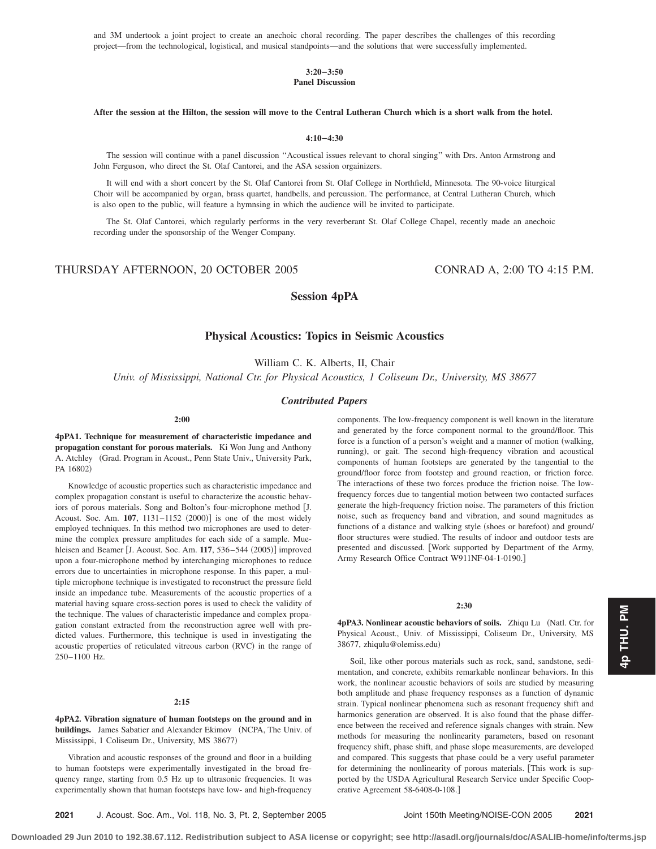and 3M undertook a joint project to create an anechoic choral recording. The paper describes the challenges of this recording project—from the technological, logistical, and musical standpoints—and the solutions that were successfully implemented.

### **3:20–3:50 Panel Discussion**

### **After the session at the Hilton, the session will move to the Central Lutheran Church which is a short walk from the hotel.**

**4:10–4:30**

The session will continue with a panel discussion ''Acoustical issues relevant to choral singing'' with Drs. Anton Armstrong and John Ferguson, who direct the St. Olaf Cantorei, and the ASA session orgainizers.

It will end with a short concert by the St. Olaf Cantorei from St. Olaf College in Northfield, Minnesota. The 90-voice liturgical Choir will be accompanied by organ, brass quartet, handbells, and percussion. The performance, at Central Lutheran Church, which is also open to the public, will feature a hymnsing in which the audience will be invited to participate.

The St. Olaf Cantorei, which regularly performs in the very reverberant St. Olaf College Chapel, recently made an anechoic recording under the sponsorship of the Wenger Company.

# THURSDAY AFTERNOON, 20 OCTOBER 2005 CONRAD A, 2:00 TO 4:15 P.M.

# **Session 4pPA**

# **Physical Acoustics: Topics in Seismic Acoustics**

William C. K. Alberts, II, Chair

*Univ. of Mississippi, National Ctr. for Physical Acoustics, 1 Coliseum Dr., University, MS 38677*

#### *Contributed Papers*

**2:00**

**4pPA1. Technique for measurement of characteristic impedance and propagation constant for porous materials.** Ki Won Jung and Anthony A. Atchley (Grad. Program in Acoust., Penn State Univ., University Park, PA 16802)

Knowledge of acoustic properties such as characteristic impedance and complex propagation constant is useful to characterize the acoustic behaviors of porous materials. Song and Bolton's four-microphone method J. Acoust. Soc. Am. **107**, 1131–1152 (2000)] is one of the most widely employed techniques. In this method two microphones are used to determine the complex pressure amplitudes for each side of a sample. Muehleisen and Beamer [J. Acoust. Soc. Am. 117, 536–544 (2005)] improved upon a four-microphone method by interchanging microphones to reduce errors due to uncertainties in microphone response. In this paper, a multiple microphone technique is investigated to reconstruct the pressure field inside an impedance tube. Measurements of the acoustic properties of a material having square cross-section pores is used to check the validity of the technique. The values of characteristic impedance and complex propagation constant extracted from the reconstruction agree well with predicted values. Furthermore, this technique is used in investigating the acoustic properties of reticulated vitreous carbon (RVC) in the range of 250–1100 Hz.

#### **2:15**

**4pPA2. Vibration signature of human footsteps on the ground and in** buildings. James Sabatier and Alexander Ekimov (NCPA, The Univ. of Mississippi, 1 Coliseum Dr., University, MS 38677)

Vibration and acoustic responses of the ground and floor in a building to human footsteps were experimentally investigated in the broad frequency range, starting from 0.5 Hz up to ultrasonic frequencies. It was experimentally shown that human footsteps have low- and high-frequency components. The low-frequency component is well known in the literature and generated by the force component normal to the ground/floor. This force is a function of a person's weight and a manner of motion (walking, running), or gait. The second high-frequency vibration and acoustical components of human footsteps are generated by the tangential to the ground/floor force from footstep and ground reaction, or friction force. The interactions of these two forces produce the friction noise. The lowfrequency forces due to tangential motion between two contacted surfaces generate the high-frequency friction noise. The parameters of this friction noise, such as frequency band and vibration, and sound magnitudes as functions of a distance and walking style (shoes or barefoot) and ground/ floor structures were studied. The results of indoor and outdoor tests are presented and discussed. Work supported by Department of the Army, Army Research Office Contract W911NF-04-1-0190.

#### **2:30**

4pPA3. Nonlinear acoustic behaviors of soils. Zhiqu Lu (Natl. Ctr. for Physical Acoust., Univ. of Mississippi, Coliseum Dr., University, MS 38677, zhiqulu@olemiss.edu-

Soil, like other porous materials such as rock, sand, sandstone, sedimentation, and concrete, exhibits remarkable nonlinear behaviors. In this work, the nonlinear acoustic behaviors of soils are studied by measuring both amplitude and phase frequency responses as a function of dynamic strain. Typical nonlinear phenomena such as resonant frequency shift and harmonics generation are observed. It is also found that the phase difference between the received and reference signals changes with strain. New methods for measuring the nonlinearity parameters, based on resonant frequency shift, phase shift, and phase slope measurements, are developed and compared. This suggests that phase could be a very useful parameter for determining the nonlinearity of porous materials. This work is supported by the USDA Agricultural Research Service under Specific Cooperative Agreement 58-6408-0-108.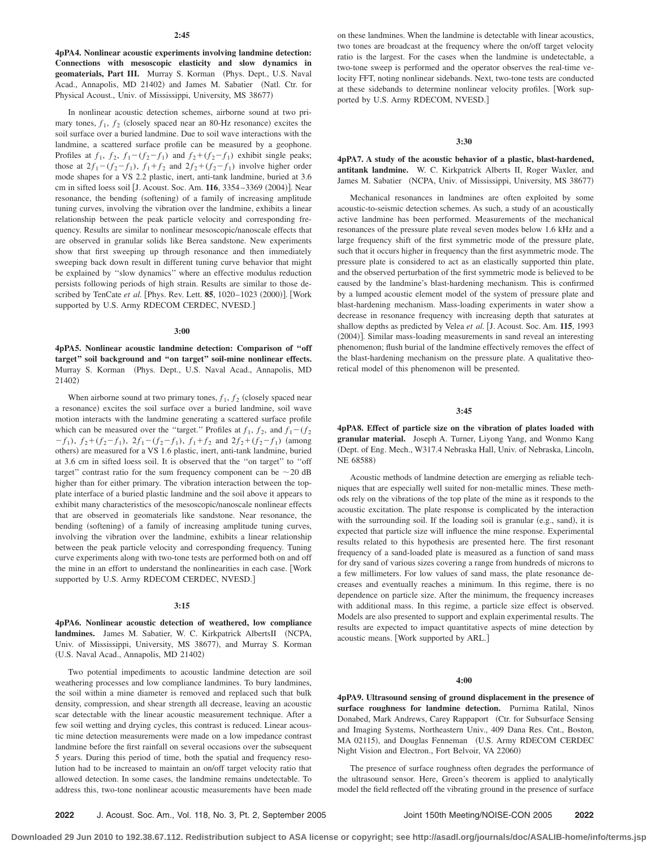**4pPA4. Nonlinear acoustic experiments involving landmine detection: Connections with mesoscopic elasticity and slow dynamics in** geomaterials, Part III. Murray S. Korman (Phys. Dept., U.S. Naval Acad., Annapolis, MD 21402) and James M. Sabatier (Natl. Ctr. for Physical Acoust., Univ. of Mississippi, University, MS 38677)

In nonlinear acoustic detection schemes, airborne sound at two primary tones,  $f_1$ ,  $f_2$  (closely spaced near an 80-Hz resonance) excites the soil surface over a buried landmine. Due to soil wave interactions with the landmine, a scattered surface profile can be measured by a geophone. Profiles at  $f_1$ ,  $f_2$ ,  $f_1 - (f_2 - f_1)$  and  $f_2 + (f_2 - f_1)$  exhibit single peaks; those at  $2f_1 - (f_2 - f_1)$ ,  $f_1 + f_2$  and  $2f_2 + (f_2 - f_1)$  involve higher order mode shapes for a VS 2.2 plastic, inert, anti-tank landmine, buried at 3.6 cm in sifted loess soil [J. Acoust. Soc. Am. 116, 3354–3369 (2004)]. Near resonance, the bending (softening) of a family of increasing amplitude tuning curves, involving the vibration over the landmine, exhibits a linear relationship between the peak particle velocity and corresponding frequency. Results are similar to nonlinear mesoscopic/nanoscale effects that are observed in granular solids like Berea sandstone. New experiments show that first sweeping up through resonance and then immediately sweeping back down result in different tuning curve behavior that might be explained by ''slow dynamics'' where an effective modulus reduction persists following periods of high strain. Results are similar to those described by TenCate et al. [Phys. Rev. Lett. 85, 1020-1023 (2000)]. [Work supported by U.S. Army RDECOM CERDEC, NVESD.]

#### **3:00**

**4pPA5. Nonlinear acoustic landmine detection: Comparison of ''off target'' soil background and ''on target'' soil-mine nonlinear effects.** Murray S. Korman (Phys. Dept., U.S. Naval Acad., Annapolis, MD 21402)

When airborne sound at two primary tones,  $f_1, f_2$  (closely spaced near a resonance) excites the soil surface over a buried landmine, soil wave motion interacts with the landmine generating a scattered surface profile which can be measured over the "target." Profiles at  $f_1$ ,  $f_2$ , and  $f_1 - (f_2)$  $-f_1$ ,  $f_2 + (f_2 - f_1)$ ,  $2f_1 - (f_2 - f_1)$ ,  $f_1 + f_2$  and  $2f_2 + (f_2 - f_1)$  (among others) are measured for a VS 1.6 plastic, inert, anti-tank landmine, buried at 3.6 cm in sifted loess soil. It is observed that the ''on target'' to ''off target" contrast ratio for the sum frequency component can be  $\sim$  20 dB higher than for either primary. The vibration interaction between the topplate interface of a buried plastic landmine and the soil above it appears to exhibit many characteristics of the mesoscopic/nanoscale nonlinear effects that are observed in geomaterials like sandstone. Near resonance, the bending (softening) of a family of increasing amplitude tuning curves, involving the vibration over the landmine, exhibits a linear relationship between the peak particle velocity and corresponding frequency. Tuning curve experiments along with two-tone tests are performed both on and off the mine in an effort to understand the nonlinearities in each case. Work supported by U.S. Army RDECOM CERDEC, NVESD.]

# **3:15**

**4pPA6. Nonlinear acoustic detection of weathered, low compliance** landmines. James M. Sabatier, W. C. Kirkpatrick AlbertsII (NCPA, Univ. of Mississippi, University, MS 38677), and Murray S. Korman (U.S. Naval Acad., Annapolis, MD 21402)

Two potential impediments to acoustic landmine detection are soil weathering processes and low compliance landmines. To bury landmines, the soil within a mine diameter is removed and replaced such that bulk density, compression, and shear strength all decrease, leaving an acoustic scar detectable with the linear acoustic measurement technique. After a few soil wetting and drying cycles, this contrast is reduced. Linear acoustic mine detection measurements were made on a low impedance contrast landmine before the first rainfall on several occasions over the subsequent 5 years. During this period of time, both the spatial and frequency resolution had to be increased to maintain an on/off target velocity ratio that allowed detection. In some cases, the landmine remains undetectable. To address this, two-tone nonlinear acoustic measurements have been made

on these landmines. When the landmine is detectable with linear acoustics, two tones are broadcast at the frequency where the on/off target velocity ratio is the largest. For the cases when the landmine is undetectable, a two-tone sweep is performed and the operator observes the real-time velocity FFT, noting nonlinear sidebands. Next, two-tone tests are conducted at these sidebands to determine nonlinear velocity profiles. Work supported by U.S. Army RDECOM, NVESD.

#### **3:30**

**4pPA7. A study of the acoustic behavior of a plastic, blast-hardened, antitank landmine.** W. C. Kirkpatrick Alberts II, Roger Waxler, and James M. Sabatier (NCPA, Univ. of Mississippi, University, MS 38677)

Mechanical resonances in landmines are often exploited by some acoustic-to-seismic detection schemes. As such, a study of an acoustically active landmine has been performed. Measurements of the mechanical resonances of the pressure plate reveal seven modes below 1.6 kHz and a large frequency shift of the first symmetric mode of the pressure plate, such that it occurs higher in frequency than the first asymmetric mode. The pressure plate is considered to act as an elastically supported thin plate, and the observed perturbation of the first symmetric mode is believed to be caused by the landmine's blast-hardening mechanism. This is confirmed by a lumped acoustic element model of the system of pressure plate and blast-hardening mechanism. Mass-loading experiments in water show a decrease in resonance frequency with increasing depth that saturates at shallow depths as predicted by Velea *et al.* J. Acoust. Soc. Am. **115**, 1993 (2004)]. Similar mass-loading measurements in sand reveal an interesting phenomenon; flush burial of the landmine effectively removes the effect of the blast-hardening mechanism on the pressure plate. A qualitative theoretical model of this phenomenon will be presented.

### **3:45**

**4pPA8. Effect of particle size on the vibration of plates loaded with granular material.** Joseph A. Turner, Liyong Yang, and Wonmo Kang Dept. of Eng. Mech., W317.4 Nebraska Hall, Univ. of Nebraska, Lincoln, NE 68588)

Acoustic methods of landmine detection are emerging as reliable techniques that are especially well suited for non-metallic mines. These methods rely on the vibrations of the top plate of the mine as it responds to the acoustic excitation. The plate response is complicated by the interaction with the surrounding soil. If the loading soil is granular (e.g., sand), it is expected that particle size will influence the mine response. Experimental results related to this hypothesis are presented here. The first resonant frequency of a sand-loaded plate is measured as a function of sand mass for dry sand of various sizes covering a range from hundreds of microns to a few millimeters. For low values of sand mass, the plate resonance decreases and eventually reaches a minimum. In this regime, there is no dependence on particle size. After the minimum, the frequency increases with additional mass. In this regime, a particle size effect is observed. Models are also presented to support and explain experimental results. The results are expected to impact quantitative aspects of mine detection by acoustic means. [Work supported by ARL.]

#### **4:00**

**4pPA9. Ultrasound sensing of ground displacement in the presence of surface roughness for landmine detection.** Purnima Ratilal, Ninos Donabed, Mark Andrews, Carey Rappaport (Ctr. for Subsurface Sensing and Imaging Systems, Northeastern Univ., 409 Dana Res. Cnt., Boston, MA 02115), and Douglas Fenneman (U.S. Army RDECOM CERDEC Night Vision and Electron., Fort Belvoir, VA 22060)

The presence of surface roughness often degrades the performance of the ultrasound sensor. Here, Green's theorem is applied to analytically model the field reflected off the vibrating ground in the presence of surface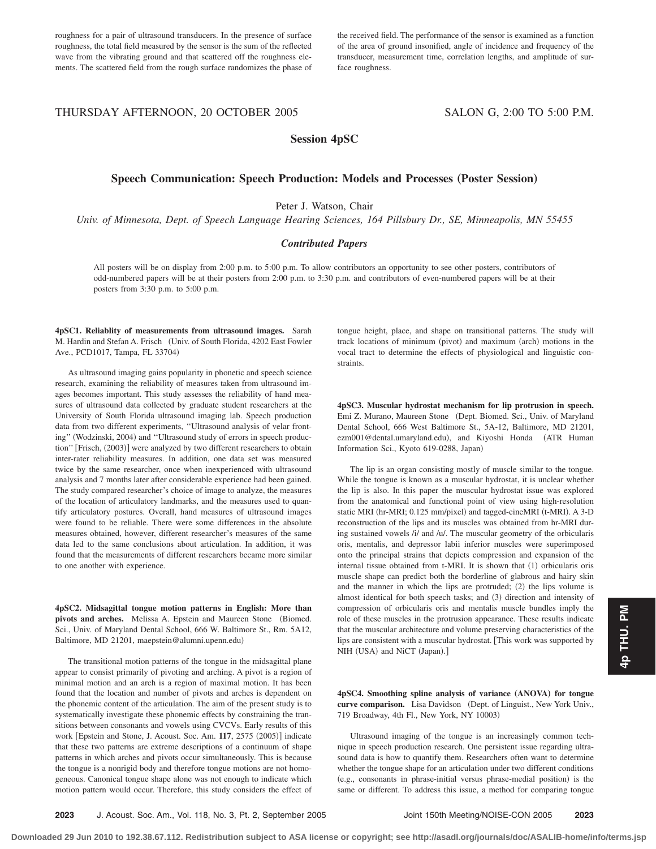roughness for a pair of ultrasound transducers. In the presence of surface roughness, the total field measured by the sensor is the sum of the reflected wave from the vibrating ground and that scattered off the roughness elements. The scattered field from the rough surface randomizes the phase of the received field. The performance of the sensor is examined as a function of the area of ground insonified, angle of incidence and frequency of the transducer, measurement time, correlation lengths, and amplitude of surface roughness.

# THURSDAY AFTERNOON, 20 OCTOBER 2005 SALON G, 2:00 TO 5:00 P.M.

# **Session 4pSC**

# **Speech Communication: Speech Production: Models and Processes (Poster Session)**

Peter J. Watson, Chair

*Univ. of Minnesota, Dept. of Speech Language Hearing Sciences, 164 Pillsbury Dr., SE, Minneapolis, MN 55455*

### *Contributed Papers*

All posters will be on display from 2:00 p.m. to 5:00 p.m. To allow contributors an opportunity to see other posters, contributors of odd-numbered papers will be at their posters from 2:00 p.m. to 3:30 p.m. and contributors of even-numbered papers will be at their posters from 3:30 p.m. to 5:00 p.m.

**4pSC1. Reliablity of measurements from ultrasound images.** Sarah M. Hardin and Stefan A. Frisch (Univ. of South Florida, 4202 East Fowler Ave., PCD1017, Tampa, FL 33704)

As ultrasound imaging gains popularity in phonetic and speech science research, examining the reliability of measures taken from ultrasound images becomes important. This study assesses the reliability of hand measures of ultrasound data collected by graduate student researchers at the University of South Florida ultrasound imaging lab. Speech production data from two different experiments, ''Ultrasound analysis of velar fronting" (Wodzinski, 2004) and "Ultrasound study of errors in speech production" [Frisch, (2003)] were analyzed by two different researchers to obtain inter-rater reliability measures. In addition, one data set was measured twice by the same researcher, once when inexperienced with ultrasound analysis and 7 months later after considerable experience had been gained. The study compared researcher's choice of image to analyze, the measures of the location of articulatory landmarks, and the measures used to quantify articulatory postures. Overall, hand measures of ultrasound images were found to be reliable. There were some differences in the absolute measures obtained, however, different researcher's measures of the same data led to the same conclusions about articulation. In addition, it was found that the measurements of different researchers became more similar to one another with experience.

**4pSC2. Midsagittal tongue motion patterns in English: More than** pivots and arches. Melissa A. Epstein and Maureen Stone (Biomed. Sci., Univ. of Maryland Dental School, 666 W. Baltimore St., Rm. 5A12, Baltimore, MD 21201, maepstein@alumni.upenn.edu-

The transitional motion patterns of the tongue in the midsagittal plane appear to consist primarily of pivoting and arching. A pivot is a region of minimal motion and an arch is a region of maximal motion. It has been found that the location and number of pivots and arches is dependent on the phonemic content of the articulation. The aim of the present study is to systematically investigate these phonemic effects by constraining the transitions between consonants and vowels using CVCVs. Early results of this work [Epstein and Stone, J. Acoust. Soc. Am. 117, 2575 (2005)] indicate that these two patterns are extreme descriptions of a continuum of shape patterns in which arches and pivots occur simultaneously. This is because the tongue is a nonrigid body and therefore tongue motions are not homogeneous. Canonical tongue shape alone was not enough to indicate which motion pattern would occur. Therefore, this study considers the effect of

tongue height, place, and shape on transitional patterns. The study will track locations of minimum (pivot) and maximum (arch) motions in the vocal tract to determine the effects of physiological and linguistic constraints.

**4pSC3. Muscular hydrostat mechanism for lip protrusion in speech.** Emi Z. Murano, Maureen Stone (Dept. Biomed. Sci., Univ. of Maryland Dental School, 666 West Baltimore St., 5A-12, Baltimore, MD 21201, ezm001@dental.umaryland.edu), and Kiyoshi Honda (ATR Human Information Sci., Kyoto 619-0288, Japan)

The lip is an organ consisting mostly of muscle similar to the tongue. While the tongue is known as a muscular hydrostat, it is unclear whether the lip is also. In this paper the muscular hydrostat issue was explored from the anatomical and functional point of view using high-resolution static MRI (hr-MRI; 0.125 mm/pixel) and tagged-cineMRI (t-MRI). A 3-D reconstruction of the lips and its muscles was obtained from hr-MRI during sustained vowels /i/ and /u/. The muscular geometry of the orbicularis oris, mentalis, and depressor labii inferior muscles were superimposed onto the principal strains that depicts compression and expansion of the internal tissue obtained from t-MRI. It is shown that (1) orbicularis oris muscle shape can predict both the borderline of glabrous and hairy skin and the manner in which the lips are protruded; (2) the lips volume is almost identical for both speech tasks; and (3) direction and intensity of compression of orbicularis oris and mentalis muscle bundles imply the role of these muscles in the protrusion appearance. These results indicate that the muscular architecture and volume preserving characteristics of the lips are consistent with a muscular hydrostat. This work was supported by NIH (USA) and NiCT (Japan).]

**4pSC4. Smoothing spline analysis of variance (ANOVA) for tongue** curve comparison. Lisa Davidson (Dept. of Linguist., New York Univ., 719 Broadway, 4th Fl., New York, NY 10003-

Ultrasound imaging of the tongue is an increasingly common technique in speech production research. One persistent issue regarding ultrasound data is how to quantify them. Researchers often want to determine whether the tongue shape for an articulation under two different conditions (e.g., consonants in phrase-initial versus phrase-medial position) is the same or different. To address this issue, a method for comparing tongue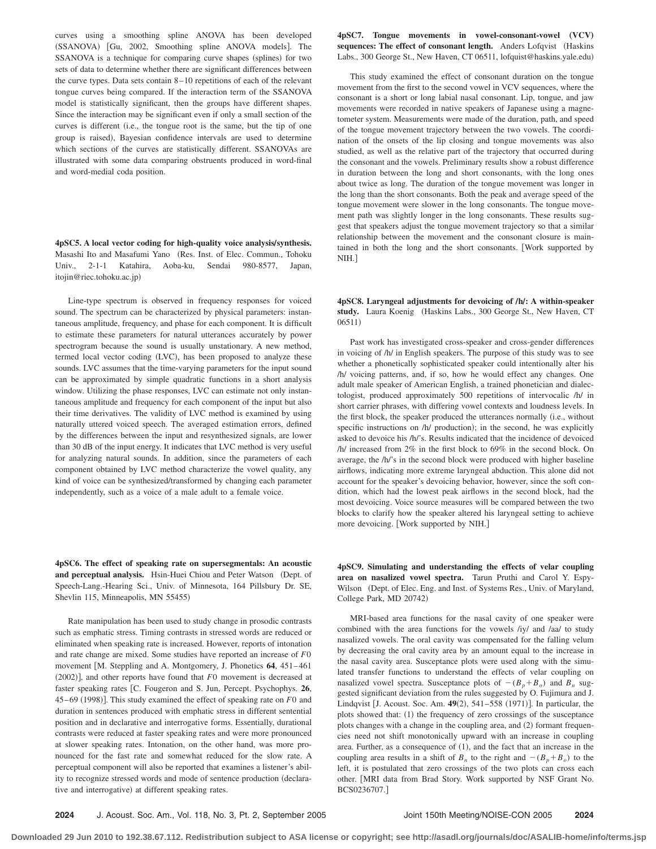curves using a smoothing spline ANOVA has been developed (SSANOVA) [Gu, 2002, Smoothing spline ANOVA models]. The SSANOVA is a technique for comparing curve shapes (splines) for two sets of data to determine whether there are significant differences between the curve types. Data sets contain 8–10 repetitions of each of the relevant tongue curves being compared. If the interaction term of the SSANOVA model is statistically significant, then the groups have different shapes. Since the interaction may be significant even if only a small section of the curves is different (i.e., the tongue root is the same, but the tip of one group is raised), Bayesian confidence intervals are used to determine which sections of the curves are statistically different. SSANOVAs are illustrated with some data comparing obstruents produced in word-final and word-medial coda position.

**4pSC5.** A local vector coding for high-quality voice analysis/synthesis. Masashi Ito and Masafumi Yano (Res. Inst. of Elec. Commun., Tohoku Univ., 2-1-1 Katahira, Aoba-ku, Sendai 980-8577, Japan, itojin@riec.tohoku.ac.jp)

Line-type spectrum is observed in frequency responses for voiced sound. The spectrum can be characterized by physical parameters: instantaneous amplitude, frequency, and phase for each component. It is difficult to estimate these parameters for natural utterances accurately by power spectrogram because the sound is usually unstationary. A new method, termed local vector coding (LVC), has been proposed to analyze these sounds. LVC assumes that the time-varying parameters for the input sound can be approximated by simple quadratic functions in a short analysis window. Utilizing the phase responses, LVC can estimate not only instantaneous amplitude and frequency for each component of the input but also their time derivatives. The validity of LVC method is examined by using naturally uttered voiced speech. The averaged estimation errors, defined by the differences between the input and resynthesized signals, are lower than 30 dB of the input energy. It indicates that LVC method is very useful for analyzing natural sounds. In addition, since the parameters of each component obtained by LVC method characterize the vowel quality, any kind of voice can be synthesized/transformed by changing each parameter independently, such as a voice of a male adult to a female voice.

**4pSC6. The effect of speaking rate on supersegmentals: An acoustic** and perceptual analysis. Hsin-Huei Chiou and Peter Watson (Dept. of Speech-Lang.-Hearing Sci., Univ. of Minnesota, 164 Pillsbury Dr. SE, Shevlin 115, Minneapolis, MN 55455)

Rate manipulation has been used to study change in prosodic contrasts such as emphatic stress. Timing contrasts in stressed words are reduced or eliminated when speaking rate is increased. However, reports of intonation and rate change are mixed. Some studies have reported an increase of *F*0 movement [M. Steppling and A. Montgomery, J. Phonetics 64, 451-461  $(2002)$ ], and other reports have found that  $F0$  movement is decreased at faster speaking rates [C. Fougeron and S. Jun, Percept. Psychophys. 26, 45–69 (1998)]. This study examined the effect of speaking rate on *F*0 and duration in sentences produced with emphatic stress in different sentential position and in declarative and interrogative forms. Essentially, durational contrasts were reduced at faster speaking rates and were more pronounced at slower speaking rates. Intonation, on the other hand, was more pronounced for the fast rate and somewhat reduced for the slow rate. A perceptual component will also be reported that examines a listener's ability to recognize stressed words and mode of sentence production (declarative and interrogative) at different speaking rates.

**4pSC7.** Tongue movements in vowel-consonant-vowel (VCV) sequences: The effect of consonant length. Anders Lofqvist (Haskins Labs., 300 George St., New Haven, CT 06511, lofquist@haskins.yale.edu)

This study examined the effect of consonant duration on the tongue movement from the first to the second vowel in VCV sequences, where the consonant is a short or long labial nasal consonant. Lip, tongue, and jaw movements were recorded in native speakers of Japanese using a magnetometer system. Measurements were made of the duration, path, and speed of the tongue movement trajectory between the two vowels. The coordination of the onsets of the lip closing and tongue movements was also studied, as well as the relative part of the trajectory that occurred during the consonant and the vowels. Preliminary results show a robust difference in duration between the long and short consonants, with the long ones about twice as long. The duration of the tongue movement was longer in the long than the short consonants. Both the peak and average speed of the tongue movement were slower in the long consonants. The tongue movement path was slightly longer in the long consonants. These results suggest that speakers adjust the tongue movement trajectory so that a similar relationship between the movement and the consonant closure is maintained in both the long and the short consonants. Work supported by NIH.

**4pSC8.** Laryngeal adjustments for devoicing of  $/h$   $\Lambda$  within-speaker study. Laura Koenig (Haskins Labs., 300 George St., New Haven, CT 06511)

Past work has investigated cross-speaker and cross-gender differences in voicing of /h/ in English speakers. The purpose of this study was to see whether a phonetically sophisticated speaker could intentionally alter his /h/ voicing patterns, and, if so, how he would effect any changes. One adult male speaker of American English, a trained phonetician and dialectologist, produced approximately 500 repetitions of intervocalic /h/ in short carrier phrases, with differing vowel contexts and loudness levels. In the first block, the speaker produced the utterances normally (i.e., without specific instructions on /h/ production); in the second, he was explicitly asked to devoice his /h/'s. Results indicated that the incidence of devoiced /h/ increased from 2% in the first block to 69% in the second block. On average, the /h/'s in the second block were produced with higher baseline airflows, indicating more extreme laryngeal abduction. This alone did not account for the speaker's devoicing behavior, however, since the soft condition, which had the lowest peak airflows in the second block, had the most devoicing. Voice source measures will be compared between the two blocks to clarify how the speaker altered his laryngeal setting to achieve more devoicing. Work supported by NIH.

**4pSC9. Simulating and understanding the effects of velar coupling area on nasalized vowel spectra.** Tarun Pruthi and Carol Y. Espy-Wilson (Dept. of Elec. Eng. and Inst. of Systems Res., Univ. of Maryland, College Park, MD 20742)

MRI-based area functions for the nasal cavity of one speaker were combined with the area functions for the vowels /iy/ and /aa/ to study nasalized vowels. The oral cavity was compensated for the falling velum by decreasing the oral cavity area by an amount equal to the increase in the nasal cavity area. Susceptance plots were used along with the simulated transfer functions to understand the effects of velar coupling on nasalized vowel spectra. Susceptance plots of  $-(B_p + B_o)$  and  $B_n$  suggested significant deviation from the rules suggested by O. Fujimura and J. Lindqvist [J. Acoust. Soc. Am. 49(2), 541–558 (1971)]. In particular, the plots showed that: (1) the frequency of zero crossings of the susceptance plots changes with a change in the coupling area, and (2) formant frequencies need not shift monotonically upward with an increase in coupling area. Further, as a consequence of  $(1)$ , and the fact that an increase in the coupling area results in a shift of  $B_n$  to the right and  $-(B_p + B_o)$  to the left, it is postulated that zero crossings of the two plots can cross each other. MRI data from Brad Story. Work supported by NSF Grant No. BCS0236707.

**2024** J. Acoust. Soc. Am., Vol. 118, No. 3, Pt. 2, September 2005 Joint 150th Meeting/NOISE-CON 2005 **2024**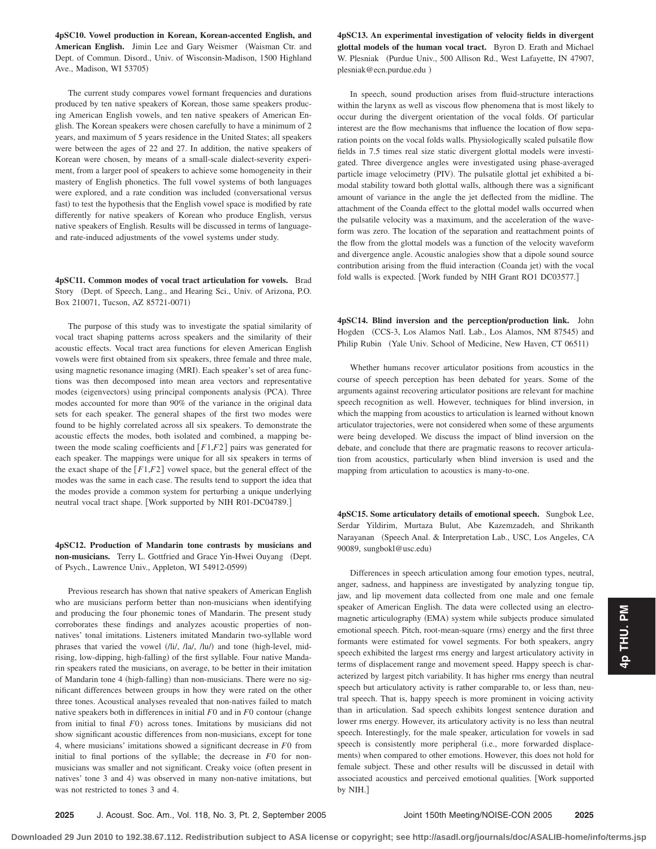**4pSC10. Vowel production in Korean, Korean-accented English, and** American English. Jimin Lee and Gary Weismer (Waisman Ctr. and Dept. of Commun. Disord., Univ. of Wisconsin-Madison, 1500 Highland Ave., Madison, WI 53705-

The current study compares vowel formant frequencies and durations produced by ten native speakers of Korean, those same speakers producing American English vowels, and ten native speakers of American English. The Korean speakers were chosen carefully to have a minimum of 2 years, and maximum of 5 years residence in the United States; all speakers were between the ages of 22 and 27. In addition, the native speakers of Korean were chosen, by means of a small-scale dialect-severity experiment, from a larger pool of speakers to achieve some homogeneity in their mastery of English phonetics. The full vowel systems of both languages were explored, and a rate condition was included (conversational versus fast) to test the hypothesis that the English vowel space is modified by rate differently for native speakers of Korean who produce English, versus native speakers of English. Results will be discussed in terms of languageand rate-induced adjustments of the vowel systems under study.

**4pSC11. Common modes of vocal tract articulation for vowels.** Brad Story (Dept. of Speech, Lang., and Hearing Sci., Univ. of Arizona, P.O. Box 210071, Tucson, AZ 85721-0071-

The purpose of this study was to investigate the spatial similarity of vocal tract shaping patterns across speakers and the similarity of their acoustic effects. Vocal tract area functions for eleven American English vowels were first obtained from six speakers, three female and three male, using magnetic resonance imaging (MRI). Each speaker's set of area functions was then decomposed into mean area vectors and representative modes (eigenvectors) using principal components analysis (PCA). Three modes accounted for more than 90% of the variance in the original data sets for each speaker. The general shapes of the first two modes were found to be highly correlated across all six speakers. To demonstrate the acoustic effects the modes, both isolated and combined, a mapping between the mode scaling coefficients and  $[F1,F2]$  pairs was generated for each speaker. The mappings were unique for all six speakers in terms of the exact shape of the  $\lceil F1, F2 \rceil$  vowel space, but the general effect of the modes was the same in each case. The results tend to support the idea that the modes provide a common system for perturbing a unique underlying neutral vocal tract shape. [Work supported by NIH R01-DC04789.]

**4pSC12. Production of Mandarin tone contrasts by musicians and non-musicians.** Terry L. Gottfried and Grace Yin-Hwei Ouyang (Dept. of Psych., Lawrence Univ., Appleton, WI 54912-0599)

Previous research has shown that native speakers of American English who are musicians perform better than non-musicians when identifying and producing the four phonemic tones of Mandarin. The present study corroborates these findings and analyzes acoustic properties of nonnatives' tonal imitations. Listeners imitated Mandarin two-syllable word phrases that varied the vowel (/li/, /la/, /lu/) and tone (high-level, midrising, low-dipping, high-falling) of the first syllable. Four native Mandarin speakers rated the musicians, on average, to be better in their imitation of Mandarin tone 4 (high-falling) than non-musicians. There were no significant differences between groups in how they were rated on the other three tones. Acoustical analyses revealed that non-natives failed to match native speakers both in differences in initial  $F0$  and in  $F0$  contour (change from initial to final *F*0) across tones. Imitations by musicians did not show significant acoustic differences from non-musicians, except for tone 4, where musicians' imitations showed a significant decrease in *F*0 from initial to final portions of the syllable; the decrease in *F*0 for nonmusicians was smaller and not significant. Creaky voice (often present in natives' tone 3 and 4) was observed in many non-native imitations, but was not restricted to tones 3 and 4.

**4pSC13. An experimental investigation of velocity fields in divergent glottal models of the human vocal tract.** Byron D. Erath and Michael W. Plesniak (Purdue Univ., 500 Allison Rd., West Lafayette, IN 47907, plesniak@ecn.purdue.edu -

In speech, sound production arises from fluid-structure interactions within the larynx as well as viscous flow phenomena that is most likely to occur during the divergent orientation of the vocal folds. Of particular interest are the flow mechanisms that influence the location of flow separation points on the vocal folds walls. Physiologically scaled pulsatile flow fields in 7.5 times real size static divergent glottal models were investigated. Three divergence angles were investigated using phase-averaged particle image velocimetry (PIV). The pulsatile glottal jet exhibited a bimodal stability toward both glottal walls, although there was a significant amount of variance in the angle the jet deflected from the midline. The attachment of the Coanda effect to the glottal model walls occurred when the pulsatile velocity was a maximum, and the acceleration of the waveform was zero. The location of the separation and reattachment points of the flow from the glottal models was a function of the velocity waveform and divergence angle. Acoustic analogies show that a dipole sound source contribution arising from the fluid interaction (Coanda jet) with the vocal fold walls is expected. [Work funded by NIH Grant RO1 DC03577.]

**4pSC14. Blind inversion and the perception/production link.** John Hogden (CCS-3, Los Alamos Natl. Lab., Los Alamos, NM 87545) and Philip Rubin (Yale Univ. School of Medicine, New Haven, CT 06511)

Whether humans recover articulator positions from acoustics in the course of speech perception has been debated for years. Some of the arguments against recovering articulator positions are relevant for machine speech recognition as well. However, techniques for blind inversion, in which the mapping from acoustics to articulation is learned without known articulator trajectories, were not considered when some of these arguments were being developed. We discuss the impact of blind inversion on the debate, and conclude that there are pragmatic reasons to recover articulation from acoustics, particularly when blind inversion is used and the mapping from articulation to acoustics is many-to-one.

**4pSC15. Some articulatory details of emotional speech.** Sungbok Lee, Serdar Yildirim, Murtaza Bulut, Abe Kazemzadeh, and Shrikanth Narayanan (Speech Anal. & Interpretation Lab., USC, Los Angeles, CA 90089, sungbokl@usc.edu)

Differences in speech articulation among four emotion types, neutral, anger, sadness, and happiness are investigated by analyzing tongue tip, jaw, and lip movement data collected from one male and one female speaker of American English. The data were collected using an electromagnetic articulography (EMA) system while subjects produce simulated emotional speech. Pitch, root-mean-square (rms) energy and the first three formants were estimated for vowel segments. For both speakers, angry speech exhibited the largest rms energy and largest articulatory activity in terms of displacement range and movement speed. Happy speech is characterized by largest pitch variability. It has higher rms energy than neutral speech but articulatory activity is rather comparable to, or less than, neutral speech. That is, happy speech is more prominent in voicing activity than in articulation. Sad speech exhibits longest sentence duration and lower rms energy. However, its articulatory activity is no less than neutral speech. Interestingly, for the male speaker, articulation for vowels in sad speech is consistently more peripheral (i.e., more forwarded displacements) when compared to other emotions. However, this does not hold for female subject. These and other results will be discussed in detail with associated acoustics and perceived emotional qualities. [Work supported by NIH.

**2025** J. Acoust. Soc. Am., Vol. 118, No. 3, Pt. 2, September 2005 Joint 150th Meeting/NOISE-CON 2005 **2025**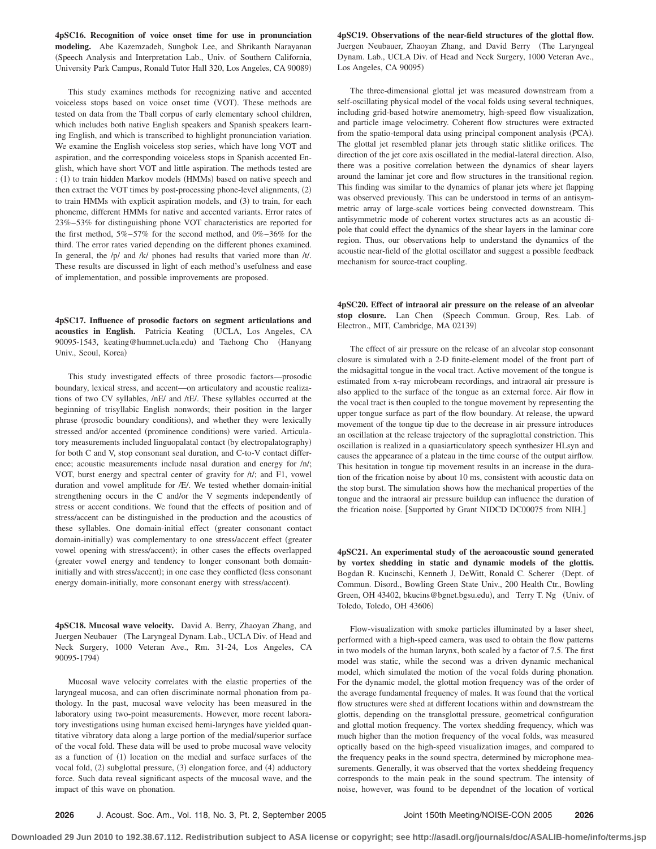**4pSC16. Recognition of voice onset time for use in pronunciation modeling.** Abe Kazemzadeh, Sungbok Lee, and Shrikanth Narayanan Speech Analysis and Interpretation Lab., Univ. of Southern California, University Park Campus, Ronald Tutor Hall 320, Los Angeles, CA 90089-

This study examines methods for recognizing native and accented voiceless stops based on voice onset time (VOT). These methods are tested on data from the Tball corpus of early elementary school children, which includes both native English speakers and Spanish speakers learning English, and which is transcribed to highlight pronunciation variation. We examine the English voiceless stop series, which have long VOT and aspiration, and the corresponding voiceless stops in Spanish accented English, which have short VOT and little aspiration. The methods tested are : (1) to train hidden Markov models (HMMs) based on native speech and then extract the VOT times by post-processing phone-level alignments, (2) to train HMMs with explicit aspiration models, and (3) to train, for each phoneme, different HMMs for native and accented variants. Error rates of 23%–53% for distinguishing phone VOT characteristics are reported for the first method, 5%–57% for the second method, and 0%–36% for the third. The error rates varied depending on the different phones examined. In general, the /p/ and /k/ phones had results that varied more than /t/. These results are discussed in light of each method's usefulness and ease of implementation, and possible improvements are proposed.

**4pSC17. Influence of prosodic factors on segment articulations and acoustics in English.** Patricia Keating UCLA, Los Angeles, CA 90095-1543, keating@humnet.ucla.edu) and Taehong Cho (Hanyang Univ., Seoul, Korea)

This study investigated effects of three prosodic factors—prosodic boundary, lexical stress, and accent—on articulatory and acoustic realizations of two CV syllables, /nE/ and /tE/. These syllables occurred at the beginning of trisyllabic English nonwords; their position in the larger phrase (prosodic boundary conditions), and whether they were lexically stressed and/or accented (prominence conditions) were varied. Articulatory measurements included linguopalatal contact (by electropalatography) for both C and V, stop consonant seal duration, and C-to-V contact difference; acoustic measurements include nasal duration and energy for /n/; VOT, burst energy and spectral center of gravity for /t/; and F1, vowel duration and vowel amplitude for /E/. We tested whether domain-initial strengthening occurs in the C and/or the V segments independently of stress or accent conditions. We found that the effects of position and of stress/accent can be distinguished in the production and the acoustics of these syllables. One domain-initial effect greater consonant contact domain-initially) was complementary to one stress/accent effect (greater vowel opening with stress/accent); in other cases the effects overlapped greater vowel energy and tendency to longer consonant both domaininitially and with stress/accent); in one case they conflicted (less consonant energy domain-initially, more consonant energy with stress/accent).

**4pSC18. Mucosal wave velocity.** David A. Berry, Zhaoyan Zhang, and Juergen Neubauer (The Laryngeal Dynam. Lab., UCLA Div. of Head and Neck Surgery, 1000 Veteran Ave., Rm. 31-24, Los Angeles, CA 90095-1794)

Mucosal wave velocity correlates with the elastic properties of the laryngeal mucosa, and can often discriminate normal phonation from pathology. In the past, mucosal wave velocity has been measured in the laboratory using two-point measurements. However, more recent laboratory investigations using human excised hemi-larynges have yielded quantitative vibratory data along a large portion of the medial/superior surface of the vocal fold. These data will be used to probe mucosal wave velocity as a function of (1) location on the medial and surface surfaces of the vocal fold, (2) subglottal pressure, (3) elongation force, and (4) adductory force. Such data reveal significant aspects of the mucosal wave, and the impact of this wave on phonation.

**4pSC19. Observations of the near-field structures of the glottal flow.** Juergen Neubauer, Zhaoyan Zhang, and David Berry (The Laryngeal Dynam. Lab., UCLA Div. of Head and Neck Surgery, 1000 Veteran Ave., Los Angeles, CA 90095)

The three-dimensional glottal jet was measured downstream from a self-oscillating physical model of the vocal folds using several techniques, including grid-based hotwire anemometry, high-speed flow visualization, and particle image velocimetry. Coherent flow structures were extracted from the spatio-temporal data using principal component analysis (PCA). The glottal jet resembled planar jets through static slitlike orifices. The direction of the jet core axis oscillated in the medial-lateral direction. Also, there was a positive correlation between the dynamics of shear layers around the laminar jet core and flow structures in the transitional region. This finding was similar to the dynamics of planar jets where jet flapping was observed previously. This can be understood in terms of an antisymmetric array of large-scale vortices being convected downstream. This antisymmetric mode of coherent vortex structures acts as an acoustic dipole that could effect the dynamics of the shear layers in the laminar core region. Thus, our observations help to understand the dynamics of the acoustic near-field of the glottal oscillator and suggest a possible feedback mechanism for source-tract coupling.

**4pSC20. Effect of intraoral air pressure on the release of an alveolar** stop closure. Lan Chen (Speech Commun. Group, Res. Lab. of Electron., MIT, Cambridge, MA 02139)

The effect of air pressure on the release of an alveolar stop consonant closure is simulated with a 2-D finite-element model of the front part of the midsagittal tongue in the vocal tract. Active movement of the tongue is estimated from x-ray microbeam recordings, and intraoral air pressure is also applied to the surface of the tongue as an external force. Air flow in the vocal tract is then coupled to the tongue movement by representing the upper tongue surface as part of the flow boundary. At release, the upward movement of the tongue tip due to the decrease in air pressure introduces an oscillation at the release trajectory of the supraglottal constriction. This oscillation is realized in a quasiarticulatory speech synthesizer HLsyn and causes the appearance of a plateau in the time course of the output airflow. This hesitation in tongue tip movement results in an increase in the duration of the frication noise by about 10 ms, consistent with acoustic data on the stop burst. The simulation shows how the mechanical properties of the tongue and the intraoral air pressure buildup can influence the duration of the frication noise. [Supported by Grant NIDCD DC00075 from NIH.]

**4pSC21. An experimental study of the aeroacoustic sound generated by vortex shedding in static and dynamic models of the glottis.** Bogdan R. Kucinschi, Kenneth J, DeWitt, Ronald C. Scherer (Dept. of Commun. Disord., Bowling Green State Univ., 200 Health Ctr., Bowling Green, OH 43402, bkucins@bgnet.bgsu.edu), and Terry T. Ng (Univ. of Toledo, Toledo, OH 43606-

Flow-visualization with smoke particles illuminated by a laser sheet, performed with a high-speed camera, was used to obtain the flow patterns in two models of the human larynx, both scaled by a factor of 7.5. The first model was static, while the second was a driven dynamic mechanical model, which simulated the motion of the vocal folds during phonation. For the dynamic model, the glottal motion frequency was of the order of the average fundamental frequency of males. It was found that the vortical flow structures were shed at different locations within and downstream the glottis, depending on the transglottal pressure, geometrical configuration and glottal motion frequency. The vortex shedding frequency, which was much higher than the motion frequency of the vocal folds, was measured optically based on the high-speed visualization images, and compared to the frequency peaks in the sound spectra, determined by microphone measurements. Generally, it was observed that the vortex sheddeing frequency corresponds to the main peak in the sound spectrum. The intensity of noise, however, was found to be dependnet of the location of vortical

**2026** J. Acoust. Soc. Am., Vol. 118, No. 3, Pt. 2, September 2005 Joint 150th Meeting/NOISE-CON 2005 **2026**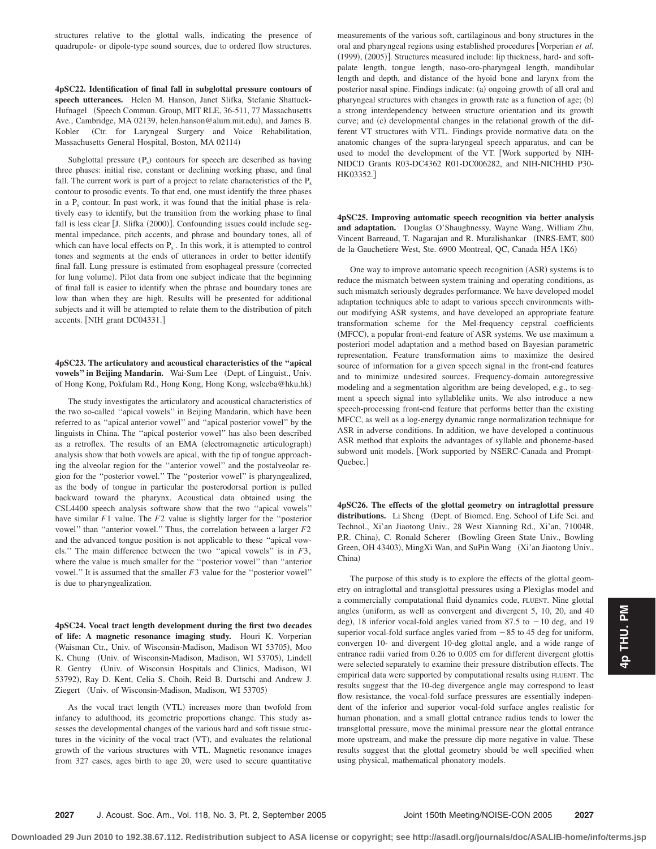structures relative to the glottal walls, indicating the presence of quadrupole- or dipole-type sound sources, due to ordered flow structures.

**4pSC22. Identification of final fall in subglottal pressure contours of speech utterances.** Helen M. Hanson, Janet Slifka, Stefanie Shattuck-Hufnagel (Speech Commun. Group, MIT RLE, 36-511, 77 Massachusetts Ave., Cambridge, MA 02139, helen.hanson@alum.mit.edu), and James B. Kobler Ctr. for Laryngeal Surgery and Voice Rehabilitation, Massachusetts General Hospital, Boston, MA 02114)

Subglottal pressure  $(P_s)$  contours for speech are described as having three phases: initial rise, constant or declining working phase, and final fall. The current work is part of a project to relate characteristics of the  $P_s$ contour to prosodic events. To that end, one must identify the three phases in a  $P_s$  contour. In past work, it was found that the initial phase is relatively easy to identify, but the transition from the working phase to final fall is less clear [J. Slifka (2000)]. Confounding issues could include segmental impedance, pitch accents, and phrase and boundary tones, all of which can have local effects on  $P_s$ . In this work, it is attempted to control tones and segments at the ends of utterances in order to better identify final fall. Lung pressure is estimated from esophageal pressure (corrected for lung volume). Pilot data from one subject indicate that the beginning of final fall is easier to identify when the phrase and boundary tones are low than when they are high. Results will be presented for additional subjects and it will be attempted to relate them to the distribution of pitch accents. [NIH grant DC04331.]

## **4pSC23. The articulatory and acoustical characteristics of the ''apical** vowels" in Beijing Mandarin. Wai-Sum Lee (Dept. of Linguist., Univ. of Hong Kong, Pokfulam Rd., Hong Kong, Hong Kong, wsleeba@hku.hk-

The study investigates the articulatory and acoustical characteristics of the two so-called ''apical vowels'' in Beijing Mandarin, which have been referred to as ''apical anterior vowel'' and ''apical posterior vowel'' by the linguists in China. The ''apical posterior vowel'' has also been described as a retroflex. The results of an EMA (electromagnetic articulograph) analysis show that both vowels are apical, with the tip of tongue approaching the alveolar region for the ''anterior vowel'' and the postalveolar region for the ''posterior vowel.'' The ''posterior vowel'' is pharyngealized, as the body of tongue in particular the posterodorsal portion is pulled backward toward the pharynx. Acoustical data obtained using the CSL4400 speech analysis software show that the two ''apical vowels'' have similar *F*1 value. The *F*2 value is slightly larger for the ''posterior vowel'' than ''anterior vowel.'' Thus, the correlation between a larger *F*2 and the advanced tongue position is not applicable to these ''apical vowels.'' The main difference between the two ''apical vowels'' is in *F*3, where the value is much smaller for the ''posterior vowel'' than ''anterior vowel.'' It is assumed that the smaller *F*3 value for the ''posterior vowel'' is due to pharyngealization.

**4pSC24. Vocal tract length development during the first two decades of life: A magnetic resonance imaging study.** Houri K. Vorperian (Waisman Ctr., Univ. of Wisconsin-Madison, Madison WI 53705), Moo K. Chung (Univ. of Wisconsin-Madison, Madison, WI 53705), Lindell R. Gentry Univ. of Wisconsin Hospitals and Clinics, Madison, WI 53792), Ray D. Kent, Celia S. Choih, Reid B. Durtschi and Andrew J. Ziegert (Univ. of Wisconsin-Madison, Madison, WI 53705)

As the vocal tract length (VTL) increases more than twofold from infancy to adulthood, its geometric proportions change. This study assesses the developmental changes of the various hard and soft tissue structures in the vicinity of the vocal tract (VT), and evaluates the relational growth of the various structures with VTL. Magnetic resonance images from 327 cases, ages birth to age 20, were used to secure quantitative measurements of the various soft, cartilaginous and bony structures in the oral and pharyngeal regions using established procedures [Vorperian et al. (1999), (2005)]. Structures measured include: lip thickness, hard- and softpalate length, tongue length, naso-oro-pharyngeal length, mandibular length and depth, and distance of the hyoid bone and larynx from the posterior nasal spine. Findings indicate: (a) ongoing growth of all oral and pharyngeal structures with changes in growth rate as a function of age; (b) a strong interdependency between structure orientation and its growth curve; and (c) developmental changes in the relational growth of the different VT structures with VTL. Findings provide normative data on the anatomic changes of the supra-laryngeal speech apparatus, and can be used to model the development of the VT. Work supported by NIH-NIDCD Grants R03-DC4362 R01-DC006282, and NIH-NICHHD P30- HK03352.

**4pSC25. Improving automatic speech recognition via better analysis and adaptation.** Douglas O'Shaughnessy, Wayne Wang, William Zhu, Vincent Barreaud, T. Nagarajan and R. Muralishankar (INRS-EMT, 800 de la Gauchetiere West, Ste. 6900 Montreal, QC, Canada H5A 1K6-

One way to improve automatic speech recognition (ASR) systems is to reduce the mismatch between system training and operating conditions, as such mismatch seriously degrades performance. We have developed model adaptation techniques able to adapt to various speech environments without modifying ASR systems, and have developed an appropriate feature transformation scheme for the Mel-frequency cepstral coefficients (MFCC), a popular front-end feature of ASR systems. We use maximum a posteriori model adaptation and a method based on Bayesian parametric representation. Feature transformation aims to maximize the desired source of information for a given speech signal in the front-end features and to minimize undesired sources. Frequency-domain autoregressive modeling and a segmentation algorithm are being developed, e.g., to segment a speech signal into syllablelike units. We also introduce a new speech-processing front-end feature that performs better than the existing MFCC, as well as a log-energy dynamic range normalization technique for ASR in adverse conditions. In addition, we have developed a continuous ASR method that exploits the advantages of syllable and phoneme-based subword unit models. Work supported by NSERC-Canada and Prompt-Quebec.

**4pSC26. The effects of the glottal geometry on intraglottal pressure** distributions. Li Sheng (Dept. of Biomed. Eng. School of Life Sci. and Technol., Xi'an Jiaotong Univ., 28 West Xianning Rd., Xi'an, 71004R, P.R. China), C. Ronald Scherer (Bowling Green State Univ., Bowling Green, OH 43403), MingXi Wan, and SuPin Wang (Xi'an Jiaotong Univ., China)

The purpose of this study is to explore the effects of the glottal geometry on intraglottal and transglottal pressures using a Plexiglas model and a commercially computational fluid dynamics code, FLUENT. Nine glottal angles (uniform, as well as convergent and divergent 5, 10, 20, and 40 deg), 18 inferior vocal-fold angles varied from 87.5 to  $-10$  deg, and 19 superior vocal-fold surface angles varied from  $-85$  to 45 deg for uniform, convergen 10- and divergent 10-deg glottal angle, and a wide range of entrance radii varied from 0.26 to 0.005 cm for different divergent glottis were selected separately to examine their pressure distribution effects. The empirical data were supported by computational results using FLUENT. The results suggest that the 10-deg divergence angle may correspond to least flow resistance, the vocal-fold surface pressures are essentially independent of the inferior and superior vocal-fold surface angles realistic for human phonation, and a small glottal entrance radius tends to lower the transglottal pressure, move the minimal pressure near the glottal entrance more upstream, and make the pressure dip more negative in value. These results suggest that the glottal geometry should be well specified when using physical, mathematical phonatory models.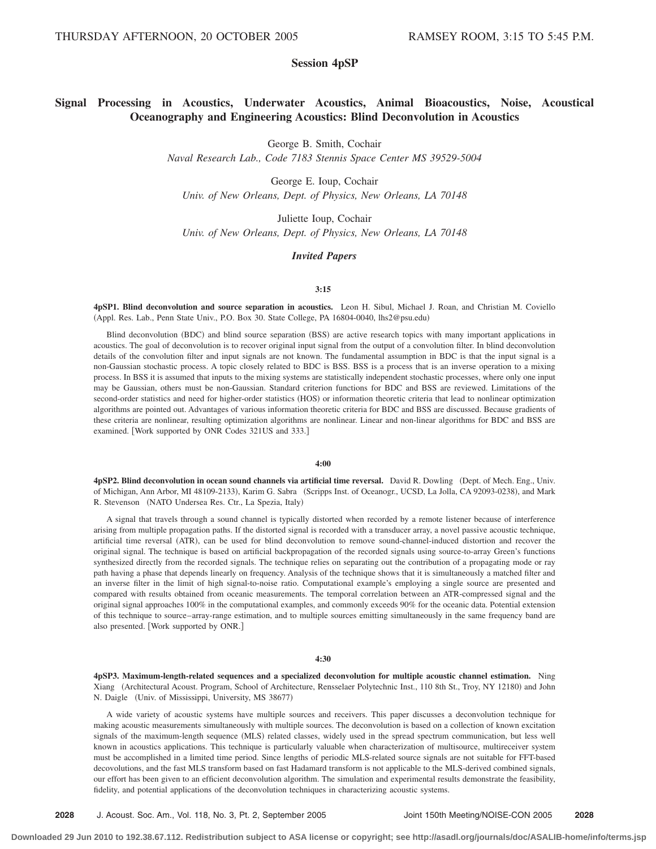# **Session 4pSP**

# **Signal Processing in Acoustics, Underwater Acoustics, Animal Bioacoustics, Noise, Acoustical Oceanography and Engineering Acoustics: Blind Deconvolution in Acoustics**

George B. Smith, Cochair

*Naval Research Lab., Code 7183 Stennis Space Center MS 39529-5004*

George E. Ioup, Cochair *Univ. of New Orleans, Dept. of Physics, New Orleans, LA 70148*

Juliette Ioup, Cochair *Univ. of New Orleans, Dept. of Physics, New Orleans, LA 70148*

#### *Invited Papers*

#### **3:15**

**4pSP1. Blind deconvolution and source separation in acoustics.** Leon H. Sibul, Michael J. Roan, and Christian M. Coviello Appl. Res. Lab., Penn State Univ., P.O. Box 30. State College, PA 16804-0040, lhs2@psu.edu-

Blind deconvolution (BDC) and blind source separation (BSS) are active research topics with many important applications in acoustics. The goal of deconvolution is to recover original input signal from the output of a convolution filter. In blind deconvolution details of the convolution filter and input signals are not known. The fundamental assumption in BDC is that the input signal is a non-Gaussian stochastic process. A topic closely related to BDC is BSS. BSS is a process that is an inverse operation to a mixing process. In BSS it is assumed that inputs to the mixing systems are statistically independent stochastic processes, where only one input may be Gaussian, others must be non-Gaussian. Standard criterion functions for BDC and BSS are reviewed. Limitations of the second-order statistics and need for higher-order statistics (HOS) or information theoretic criteria that lead to nonlinear optimization algorithms are pointed out. Advantages of various information theoretic criteria for BDC and BSS are discussed. Because gradients of these criteria are nonlinear, resulting optimization algorithms are nonlinear. Linear and non-linear algorithms for BDC and BSS are examined. Work supported by ONR Codes 321US and 333.

#### **4:00**

**4pSP2. Blind deconvolution in ocean sound channels via artificial time reversal.** David R. Dowling (Dept. of Mech. Eng., Univ. of Michigan, Ann Arbor, MI 48109-2133), Karim G. Sabra (Scripps Inst. of Oceanogr., UCSD, La Jolla, CA 92093-0238), and Mark R. Stevenson (NATO Undersea Res. Ctr., La Spezia, Italy)

A signal that travels through a sound channel is typically distorted when recorded by a remote listener because of interference arising from multiple propagation paths. If the distorted signal is recorded with a transducer array, a novel passive acoustic technique, artificial time reversal (ATR), can be used for blind deconvolution to remove sound-channel-induced distortion and recover the original signal. The technique is based on artificial backpropagation of the recorded signals using source-to-array Green's functions synthesized directly from the recorded signals. The technique relies on separating out the contribution of a propagating mode or ray path having a phase that depends linearly on frequency. Analysis of the technique shows that it is simultaneously a matched filter and an inverse filter in the limit of high signal-to-noise ratio. Computational example's employing a single source are presented and compared with results obtained from oceanic measurements. The temporal correlation between an ATR-compressed signal and the original signal approaches 100% in the computational examples, and commonly exceeds 90% for the oceanic data. Potential extension of this technique to source–array-range estimation, and to multiple sources emitting simultaneously in the same frequency band are also presented. [Work supported by ONR.]

#### **4:30**

**4pSP3. Maximum-length-related sequences and a specialized deconvolution for multiple acoustic channel estimation.** Ning Xiang (Architectural Acoust. Program, School of Architecture, Rensselaer Polytechnic Inst., 110 8th St., Troy, NY 12180) and John N. Daigle (Univ. of Mississippi, University, MS 38677)

A wide variety of acoustic systems have multiple sources and receivers. This paper discusses a deconvolution technique for making acoustic measurements simultaneously with multiple sources. The deconvolution is based on a collection of known excitation signals of the maximum-length sequence (MLS) related classes, widely used in the spread spectrum communication, but less well known in acoustics applications. This technique is particularly valuable when characterization of multisource, multireceiver system must be accomplished in a limited time period. Since lengths of periodic MLS-related source signals are not suitable for FFT-based decovolutions, and the fast MLS transform based on fast Hadamard transform is not applicable to the MLS-derived combined signals, our effort has been given to an efficient deconvolution algorithm. The simulation and experimental results demonstrate the feasibility, fidelity, and potential applications of the deconvolution techniques in characterizing acoustic systems.